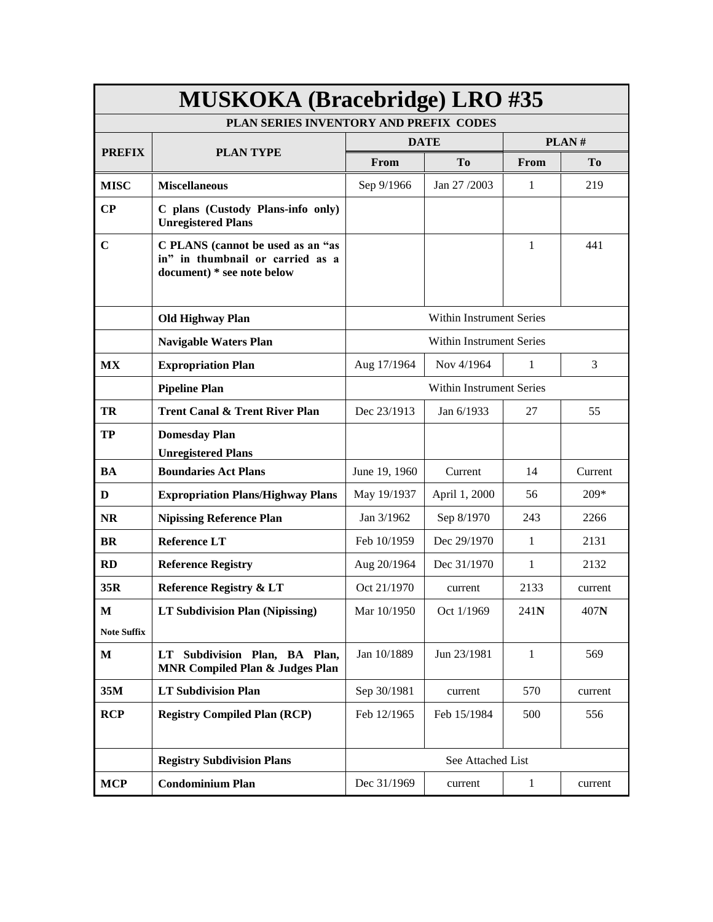|                    | <b>MUSKOKA (Bracebridge) LRO #35</b>                                                                |                                 |                                 |              |                |  |  |
|--------------------|-----------------------------------------------------------------------------------------------------|---------------------------------|---------------------------------|--------------|----------------|--|--|
|                    | PLAN SERIES INVENTORY AND PREFIX CODES                                                              |                                 |                                 |              |                |  |  |
| <b>PREFIX</b>      | <b>PLAN TYPE</b>                                                                                    |                                 | <b>DATE</b>                     |              | PLAN#          |  |  |
|                    |                                                                                                     | From                            | T <sub>0</sub>                  | From         | T <sub>0</sub> |  |  |
| <b>MISC</b>        | <b>Miscellaneous</b>                                                                                | Sep 9/1966                      | Jan 27 /2003                    | $\mathbf{1}$ | 219            |  |  |
| $\bf CP$           | C plans (Custody Plans-info only)<br><b>Unregistered Plans</b>                                      |                                 |                                 |              |                |  |  |
| $\mathbf C$        | C PLANS (cannot be used as an "as<br>in" in thumbnail or carried as a<br>document) * see note below |                                 |                                 | 1            | 441            |  |  |
|                    | <b>Old Highway Plan</b>                                                                             |                                 | <b>Within Instrument Series</b> |              |                |  |  |
|                    | <b>Navigable Waters Plan</b>                                                                        | <b>Within Instrument Series</b> |                                 |              |                |  |  |
| MX                 | <b>Expropriation Plan</b>                                                                           | Aug 17/1964                     | Nov 4/1964                      | 1            | 3              |  |  |
|                    | <b>Pipeline Plan</b>                                                                                | <b>Within Instrument Series</b> |                                 |              |                |  |  |
| TR                 | <b>Trent Canal &amp; Trent River Plan</b>                                                           | Dec 23/1913                     | Jan 6/1933                      | 27           | 55             |  |  |
| TP                 | <b>Domesday Plan</b><br><b>Unregistered Plans</b>                                                   |                                 |                                 |              |                |  |  |
| <b>BA</b>          | <b>Boundaries Act Plans</b>                                                                         | June 19, 1960                   | Current                         | 14           | Current        |  |  |
| D                  | <b>Expropriation Plans/Highway Plans</b>                                                            | May 19/1937                     | April 1, 2000                   | 56           | 209*           |  |  |
| <b>NR</b>          | <b>Nipissing Reference Plan</b>                                                                     | Jan 3/1962                      | Sep 8/1970                      | 243          | 2266           |  |  |
| <b>BR</b>          | <b>Reference LT</b>                                                                                 | Feb 10/1959                     | Dec 29/1970                     | 1            | 2131           |  |  |
| <b>RD</b>          | <b>Reference Registry</b>                                                                           | Aug 20/1964                     | Dec 31/1970                     | 1            | 2132           |  |  |
| 35R                | <b>Reference Registry &amp; LT</b>                                                                  | Oct 21/1970                     | current                         | 2133         | current        |  |  |
| $\bf M$            | LT Subdivision Plan (Nipissing)                                                                     | Mar 10/1950                     | Oct 1/1969                      | 241N         | 407N           |  |  |
| <b>Note Suffix</b> |                                                                                                     |                                 |                                 |              |                |  |  |
| $\mathbf M$        | LT Subdivision Plan, BA Plan,<br><b>MNR Compiled Plan &amp; Judges Plan</b>                         | Jan 10/1889                     | Jun 23/1981                     | $\mathbf{1}$ | 569            |  |  |
| 35M                | <b>LT Subdivision Plan</b>                                                                          | Sep 30/1981                     | current                         | 570          | current        |  |  |
| <b>RCP</b>         | <b>Registry Compiled Plan (RCP)</b>                                                                 | Feb 12/1965                     | Feb 15/1984                     | 500          | 556            |  |  |
|                    | <b>Registry Subdivision Plans</b>                                                                   |                                 | See Attached List               |              |                |  |  |
| <b>MCP</b>         | <b>Condominium Plan</b>                                                                             | Dec 31/1969                     | current                         | 1            | current        |  |  |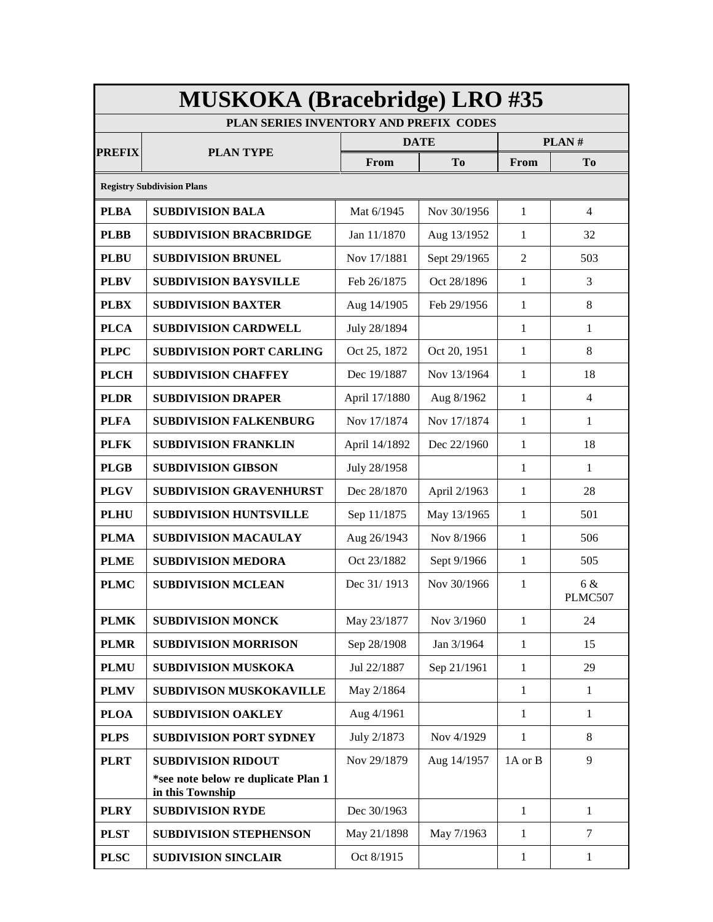| <b>MUSKOKA (Bracebridge) LRO #35</b>   |                                                         |               |                |                |                |  |  |
|----------------------------------------|---------------------------------------------------------|---------------|----------------|----------------|----------------|--|--|
| PLAN SERIES INVENTORY AND PREFIX CODES |                                                         |               |                |                |                |  |  |
| <b>PREFIX</b>                          | <b>PLAN TYPE</b>                                        |               | <b>DATE</b>    | PLAN#          |                |  |  |
|                                        |                                                         | From          | T <sub>0</sub> | From           | To             |  |  |
|                                        | <b>Registry Subdivision Plans</b>                       |               |                |                |                |  |  |
| <b>PLBA</b>                            | <b>SUBDIVISION BALA</b>                                 | Mat 6/1945    | Nov 30/1956    | 1              | $\overline{4}$ |  |  |
| <b>PLBB</b>                            | <b>SUBDIVISION BRACBRIDGE</b>                           | Jan 11/1870   | Aug 13/1952    | 1              | 32             |  |  |
| <b>PLBU</b>                            | <b>SUBDIVISION BRUNEL</b>                               | Nov 17/1881   | Sept 29/1965   | $\overline{2}$ | 503            |  |  |
| <b>PLBV</b>                            | <b>SUBDIVISION BAYSVILLE</b>                            | Feb 26/1875   | Oct 28/1896    | 1              | 3              |  |  |
| <b>PLBX</b>                            | <b>SUBDIVISION BAXTER</b>                               | Aug 14/1905   | Feb 29/1956    | 1              | 8              |  |  |
| <b>PLCA</b>                            | <b>SUBDIVISION CARDWELL</b>                             | July 28/1894  |                | 1              | 1              |  |  |
| <b>PLPC</b>                            | <b>SUBDIVISION PORT CARLING</b>                         | Oct 25, 1872  | Oct 20, 1951   | $\mathbf{1}$   | 8              |  |  |
| <b>PLCH</b>                            | <b>SUBDIVISION CHAFFEY</b>                              | Dec 19/1887   | Nov 13/1964    | 1              | 18             |  |  |
| <b>PLDR</b>                            | <b>SUBDIVISION DRAPER</b>                               | April 17/1880 | Aug 8/1962     | $\mathbf{1}$   | $\overline{4}$ |  |  |
| <b>PLFA</b>                            | <b>SUBDIVISION FALKENBURG</b>                           | Nov 17/1874   | Nov 17/1874    | $\mathbf{1}$   | $\mathbf{1}$   |  |  |
| <b>PLFK</b>                            | <b>SUBDIVISION FRANKLIN</b>                             | April 14/1892 | Dec 22/1960    | 1              | 18             |  |  |
| <b>PLGB</b>                            | <b>SUBDIVISION GIBSON</b>                               | July 28/1958  |                | 1              | 1              |  |  |
| <b>PLGV</b>                            | <b>SUBDIVISION GRAVENHURST</b>                          | Dec 28/1870   | April 2/1963   | $\mathbf{1}$   | 28             |  |  |
| <b>PLHU</b>                            | <b>SUBDIVISION HUNTSVILLE</b>                           | Sep 11/1875   | May 13/1965    | 1              | 501            |  |  |
| <b>PLMA</b>                            | <b>SUBDIVISION MACAULAY</b>                             | Aug 26/1943   | Nov 8/1966     | 1              | 506            |  |  |
| <b>PLME</b>                            | <b>SUBDIVISION MEDORA</b>                               | Oct 23/1882   | Sept 9/1966    | 1              | 505            |  |  |
| <b>PLMC</b>                            | <b>SUBDIVISION MCLEAN</b>                               | Dec 31/1913   | Nov 30/1966    | 1              | 6 &<br>PLMC507 |  |  |
| <b>PLMK</b>                            | <b>SUBDIVISION MONCK</b>                                | May 23/1877   | Nov 3/1960     | $\mathbf{1}$   | 24             |  |  |
| <b>PLMR</b>                            | <b>SUBDIVISION MORRISON</b>                             | Sep 28/1908   | Jan 3/1964     | $\mathbf{1}$   | 15             |  |  |
| <b>PLMU</b>                            | <b>SUBDIVISION MUSKOKA</b>                              | Jul 22/1887   | Sep 21/1961    | 1              | 29             |  |  |
| <b>PLMV</b>                            | <b>SUBDIVISON MUSKOKAVILLE</b>                          | May 2/1864    |                | $\mathbf{1}$   | $\mathbf{1}$   |  |  |
| <b>PLOA</b>                            | <b>SUBDIVISION OAKLEY</b>                               | Aug 4/1961    |                | 1              | 1              |  |  |
| <b>PLPS</b>                            | <b>SUBDIVISION PORT SYDNEY</b>                          | July 2/1873   | Nov 4/1929     | 1              | 8              |  |  |
| <b>PLRT</b>                            | <b>SUBDIVISION RIDOUT</b>                               | Nov 29/1879   | Aug 14/1957    | 1A or B        | 9              |  |  |
|                                        | *see note below re duplicate Plan 1<br>in this Township |               |                |                |                |  |  |
| <b>PLRY</b>                            | <b>SUBDIVISION RYDE</b>                                 | Dec 30/1963   |                | $\mathbf{1}$   | $\mathbf{1}$   |  |  |
| <b>PLST</b>                            | <b>SUBDIVISION STEPHENSON</b>                           | May 21/1898   | May 7/1963     | $\mathbf{1}$   | $\tau$         |  |  |
| <b>PLSC</b>                            | <b>SUDIVISION SINCLAIR</b>                              | Oct 8/1915    |                | 1              | $\mathbf{1}$   |  |  |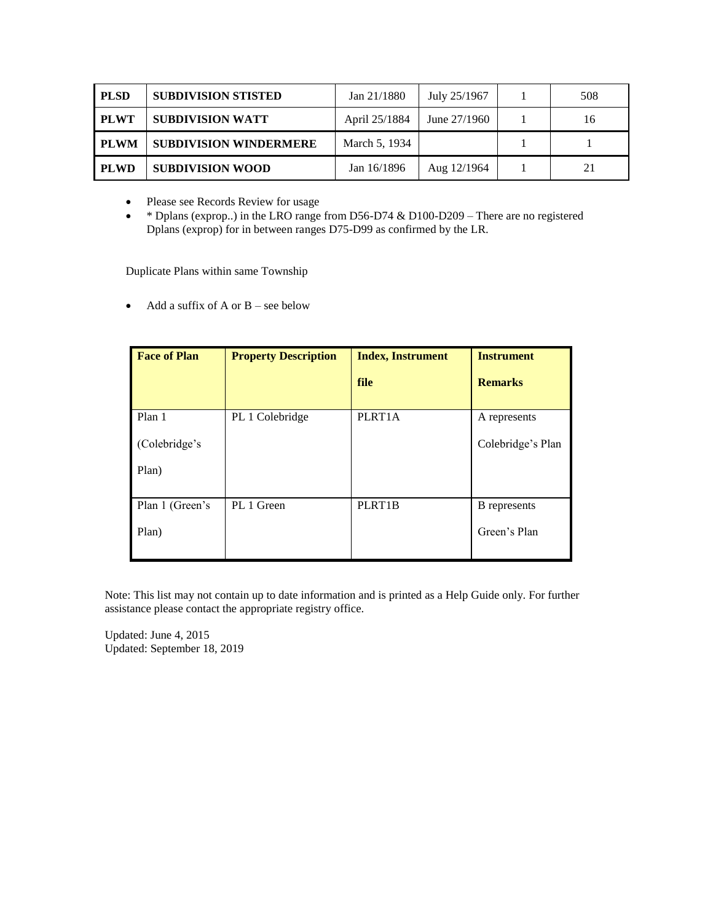| <b>PLSD</b> | <b>SUBDIVISION STISTED</b>    | Jan 21/1880   | July 25/1967  | 508 |
|-------------|-------------------------------|---------------|---------------|-----|
| PLWT        | <b>SUBDIVISION WATT</b>       | April 25/1884 | June 27/1960  | 16  |
| PLWM        | <b>SUBDIVISION WINDERMERE</b> | March 5, 1934 |               |     |
| PLWD        | <b>SUBDIVISION WOOD</b>       | Jan $16/1896$ | Aug $12/1964$ |     |

Please see Records Review for usage

 \* Dplans (exprop..) in the LRO range from D56-D74 & D100-D209 – There are no registered Dplans (exprop) for in between ranges D75-D99 as confirmed by the LR.

Duplicate Plans within same Township

 $\bullet$  Add a suffix of A or B – see below

| <b>Face of Plan</b> | <b>Property Description</b> | <b>Index, Instrument</b> | <b>Instrument</b>   |
|---------------------|-----------------------------|--------------------------|---------------------|
|                     |                             | file                     | <b>Remarks</b>      |
| Plan 1              | PL 1 Colebridge             | PLRT1A                   | A represents        |
| (Colebridge's       |                             |                          | Colebridge's Plan   |
| Plan)               |                             |                          |                     |
| Plan 1 (Green's     | PL 1 Green                  | PLRT1B                   | <b>B</b> represents |
| Plan)               |                             |                          | Green's Plan        |

Note: This list may not contain up to date information and is printed as a Help Guide only. For further assistance please contact the appropriate registry office.

Updated: June 4, 2015 Updated: September 18, 2019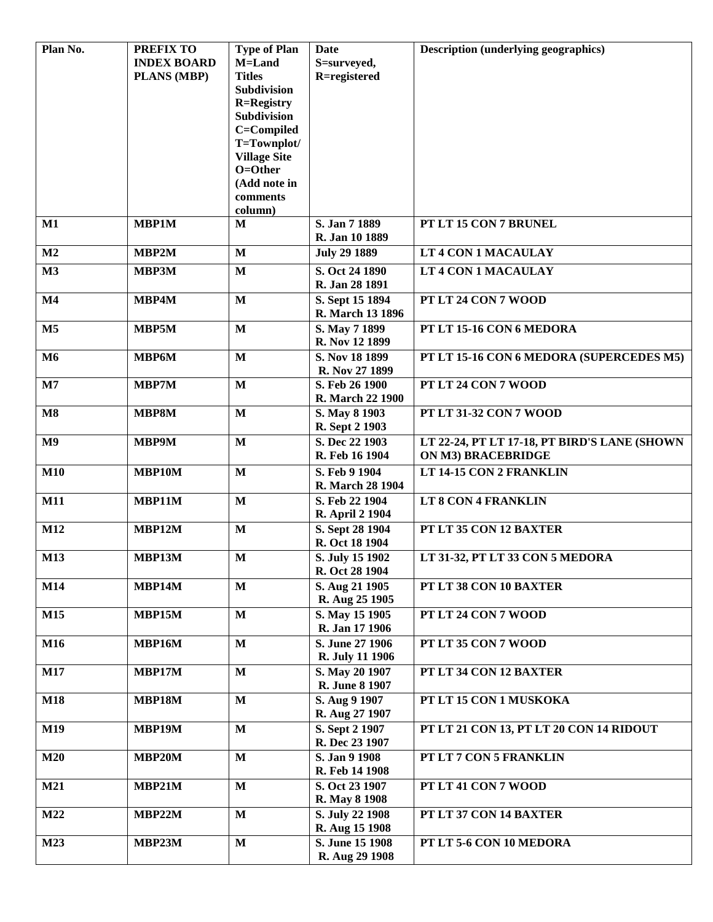| Plan No.       | <b>PREFIX TO</b>   | <b>Type of Plan</b>                     | Date                             | <b>Description (underlying geographics)</b>  |
|----------------|--------------------|-----------------------------------------|----------------------------------|----------------------------------------------|
|                | <b>INDEX BOARD</b> | M=Land                                  | S=surveyed,                      |                                              |
|                | <b>PLANS (MBP)</b> | <b>Titles</b>                           | R=registered                     |                                              |
|                |                    | <b>Subdivision</b>                      |                                  |                                              |
|                |                    | <b>R=Registry</b><br><b>Subdivision</b> |                                  |                                              |
|                |                    | C=Compiled                              |                                  |                                              |
|                |                    | T=Townplot/                             |                                  |                                              |
|                |                    | <b>Village Site</b>                     |                                  |                                              |
|                |                    | O=Other                                 |                                  |                                              |
|                |                    | (Add note in                            |                                  |                                              |
|                |                    | comments                                |                                  |                                              |
|                |                    | column)                                 |                                  |                                              |
| $M1$           | <b>MBP1M</b>       | M                                       | S. Jan 7 1889<br>R. Jan 10 1889  | PT LT 15 CON 7 BRUNEL                        |
| M <sub>2</sub> | MBP2M              | $\mathbf{M}$                            | <b>July 29 1889</b>              | LT 4 CON 1 MACAULAY                          |
| M3             | MBP3M              | $\mathbf{M}$                            | S. Oct 24 1890                   | LT 4 CON 1 MACAULAY                          |
|                |                    |                                         | R. Jan 28 1891                   |                                              |
| M <sub>4</sub> | MBP4M              | $\mathbf{M}$                            | S. Sept 15 1894                  | PT LT 24 CON 7 WOOD                          |
|                |                    |                                         | R. March 13 1896                 |                                              |
| M <sub>5</sub> | MBP5M              | $\mathbf{M}$                            | S. May 7 1899<br>R. Nov 12 1899  | PT LT 15-16 CON 6 MEDORA                     |
| M <sub>6</sub> | <b>MBP6M</b>       | $\mathbf{M}$                            | S. Nov 18 1899                   | PT LT 15-16 CON 6 MEDORA (SUPERCEDES M5)     |
|                |                    |                                         | R. Nov 27 1899                   |                                              |
| M7             | MBP7M              | $\mathbf{M}$                            | S. Feb 26 1900                   | PT LT 24 CON 7 WOOD                          |
|                |                    |                                         | R. March 22 1900                 |                                              |
| $\mathbf{M8}$  | MBP8M              | $\mathbf{M}$                            | S. May 8 1903                    | PT LT 31-32 CON 7 WOOD                       |
|                |                    |                                         | R. Sept 2 1903                   |                                              |
| M <sub>9</sub> | MBP9M              | $\mathbf{M}$                            | S. Dec 22 1903                   | LT 22-24, PT LT 17-18, PT BIRD'S LANE (SHOWN |
|                |                    |                                         | R. Feb 16 1904                   | <b>ON M3) BRACEBRIDGE</b>                    |
| <b>M10</b>     | MBP10M             | $\mathbf{M}$                            | S. Feb 9 1904                    | LT 14-15 CON 2 FRANKLIN                      |
|                |                    |                                         | R. March 28 1904                 |                                              |
| <b>M11</b>     | MBP11M             | $\mathbf{M}$                            | S. Feb 22 1904                   | LT 8 CON 4 FRANKLIN                          |
|                |                    |                                         | <b>R.</b> April 2 1904           |                                              |
| M12            | MBP12M             | $\mathbf{M}$                            | S. Sept 28 1904                  | PT LT 35 CON 12 BAXTER                       |
|                |                    |                                         | R. Oct 18 1904                   |                                              |
| <b>M13</b>     | MBP13M             | M                                       | S. July 15 1902                  | LT 31-32, PT LT 33 CON 5 MEDORA              |
|                |                    |                                         | R. Oct 28 1904                   |                                              |
| M14            | MBP14M             | $\mathbf{M}$                            | S. Aug 21 1905                   | PT LT 38 CON 10 BAXTER                       |
|                |                    |                                         | R. Aug 25 1905                   |                                              |
| M15            | MBP15M             | $\mathbf{M}$                            | S. May 15 1905                   | PT LT 24 CON 7 WOOD                          |
|                |                    |                                         | R. Jan 17 1906                   |                                              |
| M16            | MBP16M             | $\mathbf{M}$                            | S. June 27 1906                  | PT LT 35 CON 7 WOOD                          |
|                |                    |                                         | R. July 11 1906                  |                                              |
| <b>M17</b>     | MBP17M             | $\bf M$                                 | S. May 20 1907<br>R. June 8 1907 | PT LT 34 CON 12 BAXTER                       |
| <b>M18</b>     | MBP18M             | $\bf M$                                 | S. Aug 9 1907                    | PT LT 15 CON 1 MUSKOKA                       |
|                |                    |                                         | R. Aug 27 1907                   |                                              |
| M19            | MBP19M             | $\mathbf{M}$                            | S. Sept 2 1907                   | PT LT 21 CON 13, PT LT 20 CON 14 RIDOUT      |
|                |                    |                                         | R. Dec 23 1907                   |                                              |
| M20            | MBP20M             | $\mathbf{M}$                            | S. Jan 9 1908                    | PT LT 7 CON 5 FRANKLIN                       |
|                |                    |                                         | R. Feb 14 1908                   |                                              |
| M21            | MBP21M             | $\mathbf{M}$                            | S. Oct 23 1907                   | PT LT 41 CON 7 WOOD                          |
|                |                    |                                         | R. May 8 1908                    |                                              |
| M22            | MBP22M             | $\mathbf{M}$                            | S. July 22 1908                  | PT LT 37 CON 14 BAXTER                       |
|                |                    |                                         | R. Aug 15 1908                   |                                              |
| M23            | MBP23M             | $\mathbf{M}$                            | S. June 15 1908                  | PT LT 5-6 CON 10 MEDORA                      |
|                |                    |                                         | R. Aug 29 1908                   |                                              |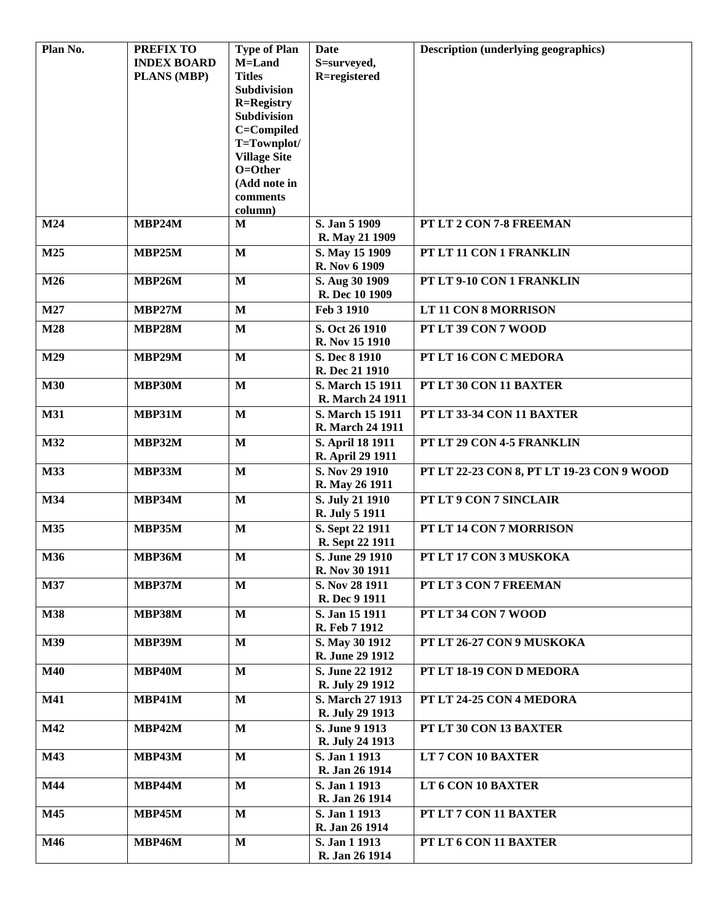| Plan No.   | PREFIX TO          | <b>Type of Plan</b> | Date                                 | <b>Description (underlying geographics)</b> |
|------------|--------------------|---------------------|--------------------------------------|---------------------------------------------|
|            | <b>INDEX BOARD</b> | M=Land              | S=surveyed,                          |                                             |
|            | PLANS (MBP)        | <b>Titles</b>       | R=registered                         |                                             |
|            |                    | Subdivision         |                                      |                                             |
|            |                    | <b>R=Registry</b>   |                                      |                                             |
|            |                    | Subdivision         |                                      |                                             |
|            |                    | C=Compiled          |                                      |                                             |
|            |                    | T=Townplot/         |                                      |                                             |
|            |                    | <b>Village Site</b> |                                      |                                             |
|            |                    | O=Other             |                                      |                                             |
|            |                    | (Add note in        |                                      |                                             |
|            |                    | comments            |                                      |                                             |
| M24        | MBP24M             | column)<br>M        | S. Jan 5 1909                        | PT LT 2 CON 7-8 FREEMAN                     |
|            |                    |                     | R. May 21 1909                       |                                             |
| M25        | <b>MBP25M</b>      | $\mathbf{M}$        | S. May 15 1909                       | PT LT 11 CON 1 FRANKLIN                     |
|            |                    |                     | R. Nov 6 1909                        |                                             |
| M26        | MBP26M             | $\mathbf{M}$        | S. Aug 30 1909                       | PT LT 9-10 CON 1 FRANKLIN                   |
|            |                    |                     | R. Dec 10 1909                       |                                             |
| M27        | <b>MBP27M</b>      | $\mathbf{M}$        | Feb 3 1910                           | LT 11 CON 8 MORRISON                        |
| M28        | <b>MBP28M</b>      | $\mathbf{M}$        | S. Oct 26 1910                       | PT LT 39 CON 7 WOOD                         |
|            |                    |                     | R. Nov 15 1910                       |                                             |
| M29        | <b>MBP29M</b>      | $\mathbf{M}$        | S. Dec 8 1910                        | PT LT 16 CON C MEDORA                       |
|            |                    |                     | R. Dec 21 1910                       |                                             |
| <b>M30</b> | <b>MBP30M</b>      | $\mathbf{M}$        | S. March 15 1911                     | PT LT 30 CON 11 BAXTER                      |
|            |                    |                     | R. March 24 1911                     |                                             |
| <b>M31</b> | MBP31M             | $\mathbf{M}$        | S. March 15 1911<br>R. March 24 1911 | PT LT 33-34 CON 11 BAXTER                   |
| M32        | <b>MBP32M</b>      | $\mathbf{M}$        | S. April 18 1911                     | PT LT 29 CON 4-5 FRANKLIN                   |
|            |                    |                     | R. April 29 1911                     |                                             |
| M33        | <b>MBP33M</b>      | $\mathbf{M}$        | S. Nov 29 1910                       | PT LT 22-23 CON 8, PT LT 19-23 CON 9 WOOD   |
|            |                    |                     | R. May 26 1911                       |                                             |
| M34        | <b>MBP34M</b>      | $\mathbf{M}$        | S. July 21 1910                      | PT LT 9 CON 7 SINCLAIR                      |
|            |                    |                     | R. July 5 1911                       |                                             |
| M35        | <b>MBP35M</b>      | $\mathbf{M}$        | S. Sept 22 1911                      | PT LT 14 CON 7 MORRISON                     |
|            |                    |                     | R. Sept 22 1911                      |                                             |
| M36        | <b>MBP36M</b>      | $\mathbf{M}$        | S. June 29 1910<br>R. Nov 30 1911    | PT LT 17 CON 3 MUSKOKA                      |
| M37        | MBP37M             | $\mathbf{M}$        | S. Nov 28 1911                       | PT LT 3 CON 7 FREEMAN                       |
|            |                    |                     | R. Dec 9 1911                        |                                             |
| <b>M38</b> | <b>MBP38M</b>      | $\mathbf{M}$        | S. Jan 15 1911                       | PT LT 34 CON 7 WOOD                         |
|            |                    |                     | R. Feb 7 1912                        |                                             |
| M39        | <b>MBP39M</b>      | $\mathbf{M}$        | S. May 30 1912                       | PT LT 26-27 CON 9 MUSKOKA                   |
|            |                    |                     | R. June 29 1912                      |                                             |
| <b>M40</b> | <b>MBP40M</b>      | $\mathbf{M}$        | S. June 22 1912                      | PT LT 18-19 CON D MEDORA                    |
|            |                    |                     | R. July 29 1912                      |                                             |
| <b>M41</b> | <b>MBP41M</b>      | $\mathbf{M}$        | S. March 27 1913                     | PT LT 24-25 CON 4 MEDORA                    |
|            |                    |                     | R. July 29 1913                      |                                             |
| M42        | <b>MBP42M</b>      | $\mathbf{M}$        | S. June 9 1913<br>R. July 24 1913    | PT LT 30 CON 13 BAXTER                      |
| M43        | <b>MBP43M</b>      | $\mathbf{M}$        | S. Jan 1 1913                        | LT 7 CON 10 BAXTER                          |
|            |                    |                     | R. Jan 26 1914                       |                                             |
| M44        | <b>MBP44M</b>      | $\mathbf{M}$        | S. Jan 1 1913                        | LT 6 CON 10 BAXTER                          |
|            |                    |                     | R. Jan 26 1914                       |                                             |
| M45        | <b>MBP45M</b>      | $\mathbf{M}$        | S. Jan 1 1913                        | PT LT 7 CON 11 BAXTER                       |
|            |                    |                     | R. Jan 26 1914                       |                                             |
| <b>M46</b> | <b>MBP46M</b>      | $\mathbf{M}$        | S. Jan 1 1913                        | PT LT 6 CON 11 BAXTER                       |
|            |                    |                     | R. Jan 26 1914                       |                                             |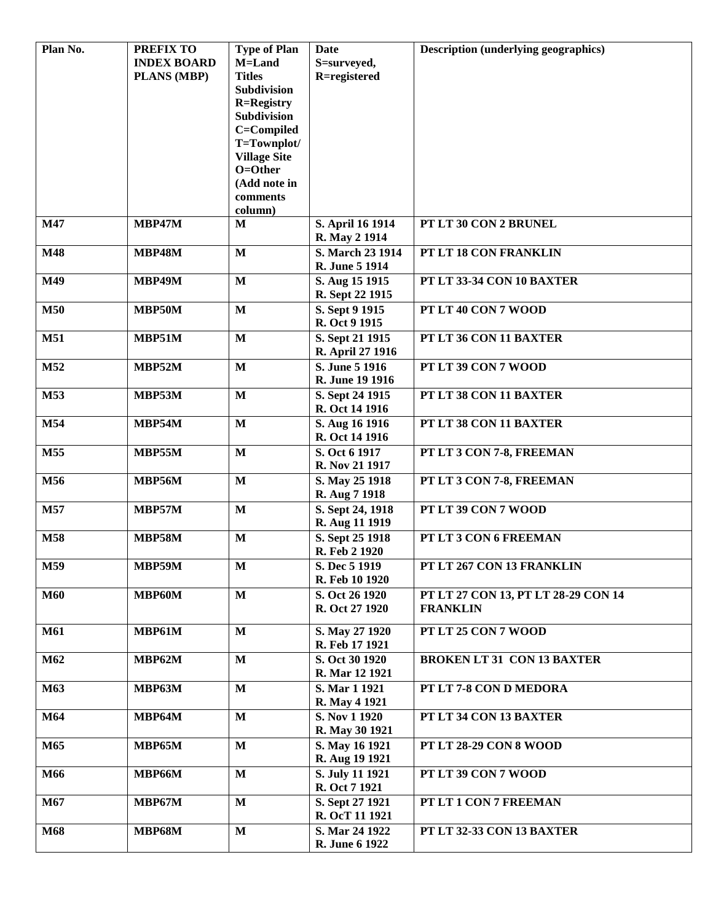| Plan No.   | <b>PREFIX TO</b>   | <b>Type of Plan</b>     | Date                               | <b>Description (underlying geographics)</b> |
|------------|--------------------|-------------------------|------------------------------------|---------------------------------------------|
|            | <b>INDEX BOARD</b> | M=Land                  | S=surveyed,                        |                                             |
|            | <b>PLANS (MBP)</b> | <b>Titles</b>           | R=registered                       |                                             |
|            |                    | Subdivision             |                                    |                                             |
|            |                    | <b>R=Registry</b>       |                                    |                                             |
|            |                    | Subdivision             |                                    |                                             |
|            |                    | C=Compiled              |                                    |                                             |
|            |                    | T=Townplot/             |                                    |                                             |
|            |                    | <b>Village Site</b>     |                                    |                                             |
|            |                    | O=Other                 |                                    |                                             |
|            |                    | (Add note in            |                                    |                                             |
|            |                    | comments<br>column)     |                                    |                                             |
| M47        | MBP47M             | M                       | S. April 16 1914                   | PT LT 30 CON 2 BRUNEL                       |
|            |                    |                         | R. May 2 1914                      |                                             |
| M48        | <b>MBP48M</b>      | $\mathbf{M}$            | S. March 23 1914                   | PT LT 18 CON FRANKLIN                       |
|            |                    |                         | R. June 5 1914                     |                                             |
| M49        | <b>MBP49M</b>      | $\mathbf{M}$            | S. Aug 15 1915                     | PT LT 33-34 CON 10 BAXTER                   |
|            |                    |                         | R. Sept 22 1915                    |                                             |
| <b>M50</b> | MBP50M             | $\mathbf{M}$            | S. Sept 9 1915                     | PT LT 40 CON 7 WOOD                         |
|            |                    |                         | R. Oct 9 1915                      |                                             |
|            |                    |                         |                                    | PT LT 36 CON 11 BAXTER                      |
| <b>M51</b> | MBP51M             | $\mathbf{M}$            | S. Sept 21 1915                    |                                             |
|            |                    |                         | R. April 27 1916<br>S. June 5 1916 |                                             |
| M52        | <b>MBP52M</b>      | $\mathbf{M}$            |                                    | PT LT 39 CON 7 WOOD                         |
|            |                    |                         | R. June 19 1916                    |                                             |
| M53        | MBP53M             | $\mathbf{M}$            | S. Sept 24 1915                    | PT LT 38 CON 11 BAXTER                      |
|            |                    |                         | R. Oct 14 1916                     |                                             |
| M54        | MBP54M             | $\mathbf{M}$            | S. Aug 16 1916                     | PT LT 38 CON 11 BAXTER                      |
|            |                    |                         | R. Oct 14 1916                     |                                             |
| M55        | <b>MBP55M</b>      | $\mathbf{M}$            | S. Oct 6 1917                      | PT LT 3 CON 7-8, FREEMAN                    |
|            |                    |                         | R. Nov 21 1917                     |                                             |
| M56        | <b>MBP56M</b>      | $\mathbf{M}$            | S. May 25 1918                     | PT LT 3 CON 7-8, FREEMAN                    |
|            |                    |                         | R. Aug 7 1918                      |                                             |
| M57        | MBP57M             | $\mathbf{M}$            | S. Sept 24, 1918                   | PT LT 39 CON 7 WOOD                         |
|            |                    |                         | R. Aug 11 1919                     |                                             |
| M58        | <b>MBP58M</b>      | $\mathbf{M}$            | S. Sept 25 1918                    | PT LT 3 CON 6 FREEMAN                       |
|            |                    |                         | R. Feb 2 1920                      |                                             |
| M59        | <b>MBP59M</b>      | $\overline{\mathbf{M}}$ | S. Dec 5 1919                      | PT LT 267 CON 13 FRANKLIN                   |
|            |                    |                         | R. Feb 10 1920                     |                                             |
| <b>M60</b> | MBP60M             | $\mathbf M$             | S. Oct 26 1920                     | PT LT 27 CON 13, PT LT 28-29 CON 14         |
|            |                    |                         | R. Oct 27 1920                     | <b>FRANKLIN</b>                             |
| <b>M61</b> | <b>MBP61M</b>      | $\mathbf M$             | S. May 27 1920                     | PT LT 25 CON 7 WOOD                         |
|            |                    |                         | R. Feb 17 1921                     |                                             |
| M62        | <b>MBP62M</b>      | $\mathbf M$             | S. Oct 30 1920                     | <b>BROKEN LT 31 CON 13 BAXTER</b>           |
|            |                    |                         | R. Mar 12 1921                     |                                             |
| M63        | <b>MBP63M</b>      | $\mathbf M$             | S. Mar 1 1921                      | PT LT 7-8 CON D MEDORA                      |
|            |                    |                         | R. May 4 1921                      |                                             |
| M64        | <b>MBP64M</b>      | $\mathbf M$             | S. Nov 1 1920                      | PT LT 34 CON 13 BAXTER                      |
|            |                    |                         | R. May 30 1921                     |                                             |
| M65        | <b>MBP65M</b>      | $\mathbf{M}$            | S. May 16 1921                     | <b>PT LT 28-29 CON 8 WOOD</b>               |
|            |                    |                         | R. Aug 19 1921                     |                                             |
| M66        | <b>MBP66M</b>      | $\mathbf M$             | S. July 11 1921                    | PT LT 39 CON 7 WOOD                         |
|            |                    |                         | R. Oct 7 1921                      |                                             |
| M67        | <b>MBP67M</b>      | $\mathbf M$             | S. Sept 27 1921                    | PT LT 1 CON 7 FREEMAN                       |
|            |                    |                         | R. OcT 11 1921                     |                                             |
| M68        | <b>MBP68M</b>      | $\mathbf M$             | S. Mar 24 1922                     | PT LT 32-33 CON 13 BAXTER                   |
|            |                    |                         | R. June 6 1922                     |                                             |
|            |                    |                         |                                    |                                             |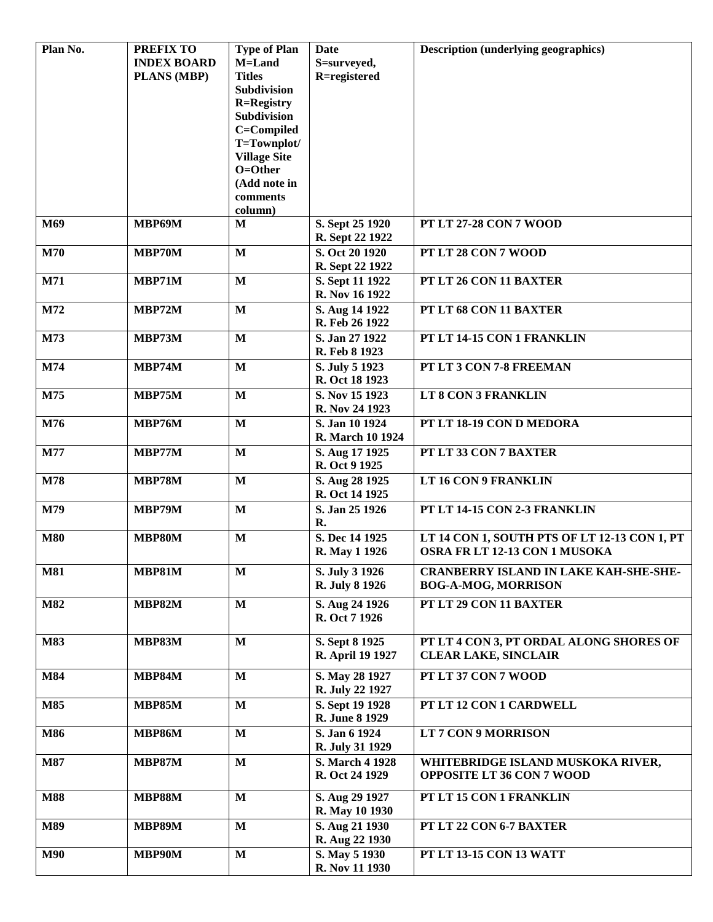| Plan No.   | <b>PREFIX TO</b>   | <b>Type of Plan</b> | Date             | <b>Description (underlying geographics)</b>  |
|------------|--------------------|---------------------|------------------|----------------------------------------------|
|            | <b>INDEX BOARD</b> | M=Land              | S=surveyed,      |                                              |
|            | <b>PLANS (MBP)</b> | <b>Titles</b>       | R=registered     |                                              |
|            |                    | Subdivision         |                  |                                              |
|            |                    | <b>R=Registry</b>   |                  |                                              |
|            |                    | <b>Subdivision</b>  |                  |                                              |
|            |                    | C=Compiled          |                  |                                              |
|            |                    | T=Townplot/         |                  |                                              |
|            |                    | <b>Village Site</b> |                  |                                              |
|            |                    | $O = Other$         |                  |                                              |
|            |                    | (Add note in        |                  |                                              |
|            |                    | comments            |                  |                                              |
|            |                    | column)             |                  |                                              |
| M69        | <b>MBP69M</b>      | M                   | S. Sept 25 1920  | <b>PT LT 27-28 CON 7 WOOD</b>                |
|            |                    |                     | R. Sept 22 1922  |                                              |
| M70        | MBP70M             | $\mathbf{M}$        | S. Oct 20 1920   | PT LT 28 CON 7 WOOD                          |
|            |                    |                     | R. Sept 22 1922  |                                              |
| M71        | MBP71M             | $\mathbf{M}$        | S. Sept 11 1922  | PT LT 26 CON 11 BAXTER                       |
|            |                    |                     | R. Nov 16 1922   |                                              |
| M72        | MBP72M             | $\mathbf{M}$        | S. Aug 14 1922   | PT LT 68 CON 11 BAXTER                       |
|            |                    |                     | R. Feb 26 1922   |                                              |
| M73        | MBP73M             | $\mathbf{M}$        | S. Jan 27 1922   | PT LT 14-15 CON 1 FRANKLIN                   |
|            |                    |                     | R. Feb 8 1923    |                                              |
| M74        | MBP74M             | $\mathbf{M}$        | S. July 5 1923   | PT LT 3 CON 7-8 FREEMAN                      |
|            |                    |                     | R. Oct 18 1923   |                                              |
| M75        | MBP75M             | M                   | S. Nov 15 1923   | LT 8 CON 3 FRANKLIN                          |
|            |                    |                     | R. Nov 24 1923   |                                              |
| M76        | MBP76M             | $\mathbf{M}$        | S. Jan 10 1924   | PT LT 18-19 CON D MEDORA                     |
|            |                    |                     | R. March 10 1924 |                                              |
|            |                    |                     |                  |                                              |
| M77        | MBP77M             | $\mathbf{M}$        | S. Aug 17 1925   | PT LT 33 CON 7 BAXTER                        |
|            |                    |                     | R. Oct 9 1925    |                                              |
| M78        | <b>MBP78M</b>      | $\mathbf{M}$        | S. Aug 28 1925   | LT 16 CON 9 FRANKLIN                         |
|            |                    |                     | R. Oct 14 1925   |                                              |
| M79        | MBP79M             | $\mathbf{M}$        | S. Jan 25 1926   | PT LT 14-15 CON 2-3 FRANKLIN                 |
|            |                    |                     | R.               |                                              |
| <b>M80</b> | <b>MBP80M</b>      | $\mathbf{M}$        | S. Dec 14 1925   | LT 14 CON 1, SOUTH PTS OF LT 12-13 CON 1, PT |
|            |                    |                     | R. May 1 1926    | OSRA FR LT 12-13 CON 1 MUSOKA                |
| <b>M81</b> | <b>MBP81M</b>      | $\mathbf M$         | S. July 3 1926   | CRANBERRY ISLAND IN LAKE KAH-SHE-SHE-        |
|            |                    |                     | R. July 8 1926   | <b>BOG-A-MOG, MORRISON</b>                   |
|            |                    |                     |                  |                                              |
| <b>M82</b> | <b>MBP82M</b>      | $\mathbf{M}$        | S. Aug 24 1926   | PT LT 29 CON 11 BAXTER                       |
|            |                    |                     | R. Oct 7 1926    |                                              |
| M83        | <b>MBP83M</b>      | $\mathbf M$         | S. Sept 8 1925   | PT LT 4 CON 3, PT ORDAL ALONG SHORES OF      |
|            |                    |                     | R. April 19 1927 | <b>CLEAR LAKE, SINCLAIR</b>                  |
|            |                    |                     |                  |                                              |
| M84        | <b>MBP84M</b>      | $\mathbf{M}$        | S. May 28 1927   | PT LT 37 CON 7 WOOD                          |
|            |                    |                     | R. July 22 1927  |                                              |
| M85        | <b>MBP85M</b>      | $\mathbf{M}$        | S. Sept 19 1928  | PT LT 12 CON 1 CARDWELL                      |
|            |                    |                     | R. June 8 1929   |                                              |
| M86        | <b>MBP86M</b>      | $\mathbf{M}$        | S. Jan 6 1924    | <b>LT 7 CON 9 MORRISON</b>                   |
|            |                    |                     | R. July 31 1929  |                                              |
| <b>M87</b> | <b>MBP87M</b>      | $\mathbf{M}$        | S. March 4 1928  | WHITEBRIDGE ISLAND MUSKOKA RIVER,            |
|            |                    |                     | R. Oct 24 1929   | <b>OPPOSITE LT 36 CON 7 WOOD</b>             |
|            |                    |                     |                  |                                              |
| <b>M88</b> | <b>MBP88M</b>      | $\mathbf{M}$        | S. Aug 29 1927   | PT LT 15 CON 1 FRANKLIN                      |
|            |                    |                     | R. May 10 1930   |                                              |
| M89        | <b>MBP89M</b>      | $\mathbf{M}$        | S. Aug 21 1930   | PT LT 22 CON 6-7 BAXTER                      |
|            |                    |                     | R. Aug 22 1930   |                                              |
| <b>M90</b> | MBP90M             | $\mathbf{M}$        | S. May 5 1930    | PT LT 13-15 CON 13 WATT                      |
|            |                    |                     | R. Nov 11 1930   |                                              |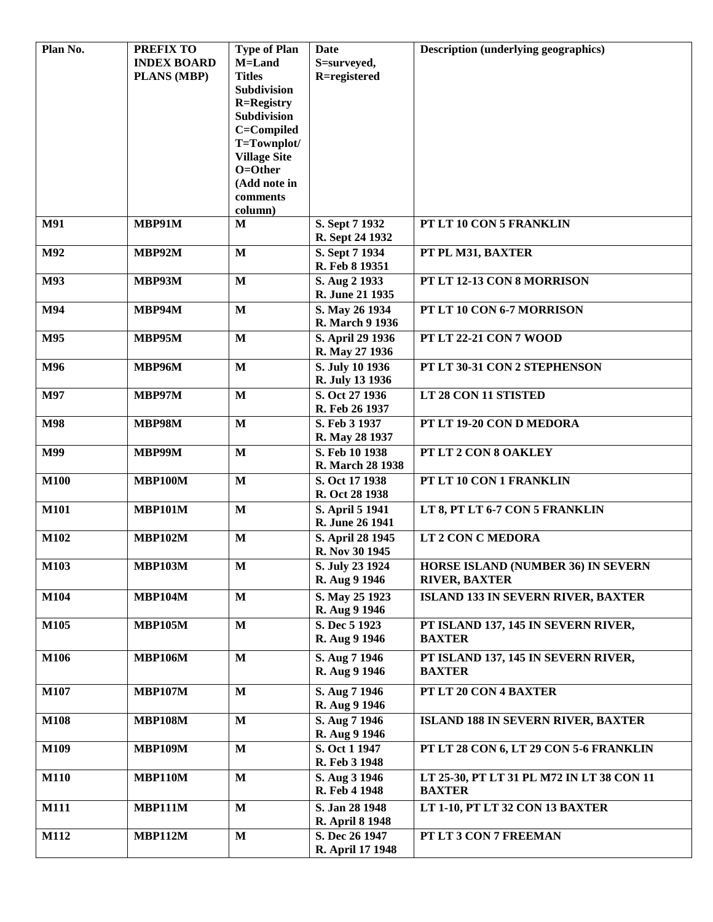| Plan No.    | <b>PREFIX TO</b>            | <b>Type of Plan</b>     | Date                   | <b>Description (underlying geographics)</b> |
|-------------|-----------------------------|-------------------------|------------------------|---------------------------------------------|
|             | <b>INDEX BOARD</b>          | M=Land                  | S=surveyed,            |                                             |
|             | PLANS (MBP)                 | <b>Titles</b>           | R=registered           |                                             |
|             |                             | Subdivision             |                        |                                             |
|             |                             | <b>R=Registry</b>       |                        |                                             |
|             |                             | <b>Subdivision</b>      |                        |                                             |
|             |                             | C=Compiled              |                        |                                             |
|             |                             | T=Townplot/             |                        |                                             |
|             |                             | <b>Village Site</b>     |                        |                                             |
|             |                             | O=Other                 |                        |                                             |
|             |                             | (Add note in            |                        |                                             |
|             |                             | comments                |                        |                                             |
|             |                             | column)                 |                        |                                             |
| <b>M91</b>  | <b>MBP91M</b>               | M                       | S. Sept 7 1932         | PT LT 10 CON 5 FRANKLIN                     |
|             |                             |                         | R. Sept 24 1932        |                                             |
| M92         | MBP92M                      | $\mathbf{M}$            | S. Sept 7 1934         | PT PL M31, BAXTER                           |
|             |                             |                         | R. Feb 8 19351         |                                             |
| M93         | <b>MBP93M</b>               | $\mathbf{M}$            | S. Aug 2 1933          | PT LT 12-13 CON 8 MORRISON                  |
|             |                             |                         | R. June 21 1935        |                                             |
|             |                             |                         |                        |                                             |
| M94         | <b>MBP94M</b>               | $\mathbf{M}$            | S. May 26 1934         | PT LT 10 CON 6-7 MORRISON                   |
|             |                             |                         | <b>R.</b> March 9 1936 |                                             |
| M95         | <b>MBP95M</b>               | $\mathbf{M}$            | S. April 29 1936       | <b>PT LT 22-21 CON 7 WOOD</b>               |
|             |                             |                         | R. May 27 1936         |                                             |
| M96         | <b>MBP96M</b>               | $\mathbf{M}$            | S. July 10 1936        | PT LT 30-31 CON 2 STEPHENSON                |
|             |                             |                         | R. July 13 1936        |                                             |
| M97         | MBP97M                      | $\mathbf{M}$            | S. Oct 27 1936         | LT 28 CON 11 STISTED                        |
|             |                             |                         | R. Feb 26 1937         |                                             |
| <b>M98</b>  | <b>MBP98M</b>               | $\mathbf{M}$            | S. Feb 3 1937          | PT LT 19-20 CON D MEDORA                    |
|             |                             |                         | R. May 28 1937         |                                             |
| M99         | <b>MBP99M</b>               | $\mathbf{M}$            | S. Feb 10 1938         | PT LT 2 CON 8 OAKLEY                        |
|             |                             |                         | R. March 28 1938       |                                             |
| <b>M100</b> | <b>MBP100M</b>              | $\mathbf{M}$            | S. Oct 17 1938         | PT LT 10 CON 1 FRANKLIN                     |
|             |                             |                         | R. Oct 28 1938         |                                             |
|             |                             |                         |                        |                                             |
| <b>M101</b> | <b>MBP101M</b>              | $\mathbf{M}$            | S. April 5 1941        | LT 8, PT LT 6-7 CON 5 FRANKLIN              |
|             |                             |                         | R. June 26 1941        |                                             |
| M102        | <b>MBP102M</b>              | $\mathbf{M}$            | S. April 28 1945       | <b>LT 2 CON C MEDORA</b>                    |
|             |                             |                         | R. Nov 30 1945         |                                             |
| M103        | $\overline{\text{MBP103M}}$ | $\overline{\mathbf{M}}$ | S. July 23 1924        | <b>HORSE ISLAND (NUMBER 36) IN SEVERN</b>   |
|             |                             |                         | R. Aug 9 1946          | <b>RIVER, BAXTER</b>                        |
| M104        | <b>MBP104M</b>              | $\mathbf M$             | S. May 25 1923         | <b>ISLAND 133 IN SEVERN RIVER, BAXTER</b>   |
|             |                             |                         | R. Aug 9 1946          |                                             |
| M105        | <b>MBP105M</b>              | $\mathbf{M}$            | S. Dec 5 1923          | PT ISLAND 137, 145 IN SEVERN RIVER,         |
|             |                             |                         | R. Aug 9 1946          | <b>BAXTER</b>                               |
|             |                             |                         |                        |                                             |
| M106        | <b>MBP106M</b>              | $\mathbf{M}$            | S. Aug 7 1946          | PT ISLAND 137, 145 IN SEVERN RIVER,         |
|             |                             |                         | R. Aug 9 1946          | <b>BAXTER</b>                               |
| M107        | <b>MBP107M</b>              | M                       | S. Aug 7 1946          | PT LT 20 CON 4 BAXTER                       |
|             |                             |                         | R. Aug 9 1946          |                                             |
| <b>M108</b> | <b>MBP108M</b>              | M                       | S. Aug 7 1946          | <b>ISLAND 188 IN SEVERN RIVER, BAXTER</b>   |
|             |                             |                         | R. Aug 9 1946          |                                             |
| M109        | <b>MBP109M</b>              | M                       | S. Oct 1 1947          | PT LT 28 CON 6, LT 29 CON 5-6 FRANKLIN      |
|             |                             |                         |                        |                                             |
|             |                             |                         | R. Feb 3 1948          |                                             |
| <b>M110</b> | <b>MBP110M</b>              | M                       | S. Aug 3 1946          | LT 25-30, PT LT 31 PL M72 IN LT 38 CON 11   |
|             |                             |                         | R. Feb 4 1948          | <b>BAXTER</b>                               |
| <b>M111</b> | <b>MBP111M</b>              | M                       | S. Jan 28 1948         | LT 1-10, PT LT 32 CON 13 BAXTER             |
|             |                             |                         | <b>R.</b> April 8 1948 |                                             |
| <b>M112</b> | <b>MBP112M</b>              | $\mathbf{M}$            | S. Dec 26 1947         | PT LT 3 CON 7 FREEMAN                       |
|             |                             |                         | R. April 17 1948       |                                             |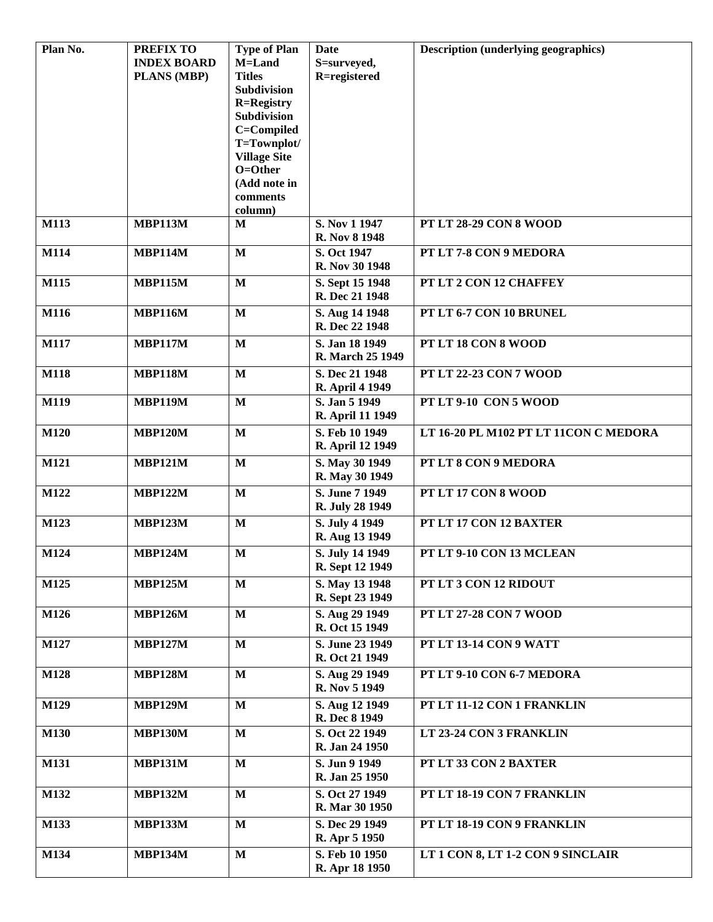| Plan No.    | <b>PREFIX TO</b>   | <b>Type of Plan</b>              | Date                   | <b>Description (underlying geographics)</b> |
|-------------|--------------------|----------------------------------|------------------------|---------------------------------------------|
|             | <b>INDEX BOARD</b> | M=Land                           | S=surveyed,            |                                             |
|             | <b>PLANS (MBP)</b> | <b>Titles</b>                    | R=registered           |                                             |
|             |                    | Subdivision                      |                        |                                             |
|             |                    | <b>R=Registry</b><br>Subdivision |                        |                                             |
|             |                    | C=Compiled                       |                        |                                             |
|             |                    | T=Townplot/                      |                        |                                             |
|             |                    | <b>Village Site</b>              |                        |                                             |
|             |                    | O=Other                          |                        |                                             |
|             |                    | (Add note in                     |                        |                                             |
|             |                    | comments                         |                        |                                             |
|             |                    | column)                          |                        |                                             |
| M113        | <b>MBP113M</b>     | M                                | S. Nov 1 1947          | <b>PT LT 28-29 CON 8 WOOD</b>               |
|             |                    |                                  | R. Nov 8 1948          |                                             |
| <b>M114</b> | <b>MBP114M</b>     | $\mathbf{M}$                     | S. Oct 1947            | PT LT 7-8 CON 9 MEDORA                      |
|             |                    |                                  | R. Nov 30 1948         |                                             |
| M115        | <b>MBP115M</b>     | $\mathbf{M}$                     | S. Sept 15 1948        | PT LT 2 CON 12 CHAFFEY                      |
|             |                    |                                  | R. Dec 21 1948         |                                             |
| M116        | <b>MBP116M</b>     | $\mathbf{M}$                     | S. Aug 14 1948         | PT LT 6-7 CON 10 BRUNEL                     |
|             |                    |                                  | R. Dec 22 1948         |                                             |
| <b>M117</b> | <b>MBP117M</b>     | $\mathbf{M}$                     | S. Jan 18 1949         | PT LT 18 CON 8 WOOD                         |
|             |                    |                                  | R. March 25 1949       |                                             |
| <b>M118</b> | <b>MBP118M</b>     | $\mathbf{M}$                     | S. Dec 21 1948         | PT LT 22-23 CON 7 WOOD                      |
|             |                    |                                  | <b>R.</b> April 4 1949 |                                             |
| M119        | <b>MBP119M</b>     | $\mathbf{M}$                     | S. Jan 5 1949          | PT LT 9-10 CON 5 WOOD                       |
|             |                    |                                  | R. April 11 1949       |                                             |
| <b>M120</b> | <b>MBP120M</b>     | $\mathbf{M}$                     | S. Feb 10 1949         | LT 16-20 PL M102 PT LT 11CON C MEDORA       |
|             |                    |                                  | R. April 12 1949       |                                             |
| M121        | <b>MBP121M</b>     | M                                | S. May 30 1949         | PT LT 8 CON 9 MEDORA                        |
|             |                    |                                  | R. May 30 1949         |                                             |
| M122        | <b>MBP122M</b>     | $\mathbf{M}$                     | S. June 7 1949         | PT LT 17 CON 8 WOOD                         |
|             |                    |                                  | R. July 28 1949        |                                             |
| M123        | <b>MBP123M</b>     | $\mathbf{M}$                     | S. July 4 1949         | PT LT 17 CON 12 BAXTER                      |
|             |                    |                                  | R. Aug 13 1949         |                                             |
| M124        | <b>MBP124M</b>     | $\mathbf{M}$                     | S. July 14 1949        | PT LT 9-10 CON 13 MCLEAN                    |
|             |                    |                                  | R. Sept 12 1949        |                                             |
| M125        | <b>MBP125M</b>     | M                                | S. May 13 1948         | PT LT 3 CON 12 RIDOUT                       |
|             |                    |                                  | R. Sept 23 1949        |                                             |
| M126        | <b>MBP126M</b>     | $\mathbf{M}$                     | S. Aug 29 1949         | PT LT 27-28 CON 7 WOOD                      |
|             |                    |                                  | R. Oct 15 1949         |                                             |
| M127        | <b>MBP127M</b>     | $\mathbf{M}$                     | S. June 23 1949        | PT LT 13-14 CON 9 WATT                      |
|             |                    |                                  | R. Oct 21 1949         |                                             |
| M128        | <b>MBP128M</b>     | $\mathbf{M}$                     | S. Aug 29 1949         | PT LT 9-10 CON 6-7 MEDORA                   |
|             |                    |                                  | R. Nov 5 1949          |                                             |
| M129        | <b>MBP129M</b>     | $\mathbf{M}$                     | S. Aug 12 1949         | PT LT 11-12 CON 1 FRANKLIN                  |
|             |                    |                                  | R. Dec 8 1949          |                                             |
| <b>M130</b> | <b>MBP130M</b>     | $\mathbf{M}$                     | S. Oct 22 1949         | LT 23-24 CON 3 FRANKLIN                     |
|             |                    |                                  | R. Jan 24 1950         |                                             |
| <b>M131</b> | <b>MBP131M</b>     | $\mathbf{M}$                     | S. Jun 9 1949          | PT LT 33 CON 2 BAXTER                       |
|             |                    |                                  | R. Jan 25 1950         |                                             |
| M132        | <b>MBP132M</b>     | $\mathbf{M}$                     | S. Oct 27 1949         | PT LT 18-19 CON 7 FRANKLIN                  |
|             |                    |                                  | R. Mar 30 1950         |                                             |
| M133        | <b>MBP133M</b>     | $\mathbf{M}$                     | S. Dec 29 1949         | PT LT 18-19 CON 9 FRANKLIN                  |
|             |                    |                                  | <b>R.</b> Apr 5 1950   |                                             |
| M134        | <b>MBP134M</b>     | $\mathbf{M}$                     | S. Feb 10 1950         | LT 1 CON 8, LT 1-2 CON 9 SINCLAIR           |
|             |                    |                                  | R. Apr 18 1950         |                                             |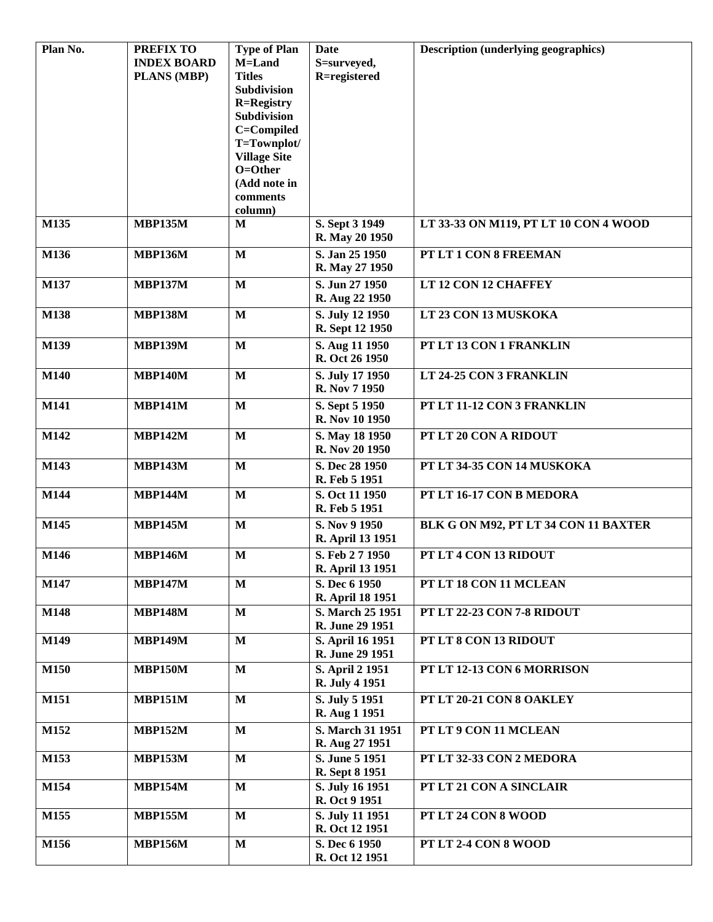| Plan No.    | <b>PREFIX TO</b><br><b>INDEX BOARD</b><br>PLANS (MBP) | <b>Type of Plan</b><br>M=Land<br><b>Titles</b><br>Subdivision<br><b>R=Registry</b><br><b>Subdivision</b><br>C=Compiled<br>T=Townplot/ | Date<br>S=surveyed,<br>R=registered      | <b>Description (underlying geographics)</b> |
|-------------|-------------------------------------------------------|---------------------------------------------------------------------------------------------------------------------------------------|------------------------------------------|---------------------------------------------|
|             |                                                       | <b>Village Site</b><br>O=Other<br>(Add note in<br>comments<br>column)                                                                 |                                          |                                             |
| M135        | <b>MBP135M</b>                                        | M                                                                                                                                     | S. Sept 3 1949<br>R. May 20 1950         | LT 33-33 ON M119, PT LT 10 CON 4 WOOD       |
| M136        | <b>MBP136M</b>                                        | $\mathbf{M}$                                                                                                                          | S. Jan 25 1950<br>R. May 27 1950         | PT LT 1 CON 8 FREEMAN                       |
| M137        | <b>MBP137M</b>                                        | $\mathbf{M}$                                                                                                                          | S. Jun 27 1950<br>R. Aug 22 1950         | LT 12 CON 12 CHAFFEY                        |
| M138        | <b>MBP138M</b>                                        | $\mathbf{M}$                                                                                                                          | S. July 12 1950<br>R. Sept 12 1950       | LT 23 CON 13 MUSKOKA                        |
| M139        | <b>MBP139M</b>                                        | $\mathbf{M}$                                                                                                                          | S. Aug 11 1950<br>R. Oct 26 1950         | PT LT 13 CON 1 FRANKLIN                     |
| <b>M140</b> | <b>MBP140M</b>                                        | $\mathbf{M}$                                                                                                                          | S. July 17 1950<br>R. Nov 7 1950         | LT 24-25 CON 3 FRANKLIN                     |
| M141        | <b>MBP141M</b>                                        | $\mathbf{M}$                                                                                                                          | S. Sept 5 1950<br>R. Nov 10 1950         | PT LT 11-12 CON 3 FRANKLIN                  |
| M142        | <b>MBP142M</b>                                        | $\mathbf{M}$                                                                                                                          | S. May 18 1950<br>R. Nov 20 1950         | PT LT 20 CON A RIDOUT                       |
| M143        | <b>MBP143M</b>                                        | $\mathbf{M}$                                                                                                                          | S. Dec 28 1950<br>R. Feb 5 1951          | PT LT 34-35 CON 14 MUSKOKA                  |
| M144        | <b>MBP144M</b>                                        | $\mathbf{M}$                                                                                                                          | S. Oct 11 1950<br>R. Feb 5 1951          | PT LT 16-17 CON B MEDORA                    |
| M145        | <b>MBP145M</b>                                        | $\mathbf{M}$                                                                                                                          | S. Nov 9 1950<br>R. April 13 1951        | BLK G ON M92, PT LT 34 CON 11 BAXTER        |
| M146        | <b>MBP146M</b>                                        | $\mathbf{M}$                                                                                                                          | S. Feb 27 1950<br>R. April 13 1951       | PT LT 4 CON 13 RIDOUT                       |
| M147        | <b>MBP147M</b>                                        | $\mathbf{M}$                                                                                                                          | S. Dec 6 1950<br>R. April 18 1951        | PT LT 18 CON 11 MCLEAN                      |
| <b>M148</b> | <b>MBP148M</b>                                        | $\mathbf M$                                                                                                                           | S. March 25 1951<br>R. June 29 1951      | PT LT 22-23 CON 7-8 RIDOUT                  |
| M149        | <b>MBP149M</b>                                        | $\mathbf{M}$                                                                                                                          | S. April 16 1951<br>R. June 29 1951      | PT LT 8 CON 13 RIDOUT                       |
| M150        | <b>MBP150M</b>                                        | $\mathbf{M}$                                                                                                                          | <b>S. April 2 1951</b><br>R. July 4 1951 | PT LT 12-13 CON 6 MORRISON                  |
| M151        | <b>MBP151M</b>                                        | $\mathbf{M}$                                                                                                                          | S. July 5 1951<br>R. Aug 1 1951          | PT LT 20-21 CON 8 OAKLEY                    |
| M152        | <b>MBP152M</b>                                        | $\mathbf{M}$                                                                                                                          | S. March 31 1951<br>R. Aug 27 1951       | PT LT 9 CON 11 MCLEAN                       |
| M153        | <b>MBP153M</b>                                        | $\mathbf{M}$                                                                                                                          | S. June 5 1951<br>R. Sept 8 1951         | PT LT 32-33 CON 2 MEDORA                    |
| M154        | <b>MBP154M</b>                                        | $\mathbf{M}$                                                                                                                          | S. July 16 1951<br>R. Oct 9 1951         | PT LT 21 CON A SINCLAIR                     |
| M155        | <b>MBP155M</b>                                        | $\mathbf{M}$                                                                                                                          | S. July 11 1951<br>R. Oct 12 1951        | PT LT 24 CON 8 WOOD                         |
| M156        | <b>MBP156M</b>                                        | $\mathbf{M}$                                                                                                                          | S. Dec 6 1950<br>R. Oct 12 1951          | PT LT 2-4 CON 8 WOOD                        |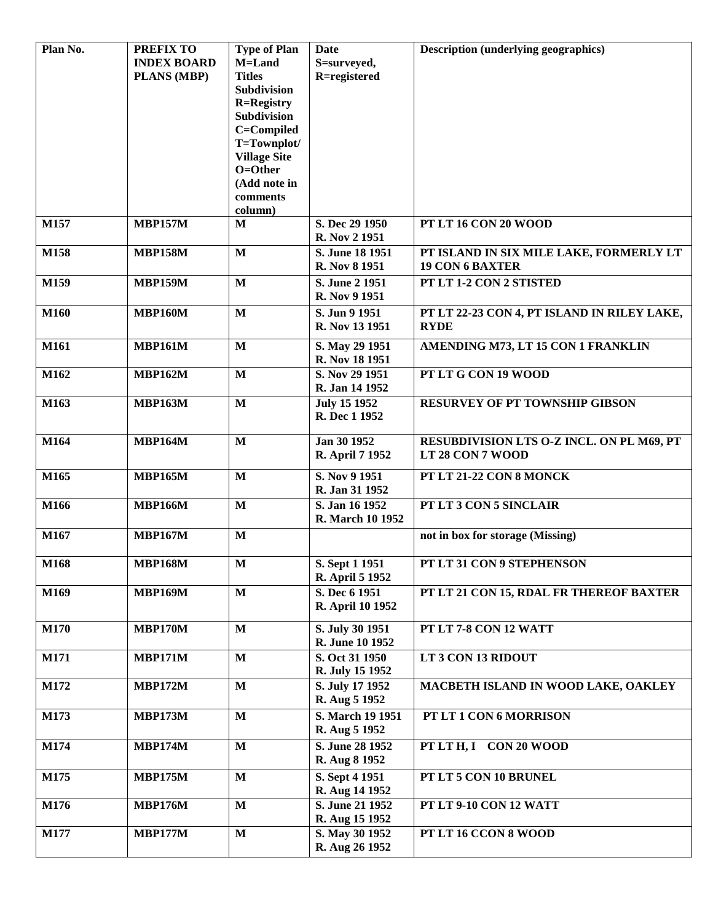| Plan No.    | <b>PREFIX TO</b>   | <b>Type of Plan</b>                 | Date                             | <b>Description (underlying geographics)</b>                       |
|-------------|--------------------|-------------------------------------|----------------------------------|-------------------------------------------------------------------|
|             | <b>INDEX BOARD</b> | M=Land                              | S=surveyed,                      |                                                                   |
|             | PLANS (MBP)        | <b>Titles</b><br><b>Subdivision</b> | R=registered                     |                                                                   |
|             |                    | <b>R=Registry</b>                   |                                  |                                                                   |
|             |                    | <b>Subdivision</b>                  |                                  |                                                                   |
|             |                    | C=Compiled                          |                                  |                                                                   |
|             |                    | T=Townplot/                         |                                  |                                                                   |
|             |                    | <b>Village Site</b>                 |                                  |                                                                   |
|             |                    | $O = Other$                         |                                  |                                                                   |
|             |                    | (Add note in                        |                                  |                                                                   |
|             |                    | comments                            |                                  |                                                                   |
| M157        | <b>MBP157M</b>     | column)                             |                                  | PT LT 16 CON 20 WOOD                                              |
|             |                    | M                                   | S. Dec 29 1950<br>R. Nov 2 1951  |                                                                   |
| M158        | <b>MBP158M</b>     | $\mathbf{M}$                        | S. June 18 1951                  | PT ISLAND IN SIX MILE LAKE, FORMERLY LT<br><b>19 CON 6 BAXTER</b> |
|             |                    |                                     | R. Nov 8 1951                    |                                                                   |
| M159        | <b>MBP159M</b>     | $\mathbf{M}$                        | S. June 2 1951<br>R. Nov 9 1951  | PT LT 1-2 CON 2 STISTED                                           |
| M160        | MBP160M            | M                                   | S. Jun 9 1951                    | PT LT 22-23 CON 4, PT ISLAND IN RILEY LAKE,                       |
|             |                    |                                     | R. Nov 13 1951                   | <b>RYDE</b>                                                       |
| M161        | <b>MBP161M</b>     | M                                   | S. May 29 1951                   | AMENDING M73, LT 15 CON 1 FRANKLIN                                |
|             |                    |                                     | R. Nov 18 1951                   |                                                                   |
| M162        | <b>MBP162M</b>     | $\mathbf{M}$                        | S. Nov 29 1951                   | PT LT G CON 19 WOOD                                               |
|             |                    |                                     | R. Jan 14 1952                   |                                                                   |
| M163        | <b>MBP163M</b>     | $\mathbf{M}$                        | <b>July 15 1952</b>              | <b>RESURVEY OF PT TOWNSHIP GIBSON</b>                             |
|             |                    |                                     | R. Dec 1 1952                    |                                                                   |
| M164        | <b>MBP164M</b>     | $\mathbf{M}$                        | Jan 30 1952                      | RESUBDIVISION LTS O-Z INCL. ON PL M69, PT                         |
|             |                    |                                     | R. April 7 1952                  | LT 28 CON 7 WOOD                                                  |
| M165        | <b>MBP165M</b>     | $\mathbf{M}$                        | S. Nov 9 1951                    | PT LT 21-22 CON 8 MONCK                                           |
|             |                    |                                     | R. Jan 31 1952                   |                                                                   |
| M166        | <b>MBP166M</b>     | $\mathbf{M}$                        | S. Jan 16 1952                   | PT LT 3 CON 5 SINCLAIR                                            |
|             |                    |                                     | R. March 10 1952                 |                                                                   |
| M167        | <b>MBP167M</b>     | $\mathbf{M}$                        |                                  | not in box for storage (Missing)                                  |
| M168        | <b>MBP168M</b>     | $\mathbf M$                         | S. Sept 1 1951                   | PT LT 31 CON 9 STEPHENSON                                         |
|             |                    |                                     | R. April 5 1952                  |                                                                   |
| M169        | <b>MBP169M</b>     | $\mathbf{M}$                        | S. Dec 6 1951                    | PT LT 21 CON 15, RDAL FR THEREOF BAXTER                           |
|             |                    |                                     | R. April 10 1952                 |                                                                   |
| <b>M170</b> | <b>MBP170M</b>     | $\mathbf{M}$                        | S. July 30 1951                  | PT LT 7-8 CON 12 WATT                                             |
|             |                    |                                     | R. June 10 1952                  |                                                                   |
| M171        | <b>MBP171M</b>     | $\mathbf{M}$                        | S. Oct 31 1950                   | LT 3 CON 13 RIDOUT                                                |
|             |                    |                                     | R. July 15 1952                  |                                                                   |
| M172        | <b>MBP172M</b>     | $\mathbf{M}$                        | S. July 17 1952                  | MACBETH ISLAND IN WOOD LAKE, OAKLEY                               |
|             |                    |                                     | R. Aug 5 1952                    |                                                                   |
| M173        | <b>MBP173M</b>     | $\mathbf{M}$                        | S. March 19 1951                 | PT LT 1 CON 6 MORRISON                                            |
|             |                    |                                     | R. Aug 5 1952                    |                                                                   |
| M174        | <b>MBP174M</b>     | $\mathbf{M}$                        | S. June 28 1952                  | PT LT H, I CON 20 WOOD                                            |
|             |                    |                                     | R. Aug 8 1952                    |                                                                   |
| M175        | <b>MBP175M</b>     | M                                   | S. Sept 4 1951<br>R. Aug 14 1952 | PT LT 5 CON 10 BRUNEL                                             |
| M176        | <b>MBP176M</b>     | $\mathbf{M}$                        | S. June 21 1952                  | PT LT 9-10 CON 12 WATT                                            |
|             |                    |                                     | R. Aug 15 1952                   |                                                                   |
| <b>M177</b> | <b>MBP177M</b>     | $\mathbf{M}$                        | S. May 30 1952                   | PT LT 16 CCON 8 WOOD                                              |
|             |                    |                                     | R. Aug 26 1952                   |                                                                   |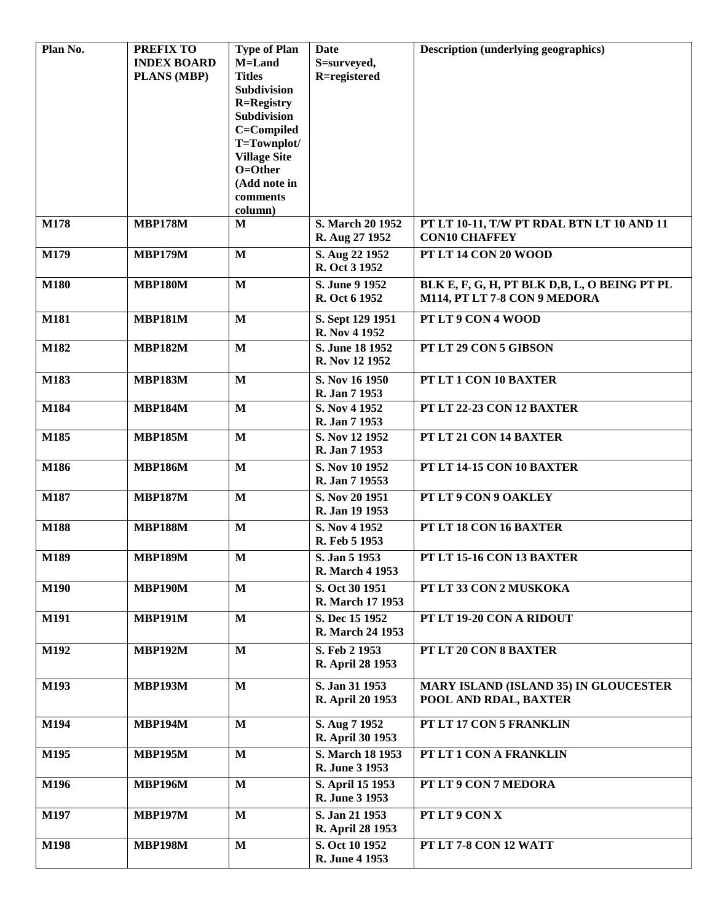| Plan No.    | <b>PREFIX TO</b>   | <b>Type of Plan</b>     | Date                               | <b>Description (underlying geographics)</b>                       |
|-------------|--------------------|-------------------------|------------------------------------|-------------------------------------------------------------------|
|             | <b>INDEX BOARD</b> | M=Land<br><b>Titles</b> | S=surveyed,<br>R=registered        |                                                                   |
|             | <b>PLANS (MBP)</b> | <b>Subdivision</b>      |                                    |                                                                   |
|             |                    | <b>R=Registry</b>       |                                    |                                                                   |
|             |                    | <b>Subdivision</b>      |                                    |                                                                   |
|             |                    | C=Compiled              |                                    |                                                                   |
|             |                    | T=Townplot/             |                                    |                                                                   |
|             |                    | <b>Village Site</b>     |                                    |                                                                   |
|             |                    | O=Other                 |                                    |                                                                   |
|             |                    | (Add note in            |                                    |                                                                   |
|             |                    | comments                |                                    |                                                                   |
|             |                    | column)                 |                                    |                                                                   |
| M178        | <b>MBP178M</b>     | M                       | S. March 20 1952<br>R. Aug 27 1952 | PT LT 10-11, T/W PT RDAL BTN LT 10 AND 11<br><b>CON10 CHAFFEY</b> |
| M179        | <b>MBP179M</b>     | $\mathbf{M}$            | S. Aug 22 1952                     | PT LT 14 CON 20 WOOD                                              |
|             |                    |                         | R. Oct 3 1952                      |                                                                   |
| <b>M180</b> | <b>MBP180M</b>     | $\mathbf{M}$            | S. June 9 1952                     | BLK E, F, G, H, PT BLK D,B, L, O BEING PT PL                      |
|             |                    |                         | R. Oct 6 1952                      | M114, PT LT 7-8 CON 9 MEDORA                                      |
| <b>M181</b> |                    | $\mathbf{M}$            |                                    | PT LT 9 CON 4 WOOD                                                |
|             | <b>MBP181M</b>     |                         | S. Sept 129 1951<br>R. Nov 4 1952  |                                                                   |
| M182        | <b>MBP182M</b>     | $\mathbf{M}$            | S. June 18 1952                    | PT LT 29 CON 5 GIBSON                                             |
|             |                    |                         | R. Nov 12 1952                     |                                                                   |
| M183        | <b>MBP183M</b>     | $\mathbf{M}$            | S. Nov 16 1950                     | PT LT 1 CON 10 BAXTER                                             |
|             |                    |                         | R. Jan 7 1953                      |                                                                   |
| M184        | <b>MBP184M</b>     | $\mathbf{M}$            | S. Nov 4 1952                      | PT LT 22-23 CON 12 BAXTER                                         |
|             |                    |                         | R. Jan 7 1953                      |                                                                   |
| M185        | <b>MBP185M</b>     | $\mathbf{M}$            | S. Nov 12 1952                     | PT LT 21 CON 14 BAXTER                                            |
|             |                    |                         | R. Jan 7 1953                      |                                                                   |
| M186        | <b>MBP186M</b>     | $\mathbf{M}$            | S. Nov 10 1952                     | PT LT 14-15 CON 10 BAXTER                                         |
|             |                    |                         | R. Jan 7 19553                     |                                                                   |
| M187        | <b>MBP187M</b>     | $\mathbf{M}$            | S. Nov 20 1951                     | PT LT 9 CON 9 OAKLEY                                              |
|             |                    |                         | R. Jan 19 1953                     |                                                                   |
| <b>M188</b> | <b>MBP188M</b>     | M                       | S. Nov 4 1952                      | PT LT 18 CON 16 BAXTER                                            |
|             |                    |                         | R. Feb 5 1953                      |                                                                   |
| M189        | <b>MBP189M</b>     | M                       | S. Jan 5 1953                      | PT LT 15-16 CON 13 BAXTER                                         |
|             |                    |                         | R. March 4 1953                    |                                                                   |
| <b>M190</b> | <b>MBP190M</b>     | $\mathbf{M}$            | S. Oct 30 1951                     | PT LT 33 CON 2 MUSKOKA                                            |
|             |                    |                         | R. March 17 1953                   |                                                                   |
| <b>M191</b> | <b>MBP191M</b>     | M                       | S. Dec 15 1952                     | PT LT 19-20 CON A RIDOUT                                          |
|             |                    |                         | R. March 24 1953                   |                                                                   |
| M192        | <b>MBP192M</b>     | $\mathbf M$             | S. Feb 2 1953                      | PT LT 20 CON 8 BAXTER                                             |
|             |                    |                         | R. April 28 1953                   |                                                                   |
| M193        | <b>MBP193M</b>     | $\mathbf{M}$            | S. Jan 31 1953                     | <b>MARY ISLAND (ISLAND 35) IN GLOUCESTER</b>                      |
|             |                    |                         | R. April 20 1953                   | POOL AND RDAL, BAXTER                                             |
|             |                    |                         |                                    |                                                                   |
| M194        | <b>MBP194M</b>     | $\mathbf{M}$            | S. Aug 7 1952                      | PT LT 17 CON 5 FRANKLIN                                           |
|             |                    |                         | R. April 30 1953                   |                                                                   |
| M195        | <b>MBP195M</b>     | $\mathbf{M}$            | S. March 18 1953<br>R. June 3 1953 | PT LT 1 CON A FRANKLIN                                            |
|             |                    |                         |                                    |                                                                   |
| M196        | <b>MBP196M</b>     | $\mathbf{M}$            | S. April 15 1953<br>R. June 3 1953 | PT LT 9 CON 7 MEDORA                                              |
|             |                    |                         |                                    |                                                                   |
| M197        | <b>MBP197M</b>     | $\mathbf{M}$            | S. Jan 21 1953<br>R. April 28 1953 | PT LT 9 CON X                                                     |
| <b>M198</b> | <b>MBP198M</b>     | $\mathbf{M}$            | S. Oct 10 1952                     | PT LT 7-8 CON 12 WATT                                             |
|             |                    |                         | R. June 4 1953                     |                                                                   |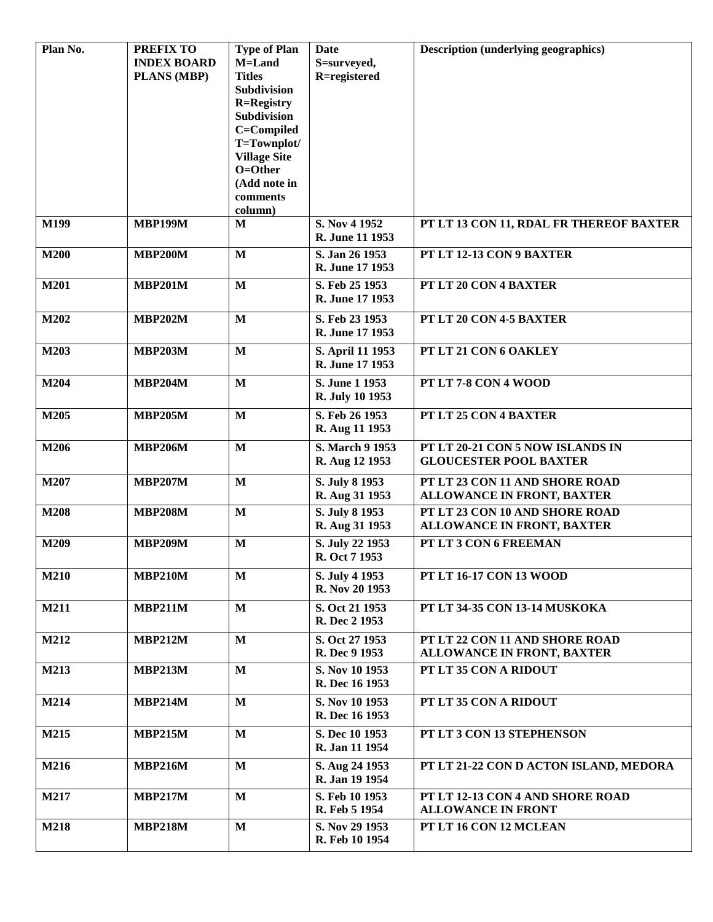| Plan No.    | <b>PREFIX TO</b>   | <b>Type of Plan</b>              | Date                             | <b>Description (underlying geographics)</b> |
|-------------|--------------------|----------------------------------|----------------------------------|---------------------------------------------|
|             | <b>INDEX BOARD</b> | M=Land                           | S=surveyed,                      |                                             |
|             | <b>PLANS (MBP)</b> | <b>Titles</b>                    | R=registered                     |                                             |
|             |                    | Subdivision<br><b>R=Registry</b> |                                  |                                             |
|             |                    | <b>Subdivision</b>               |                                  |                                             |
|             |                    | C=Compiled                       |                                  |                                             |
|             |                    | T=Townplot/                      |                                  |                                             |
|             |                    | <b>Village Site</b>              |                                  |                                             |
|             |                    | $O = Other$                      |                                  |                                             |
|             |                    | (Add note in                     |                                  |                                             |
|             |                    | comments                         |                                  |                                             |
|             |                    | column)                          |                                  |                                             |
| M199        | <b>MBP199M</b>     | M                                | S. Nov 4 1952                    | PT LT 13 CON 11, RDAL FR THEREOF BAXTER     |
|             |                    |                                  | R. June 11 1953                  |                                             |
| <b>M200</b> | <b>MBP200M</b>     | $\mathbf{M}$                     | S. Jan 26 1953                   | PT LT 12-13 CON 9 BAXTER                    |
|             |                    |                                  | R. June 17 1953                  |                                             |
| M201        | <b>MBP201M</b>     | $\mathbf{M}$                     | S. Feb 25 1953                   | PT LT 20 CON 4 BAXTER                       |
|             |                    |                                  | R. June 17 1953                  |                                             |
| M202        | <b>MBP202M</b>     | $\mathbf{M}$                     | S. Feb 23 1953                   | PT LT 20 CON 4-5 BAXTER                     |
|             |                    |                                  | R. June 17 1953                  |                                             |
|             |                    | $\mathbf{M}$                     | S. April 11 1953                 | PT LT 21 CON 6 OAKLEY                       |
| M203        | <b>MBP203M</b>     |                                  | R. June 17 1953                  |                                             |
|             |                    |                                  |                                  |                                             |
| M204        | <b>MBP204M</b>     | $\mathbf{M}$                     | S. June 1 1953                   | PT LT 7-8 CON 4 WOOD                        |
|             |                    |                                  | R. July 10 1953                  |                                             |
| M205        | <b>MBP205M</b>     | $\mathbf{M}$                     | S. Feb 26 1953                   | PT LT 25 CON 4 BAXTER                       |
|             |                    |                                  | R. Aug 11 1953                   |                                             |
| M206        | <b>MBP206M</b>     | $\mathbf{M}$                     | S. March 9 1953                  | PT LT 20-21 CON 5 NOW ISLANDS IN            |
|             |                    |                                  | R. Aug 12 1953                   | <b>GLOUCESTER POOL BAXTER</b>               |
| M207        | <b>MBP207M</b>     | $\mathbf{M}$                     | S. July 8 1953                   | PT LT 23 CON 11 AND SHORE ROAD              |
|             |                    |                                  | R. Aug 31 1953                   | <b>ALLOWANCE IN FRONT, BAXTER</b>           |
| <b>M208</b> | <b>MBP208M</b>     | $\mathbf{M}$                     | S. July 8 1953                   | PT LT 23 CON 10 AND SHORE ROAD              |
|             |                    |                                  | R. Aug 31 1953                   | <b>ALLOWANCE IN FRONT, BAXTER</b>           |
|             |                    |                                  |                                  |                                             |
| M209        | <b>MBP209M</b>     | $\mathbf{M}$                     | S. July 22 1953                  | PT LT 3 CON 6 FREEMAN                       |
|             |                    |                                  | R. Oct 7 1953                    |                                             |
| <b>M210</b> | <b>MBP210M</b>     | $\mathbf{M}$                     | S. July 4 1953                   | PT LT 16-17 CON 13 WOOD                     |
|             |                    |                                  | R. Nov 20 1953                   |                                             |
| M211        | <b>MBP211M</b>     | $\mathbf{M}$                     | S. Oct 21 1953                   | PT LT 34-35 CON 13-14 MUSKOKA               |
|             |                    |                                  | R. Dec 2 1953                    |                                             |
| M212        | <b>MBP212M</b>     | $\mathbf{M}$                     | S. Oct 27 1953                   | PT LT 22 CON 11 AND SHORE ROAD              |
|             |                    |                                  | R. Dec 9 1953                    | <b>ALLOWANCE IN FRONT, BAXTER</b>           |
| M213        | <b>MBP213M</b>     | $\mathbf{M}$                     | S. Nov 10 1953                   | PT LT 35 CON A RIDOUT                       |
|             |                    |                                  | R. Dec 16 1953                   |                                             |
| M214        | <b>MBP214M</b>     | $\mathbf{M}$                     | S. Nov 10 1953                   | PT LT 35 CON A RIDOUT                       |
|             |                    |                                  | R. Dec 16 1953                   |                                             |
|             |                    |                                  |                                  |                                             |
| M215        | <b>MBP215M</b>     | $\mathbf{M}$                     | S. Dec 10 1953<br>R. Jan 11 1954 | PT LT 3 CON 13 STEPHENSON                   |
|             |                    |                                  |                                  |                                             |
| M216        | <b>MBP216M</b>     | $\mathbf{M}$                     | S. Aug 24 1953                   | PT LT 21-22 CON D ACTON ISLAND, MEDORA      |
|             |                    |                                  | R. Jan 19 1954                   |                                             |
| M217        | <b>MBP217M</b>     | $\mathbf{M}$                     | S. Feb 10 1953                   | PT LT 12-13 CON 4 AND SHORE ROAD            |
|             |                    |                                  | R. Feb 5 1954                    | <b>ALLOWANCE IN FRONT</b>                   |
| <b>M218</b> | <b>MBP218M</b>     | $\mathbf{M}$                     | S. Nov 29 1953                   | PT LT 16 CON 12 MCLEAN                      |
|             |                    |                                  | R. Feb 10 1954                   |                                             |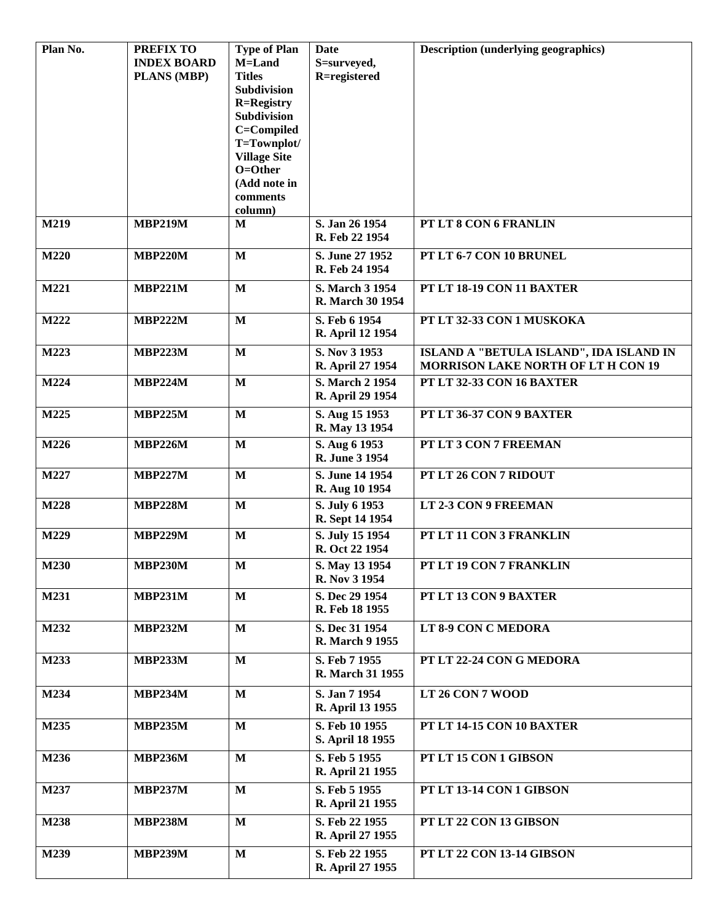| Plan No. | <b>PREFIX TO</b><br><b>INDEX BOARD</b><br><b>PLANS (MBP)</b> | <b>Type of Plan</b><br>M=Land<br><b>Titles</b><br>Subdivision<br><b>R=Registry</b><br><b>Subdivision</b> | Date<br>S=surveyed,<br>R=registered | <b>Description (underlying geographics)</b>                                          |
|----------|--------------------------------------------------------------|----------------------------------------------------------------------------------------------------------|-------------------------------------|--------------------------------------------------------------------------------------|
|          |                                                              | C=Compiled<br>T=Townplot/<br><b>Village Site</b><br>$O = Other$<br>(Add note in<br>comments              |                                     |                                                                                      |
| M219     | <b>MBP219M</b>                                               | column)<br>M                                                                                             | S. Jan 26 1954<br>R. Feb 22 1954    | PT LT 8 CON 6 FRANLIN                                                                |
| M220     | <b>MBP220M</b>                                               | $\mathbf{M}$                                                                                             | S. June 27 1952<br>R. Feb 24 1954   | PT LT 6-7 CON 10 BRUNEL                                                              |
| M221     | <b>MBP221M</b>                                               | $\mathbf{M}$                                                                                             | S. March 3 1954<br>R. March 30 1954 | PT LT 18-19 CON 11 BAXTER                                                            |
| M222     | <b>MBP222M</b>                                               | $\mathbf{M}$                                                                                             | S. Feb 6 1954<br>R. April 12 1954   | PT LT 32-33 CON 1 MUSKOKA                                                            |
| M223     | <b>MBP223M</b>                                               | $\mathbf{M}$                                                                                             | S. Nov 3 1953<br>R. April 27 1954   | ISLAND A "BETULA ISLAND", IDA ISLAND IN<br><b>MORRISON LAKE NORTH OF LT H CON 19</b> |
| M224     | <b>MBP224M</b>                                               | $\mathbf{M}$                                                                                             | S. March 2 1954<br>R. April 29 1954 | PT LT 32-33 CON 16 BAXTER                                                            |
| M225     | <b>MBP225M</b>                                               | M                                                                                                        | S. Aug 15 1953<br>R. May 13 1954    | PT LT 36-37 CON 9 BAXTER                                                             |
| M226     | <b>MBP226M</b>                                               | $\mathbf{M}$                                                                                             | S. Aug 6 1953<br>R. June 3 1954     | PT LT 3 CON 7 FREEMAN                                                                |
| M227     | <b>MBP227M</b>                                               | $\mathbf{M}$                                                                                             | S. June 14 1954<br>R. Aug 10 1954   | PT LT 26 CON 7 RIDOUT                                                                |
| M228     | <b>MBP228M</b>                                               | $\mathbf{M}$                                                                                             | S. July 6 1953<br>R. Sept 14 1954   | LT 2-3 CON 9 FREEMAN                                                                 |
| M229     | <b>MBP229M</b>                                               | $\mathbf{M}$                                                                                             | S. July 15 1954<br>R. Oct 22 1954   | PT LT 11 CON 3 FRANKLIN                                                              |
| M230     | <b>MBP230M</b>                                               | $\overline{\mathbf{M}}$                                                                                  | S. May 13 1954<br>R. Nov 3 1954     | PT LT 19 CON 7 FRANKLIN                                                              |
| M231     | <b>MBP231M</b>                                               | $\mathbf{M}$                                                                                             | S. Dec 29 1954<br>R. Feb 18 1955    | PT LT 13 CON 9 BAXTER                                                                |
| M232     | <b>MBP232M</b>                                               | $\mathbf{M}$                                                                                             | S. Dec 31 1954<br>R. March 9 1955   | LT 8-9 CON C MEDORA                                                                  |
| M233     | <b>MBP233M</b>                                               | $\mathbf{M}$                                                                                             | S. Feb 7 1955<br>R. March 31 1955   | PT LT 22-24 CON G MEDORA                                                             |
| M234     | <b>MBP234M</b>                                               | $\mathbf{M}$                                                                                             | S. Jan 7 1954<br>R. April 13 1955   | LT 26 CON 7 WOOD                                                                     |
| M235     | <b>MBP235M</b>                                               | $\mathbf{M}$                                                                                             | S. Feb 10 1955<br>S. April 18 1955  | PT LT 14-15 CON 10 BAXTER                                                            |
| M236     | <b>MBP236M</b>                                               | $\mathbf{M}$                                                                                             | S. Feb 5 1955<br>R. April 21 1955   | PT LT 15 CON 1 GIBSON                                                                |
| M237     | <b>MBP237M</b>                                               | M                                                                                                        | S. Feb 5 1955<br>R. April 21 1955   | PT LT 13-14 CON 1 GIBSON                                                             |
| M238     | <b>MBP238M</b>                                               | $\mathbf{M}$                                                                                             | S. Feb 22 1955<br>R. April 27 1955  | PT LT 22 CON 13 GIBSON                                                               |
| M239     | <b>MBP239M</b>                                               | $\mathbf{M}$                                                                                             | S. Feb 22 1955<br>R. April 27 1955  | PT LT 22 CON 13-14 GIBSON                                                            |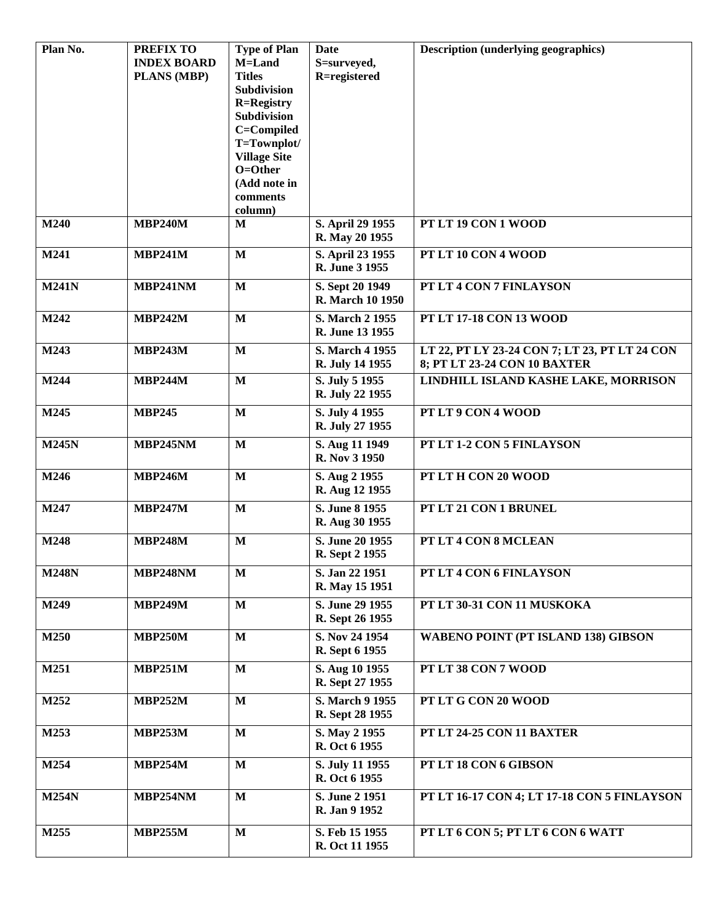| Plan No.     | <b>PREFIX TO</b>   | <b>Type of Plan</b>          | Date                               | <b>Description (underlying geographics)</b>   |
|--------------|--------------------|------------------------------|------------------------------------|-----------------------------------------------|
|              | <b>INDEX BOARD</b> | M=Land                       | S=surveyed,                        |                                               |
|              | <b>PLANS (MBP)</b> | <b>Titles</b><br>Subdivision | R=registered                       |                                               |
|              |                    | <b>R=Registry</b>            |                                    |                                               |
|              |                    | Subdivision                  |                                    |                                               |
|              |                    | C=Compiled                   |                                    |                                               |
|              |                    | T=Townplot/                  |                                    |                                               |
|              |                    | <b>Village Site</b>          |                                    |                                               |
|              |                    | O=Other                      |                                    |                                               |
|              |                    | (Add note in                 |                                    |                                               |
|              |                    | comments                     |                                    |                                               |
| M240         | <b>MBP240M</b>     | column)<br>M                 | S. April 29 1955                   | PT LT 19 CON 1 WOOD                           |
|              |                    |                              | R. May 20 1955                     |                                               |
| M241         | <b>MBP241M</b>     | $\mathbf{M}$                 | S. April 23 1955<br>R. June 3 1955 | PT LT 10 CON 4 WOOD                           |
| <b>M241N</b> | <b>MBP241NM</b>    | $\mathbf{M}$                 | S. Sept 20 1949                    | PT LT 4 CON 7 FINLAYSON                       |
|              |                    |                              | R. March 10 1950                   |                                               |
| M242         | <b>MBP242M</b>     | M                            | S. March 2 1955                    | PT LT 17-18 CON 13 WOOD                       |
|              |                    |                              | R. June 13 1955                    |                                               |
| M243         | <b>MBP243M</b>     | $\mathbf{M}$                 | S. March 4 1955                    | LT 22, PT LY 23-24 CON 7; LT 23, PT LT 24 CON |
|              |                    |                              | R. July 14 1955                    | 8; PT LT 23-24 CON 10 BAXTER                  |
| M244         | <b>MBP244M</b>     | $\mathbf{M}$                 | S. July 5 1955                     | LINDHILL ISLAND KASHE LAKE, MORRISON          |
|              |                    |                              | R. July 22 1955                    |                                               |
| M245         | <b>MBP245</b>      | $\mathbf{M}$                 | S. July 4 1955                     | PT LT 9 CON 4 WOOD                            |
|              |                    |                              | R. July 27 1955                    |                                               |
| <b>M245N</b> | <b>MBP245NM</b>    | $\mathbf{M}$                 | S. Aug 11 1949                     | PT LT 1-2 CON 5 FINLAYSON                     |
|              |                    |                              | R. Nov 3 1950                      |                                               |
| M246         | <b>MBP246M</b>     | $\mathbf{M}$                 | S. Aug 2 1955                      | PT LT H CON 20 WOOD                           |
|              |                    |                              | R. Aug 12 1955                     |                                               |
| M247         | <b>MBP247M</b>     | $\mathbf{M}$                 | S. June 8 1955                     | PT LT 21 CON 1 BRUNEL                         |
|              |                    |                              | R. Aug 30 1955                     |                                               |
| M248         | <b>MBP248M</b>     | $\mathbf{M}$                 | S. June 20 1955                    | PT LT 4 CON 8 MCLEAN                          |
|              |                    |                              | R. Sept 2 1955                     |                                               |
| <b>M248N</b> | <b>MBP248NM</b>    | $\mathbf{M}$                 | S. Jan 22 1951                     | PT LT 4 CON 6 FINLAYSON                       |
|              |                    |                              | R. May 15 1951                     |                                               |
| M249         | <b>MBP249M</b>     | $\mathbf{M}$                 | S. June 29 1955                    | PT LT 30-31 CON 11 MUSKOKA                    |
|              |                    |                              | R. Sept 26 1955                    |                                               |
| M250         | <b>MBP250M</b>     | $\mathbf{M}$                 | S. Nov 24 1954                     | <b>WABENO POINT (PT ISLAND 138) GIBSON</b>    |
|              |                    |                              | R. Sept 6 1955                     |                                               |
| M251         | <b>MBP251M</b>     | $\mathbf{M}$                 | S. Aug 10 1955                     | PT LT 38 CON 7 WOOD                           |
|              |                    |                              | R. Sept 27 1955                    |                                               |
|              | <b>MBP252M</b>     | $\mathbf{M}$                 | S. March 9 1955                    | PT LT G CON 20 WOOD                           |
| M252         |                    |                              | R. Sept 28 1955                    |                                               |
|              |                    |                              |                                    |                                               |
| M253         | <b>MBP253M</b>     | $\mathbf{M}$                 | S. May 2 1955<br>R. Oct 6 1955     | PT LT 24-25 CON 11 BAXTER                     |
|              |                    |                              |                                    |                                               |
| M254         | <b>MBP254M</b>     | $\mathbf{M}$                 | S. July 11 1955                    | PT LT 18 CON 6 GIBSON                         |
|              |                    |                              | R. Oct 6 1955                      |                                               |
| <b>M254N</b> | MBP254NM           | $\mathbf{M}$                 | S. June 2 1951                     | PT LT 16-17 CON 4; LT 17-18 CON 5 FINLAYSON   |
|              |                    |                              | R. Jan 9 1952                      |                                               |
| M255         | <b>MBP255M</b>     | $\mathbf{M}$                 | S. Feb 15 1955                     | PT LT 6 CON 5; PT LT 6 CON 6 WATT             |
|              |                    |                              | R. Oct 11 1955                     |                                               |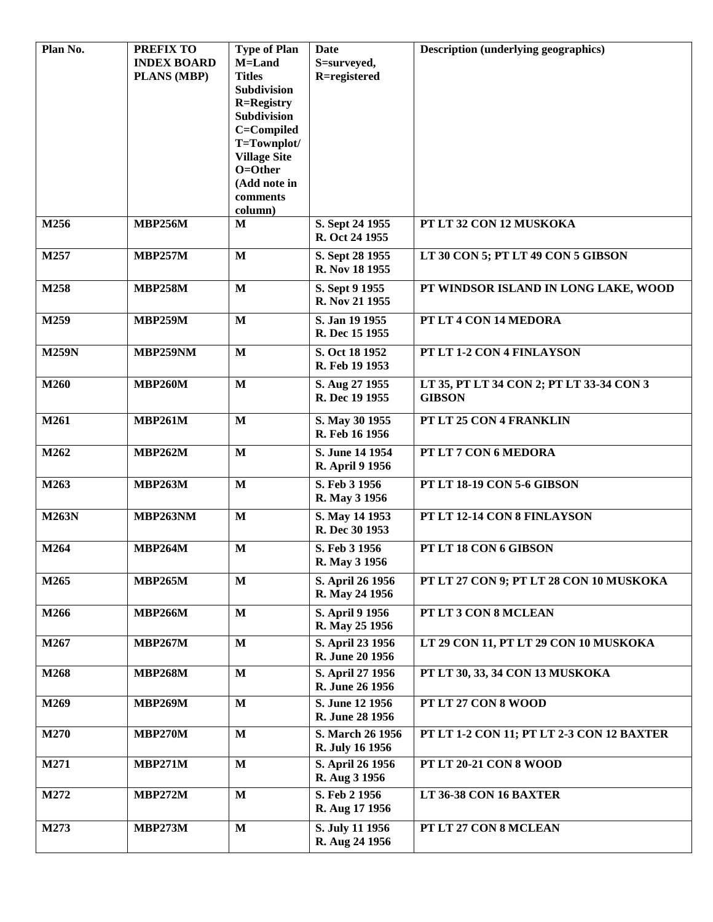| Plan No.     | <b>PREFIX TO</b>   | <b>Type of Plan</b>          | Date             | <b>Description (underlying geographics)</b> |
|--------------|--------------------|------------------------------|------------------|---------------------------------------------|
|              | <b>INDEX BOARD</b> | M=Land                       | S=surveyed,      |                                             |
|              | <b>PLANS (MBP)</b> | <b>Titles</b><br>Subdivision | R=registered     |                                             |
|              |                    | <b>R=Registry</b>            |                  |                                             |
|              |                    | Subdivision                  |                  |                                             |
|              |                    | C=Compiled                   |                  |                                             |
|              |                    | T=Townplot/                  |                  |                                             |
|              |                    | <b>Village Site</b>          |                  |                                             |
|              |                    | O=Other                      |                  |                                             |
|              |                    | (Add note in                 |                  |                                             |
|              |                    | comments<br>column)          |                  |                                             |
| M256         | <b>MBP256M</b>     | M                            | S. Sept 24 1955  | PT LT 32 CON 12 MUSKOKA                     |
|              |                    |                              | R. Oct 24 1955   |                                             |
| M257         | <b>MBP257M</b>     | $\mathbf{M}$                 | S. Sept 28 1955  | LT 30 CON 5; PT LT 49 CON 5 GIBSON          |
|              |                    |                              | R. Nov 18 1955   |                                             |
| M258         | <b>MBP258M</b>     | $\mathbf{M}$                 | S. Sept 9 1955   | PT WINDSOR ISLAND IN LONG LAKE, WOOD        |
|              |                    |                              | R. Nov 21 1955   |                                             |
| M259         | <b>MBP259M</b>     | $\mathbf{M}$                 | S. Jan 19 1955   | PT LT 4 CON 14 MEDORA                       |
|              |                    |                              | R. Dec 15 1955   |                                             |
| <b>M259N</b> | MBP259NM           | $\mathbf{M}$                 | S. Oct 18 1952   | PT LT 1-2 CON 4 FINLAYSON                   |
|              |                    |                              | R. Feb 19 1953   |                                             |
| M260         | <b>MBP260M</b>     | $\mathbf{M}$                 | S. Aug 27 1955   | LT 35, PT LT 34 CON 2; PT LT 33-34 CON 3    |
|              |                    |                              | R. Dec 19 1955   | <b>GIBSON</b>                               |
|              |                    |                              |                  |                                             |
| M261         | <b>MBP261M</b>     | M                            | S. May 30 1955   | PT LT 25 CON 4 FRANKLIN                     |
|              |                    |                              | R. Feb 16 1956   |                                             |
| M262         | <b>MBP262M</b>     | $\mathbf{M}$                 | S. June 14 1954  | PT LT 7 CON 6 MEDORA                        |
|              |                    |                              | R. April 9 1956  |                                             |
| M263         | <b>MBP263M</b>     | $\mathbf{M}$                 | S. Feb 3 1956    | PT LT 18-19 CON 5-6 GIBSON                  |
|              |                    |                              | R. May 3 1956    |                                             |
| <b>M263N</b> | MBP263NM           | M                            | S. May 14 1953   | PT LT 12-14 CON 8 FINLAYSON                 |
|              |                    |                              | R. Dec 30 1953   |                                             |
| M264         | <b>MBP264M</b>     | M                            | S. Feb 3 1956    | PT LT 18 CON 6 GIBSON                       |
|              |                    |                              | R. May 3 1956    |                                             |
| M265         | <b>MBP265M</b>     | M                            | S. April 26 1956 | PT LT 27 CON 9; PT LT 28 CON 10 MUSKOKA     |
|              |                    |                              | R. May 24 1956   |                                             |
| M266         | <b>MBP266M</b>     | $\mathbf{M}$                 | S. April 9 1956  | PT LT 3 CON 8 MCLEAN                        |
|              |                    |                              | R. May 25 1956   |                                             |
| M267         | <b>MBP267M</b>     | $\mathbf{M}$                 | S. April 23 1956 | LT 29 CON 11, PT LT 29 CON 10 MUSKOKA       |
|              |                    |                              | R. June 20 1956  |                                             |
| M268         | <b>MBP268M</b>     | $\mathbf{M}$                 | S. April 27 1956 | PT LT 30, 33, 34 CON 13 MUSKOKA             |
|              |                    |                              | R. June 26 1956  |                                             |
| M269         | <b>MBP269M</b>     | $\mathbf{M}$                 | S. June 12 1956  | PT LT 27 CON 8 WOOD                         |
|              |                    |                              | R. June 28 1956  |                                             |
| M270         | <b>MBP270M</b>     | M                            | S. March 26 1956 | PT LT 1-2 CON 11; PT LT 2-3 CON 12 BAXTER   |
|              |                    |                              | R. July 16 1956  |                                             |
| M271         | <b>MBP271M</b>     | $\mathbf{M}$                 | S. April 26 1956 | PT LT 20-21 CON 8 WOOD                      |
|              |                    |                              | R. Aug 3 1956    |                                             |
| M272         | <b>MBP272M</b>     | $\mathbf{M}$                 | S. Feb 2 1956    | LT 36-38 CON 16 BAXTER                      |
|              |                    |                              | R. Aug 17 1956   |                                             |
| M273         | <b>MBP273M</b>     | $\mathbf{M}$                 | S. July 11 1956  | PT LT 27 CON 8 MCLEAN                       |
|              |                    |                              | R. Aug 24 1956   |                                             |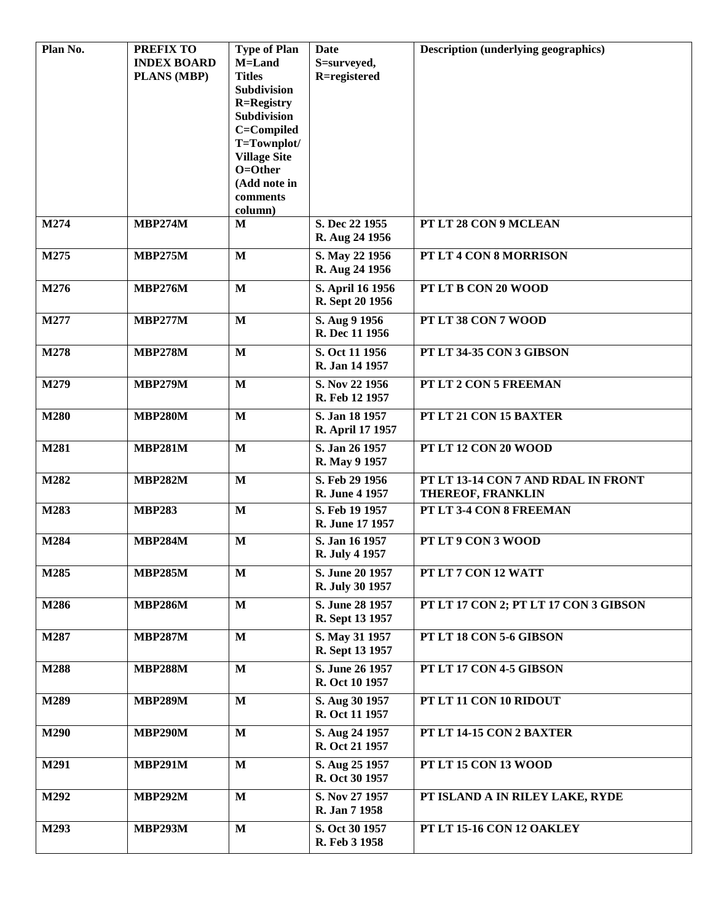| Plan No. | <b>PREFIX TO</b>   | <b>Type of Plan</b>              | Date             | <b>Description (underlying geographics)</b> |
|----------|--------------------|----------------------------------|------------------|---------------------------------------------|
|          | <b>INDEX BOARD</b> | M=Land                           | S=surveyed,      |                                             |
|          | <b>PLANS (MBP)</b> | <b>Titles</b>                    | R=registered     |                                             |
|          |                    | Subdivision<br><b>R=Registry</b> |                  |                                             |
|          |                    | Subdivision                      |                  |                                             |
|          |                    | C=Compiled                       |                  |                                             |
|          |                    | T=Townplot/                      |                  |                                             |
|          |                    | <b>Village Site</b>              |                  |                                             |
|          |                    | O=Other                          |                  |                                             |
|          |                    | (Add note in                     |                  |                                             |
|          |                    | comments                         |                  |                                             |
|          |                    | column)                          |                  |                                             |
| M274     | <b>MBP274M</b>     | M                                | S. Dec 22 1955   | PT LT 28 CON 9 MCLEAN                       |
|          |                    |                                  | R. Aug 24 1956   |                                             |
| M275     | <b>MBP275M</b>     | $\mathbf{M}$                     | S. May 22 1956   | PT LT 4 CON 8 MORRISON                      |
|          |                    |                                  | R. Aug 24 1956   |                                             |
| M276     | <b>MBP276M</b>     | $\mathbf{M}$                     | S. April 16 1956 | PT LT B CON 20 WOOD                         |
|          |                    |                                  | R. Sept 20 1956  |                                             |
| M277     | <b>MBP277M</b>     | $\mathbf{M}$                     | S. Aug 9 1956    | PT LT 38 CON 7 WOOD                         |
|          |                    |                                  | R. Dec 11 1956   |                                             |
| M278     | <b>MBP278M</b>     | $\mathbf M$                      | S. Oct 11 1956   | PT LT 34-35 CON 3 GIBSON                    |
|          |                    |                                  | R. Jan 14 1957   |                                             |
|          |                    | $\mathbf{M}$                     | S. Nov 22 1956   |                                             |
| M279     | <b>MBP279M</b>     |                                  | R. Feb 12 1957   | PT LT 2 CON 5 FREEMAN                       |
|          |                    |                                  |                  |                                             |
| M280     | <b>MBP280M</b>     | $\mathbf{M}$                     | S. Jan 18 1957   | PT LT 21 CON 15 BAXTER                      |
|          |                    |                                  | R. April 17 1957 |                                             |
| M281     | <b>MBP281M</b>     | $\mathbf M$                      | S. Jan 26 1957   | PT LT 12 CON 20 WOOD                        |
|          |                    |                                  | R. May 9 1957    |                                             |
| M282     | <b>MBP282M</b>     | $\mathbf{M}$                     | S. Feb 29 1956   | PT LT 13-14 CON 7 AND RDAL IN FRONT         |
|          |                    |                                  | R. June 4 1957   | THEREOF, FRANKLIN                           |
| M283     | <b>MBP283</b>      | $\mathbf{M}$                     | S. Feb 19 1957   | PT LT 3-4 CON 8 FREEMAN                     |
|          |                    |                                  | R. June 17 1957  |                                             |
| M284     | <b>MBP284M</b>     | $\mathbf M$                      | S. Jan 16 1957   | PT LT 9 CON 3 WOOD                          |
|          |                    |                                  | R. July 4 1957   |                                             |
| M285     | <b>MBP285M</b>     | $\mathbf{M}$                     | S. June 20 1957  | PT LT 7 CON 12 WATT                         |
|          |                    |                                  | R. July 30 1957  |                                             |
| M286     | <b>MBP286M</b>     | $\mathbf{M}$                     | S. June 28 1957  | PT LT 17 CON 2; PT LT 17 CON 3 GIBSON       |
|          |                    |                                  | R. Sept 13 1957  |                                             |
| M287     | <b>MBP287M</b>     | $\mathbf M$                      | S. May 31 1957   | PT LT 18 CON 5-6 GIBSON                     |
|          |                    |                                  | R. Sept 13 1957  |                                             |
|          |                    |                                  |                  |                                             |
| M288     | <b>MBP288M</b>     | $\mathbf M$                      | S. June 26 1957  | PT LT 17 CON 4-5 GIBSON                     |
|          |                    |                                  | R. Oct 10 1957   |                                             |
| M289     | <b>MBP289M</b>     | $\mathbf M$                      | S. Aug 30 1957   | PT LT 11 CON 10 RIDOUT                      |
|          |                    |                                  | R. Oct 11 1957   |                                             |
| M290     | <b>MBP290M</b>     | $\mathbf M$                      | S. Aug 24 1957   | PT LT 14-15 CON 2 BAXTER                    |
|          |                    |                                  | R. Oct 21 1957   |                                             |
| M291     | <b>MBP291M</b>     | $\mathbf{M}$                     | S. Aug 25 1957   | PT LT 15 CON 13 WOOD                        |
|          |                    |                                  | R. Oct 30 1957   |                                             |
| M292     | <b>MBP292M</b>     | $\mathbf M$                      | S. Nov 27 1957   | PT ISLAND A IN RILEY LAKE, RYDE             |
|          |                    |                                  | R. Jan 7 1958    |                                             |
| M293     | <b>MBP293M</b>     | $\mathbf M$                      | S. Oct 30 1957   | PT LT 15-16 CON 12 OAKLEY                   |
|          |                    |                                  | R. Feb 3 1958    |                                             |
|          |                    |                                  |                  |                                             |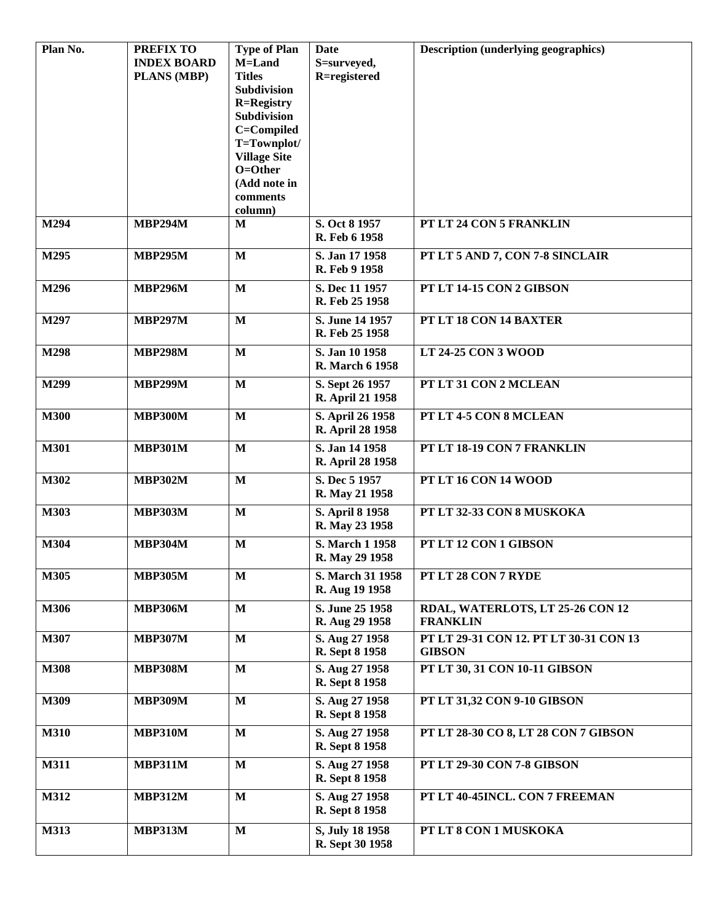| Plan No.    | <b>PREFIX TO</b>   | <b>Type of Plan</b>          | Date                                     | <b>Description (underlying geographics)</b> |
|-------------|--------------------|------------------------------|------------------------------------------|---------------------------------------------|
|             | <b>INDEX BOARD</b> | M=Land                       | S=surveyed,                              |                                             |
|             | <b>PLANS (MBP)</b> | <b>Titles</b><br>Subdivision | R=registered                             |                                             |
|             |                    | <b>R=Registry</b>            |                                          |                                             |
|             |                    | Subdivision                  |                                          |                                             |
|             |                    | C=Compiled                   |                                          |                                             |
|             |                    | T=Townplot/                  |                                          |                                             |
|             |                    | <b>Village Site</b>          |                                          |                                             |
|             |                    | O=Other<br>(Add note in      |                                          |                                             |
|             |                    | comments                     |                                          |                                             |
|             |                    | column)                      |                                          |                                             |
| M294        | <b>MBP294M</b>     | M                            | S. Oct 8 1957<br>R. Feb 6 1958           | PT LT 24 CON 5 FRANKLIN                     |
| M295        | <b>MBP295M</b>     | $\mathbf{M}$                 | S. Jan 17 1958<br>R. Feb 9 1958          | PT LT 5 AND 7, CON 7-8 SINCLAIR             |
| M296        | <b>MBP296M</b>     | $\mathbf{M}$                 | S. Dec 11 1957                           | PT LT 14-15 CON 2 GIBSON                    |
|             |                    |                              | R. Feb 25 1958                           |                                             |
| M297        | <b>MBP297M</b>     | $\mathbf{M}$                 | S. June 14 1957                          | PT LT 18 CON 14 BAXTER                      |
|             |                    |                              | R. Feb 25 1958                           |                                             |
| M298        | <b>MBP298M</b>     | $\mathbf{M}$                 | S. Jan 10 1958<br><b>R.</b> March 6 1958 | <b>LT 24-25 CON 3 WOOD</b>                  |
| M299        | <b>MBP299M</b>     | $\mathbf{M}$                 | S. Sept 26 1957<br>R. April 21 1958      | PT LT 31 CON 2 MCLEAN                       |
| <b>M300</b> | <b>MBP300M</b>     | $\mathbf{M}$                 | S. April 26 1958<br>R. April 28 1958     | PT LT 4-5 CON 8 MCLEAN                      |
| <b>M301</b> | <b>MBP301M</b>     | $\mathbf{M}$                 | S. Jan 14 1958<br>R. April 28 1958       | PT LT 18-19 CON 7 FRANKLIN                  |
| M302        | <b>MBP302M</b>     | $\mathbf{M}$                 | S. Dec 5 1957                            | PT LT 16 CON 14 WOOD                        |
|             |                    |                              | R. May 21 1958                           |                                             |
| M303        | <b>MBP303M</b>     | $\mathbf{M}$                 | S. April 8 1958                          | PT LT 32-33 CON 8 MUSKOKA                   |
|             |                    |                              | R. May 23 1958                           |                                             |
| M304        | <b>MBP304M</b>     | $\mathbf{M}$                 | S. March 1 1958                          | PT LT 12 CON 1 GIBSON                       |
|             |                    |                              | R. May 29 1958                           |                                             |
| M305        | <b>MBP305M</b>     | M                            | S. March 31 1958                         | PT LT 28 CON 7 RYDE                         |
|             |                    |                              | R. Aug 19 1958                           |                                             |
| M306        | <b>MBP306M</b>     | M                            | S. June 25 1958                          | RDAL, WATERLOTS, LT 25-26 CON 12            |
|             |                    |                              | R. Aug 29 1958                           | <b>FRANKLIN</b>                             |
| M307        | <b>MBP307M</b>     | $\mathbf{M}$                 | S. Aug 27 1958                           | PT LT 29-31 CON 12. PT LT 30-31 CON 13      |
|             |                    |                              | R. Sept 8 1958                           | <b>GIBSON</b>                               |
| <b>M308</b> | <b>MBP308M</b>     | $\mathbf{M}$                 | S. Aug 27 1958<br>R. Sept 8 1958         | PT LT 30, 31 CON 10-11 GIBSON               |
| M309        | <b>MBP309M</b>     | $\mathbf{M}$                 | S. Aug 27 1958                           | PT LT 31,32 CON 9-10 GIBSON                 |
|             |                    |                              | R. Sept 8 1958                           |                                             |
| <b>M310</b> | <b>MBP310M</b>     | $\mathbf{M}$                 | S. Aug 27 1958<br>R. Sept 8 1958         | PT LT 28-30 CO 8, LT 28 CON 7 GIBSON        |
| <b>M311</b> | <b>MBP311M</b>     | $\mathbf{M}$                 | S. Aug 27 1958<br>R. Sept 8 1958         | <b>PT LT 29-30 CON 7-8 GIBSON</b>           |
| M312        | <b>MBP312M</b>     | $\mathbf{M}$                 | S. Aug 27 1958                           | PT LT 40-45INCL. CON 7 FREEMAN              |
|             |                    |                              | R. Sept 8 1958                           |                                             |
| M313        | <b>MBP313M</b>     | $\mathbf{M}$                 | S, July 18 1958                          | PT LT 8 CON 1 MUSKOKA                       |
|             |                    |                              | R. Sept 30 1958                          |                                             |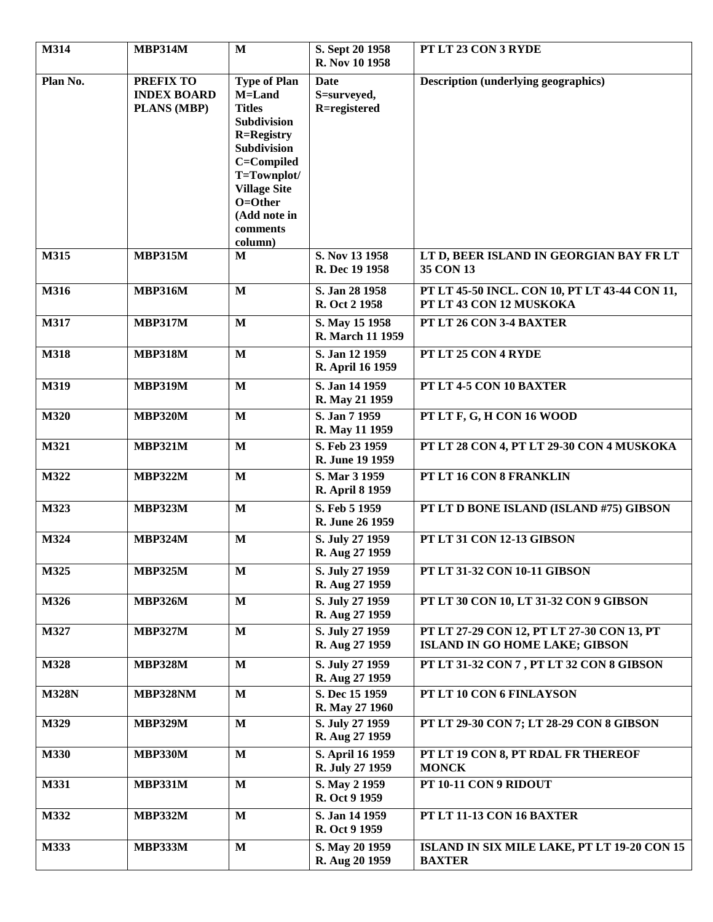| M314         | <b>MBP314M</b>                                               | M                                                                                                                                                                                                       | S. Sept 20 1958<br>R. Nov 10 1958          | PT LT 23 CON 3 RYDE                                                                 |
|--------------|--------------------------------------------------------------|---------------------------------------------------------------------------------------------------------------------------------------------------------------------------------------------------------|--------------------------------------------|-------------------------------------------------------------------------------------|
| Plan No.     | <b>PREFIX TO</b><br><b>INDEX BOARD</b><br><b>PLANS (MBP)</b> | <b>Type of Plan</b><br>M=Land<br><b>Titles</b><br>Subdivision<br><b>R=Registry</b><br>Subdivision<br>C=Compiled<br>T=Townplot/<br><b>Village Site</b><br>O=Other<br>(Add note in<br>comments<br>column) | <b>Date</b><br>S=surveyed,<br>R=registered | <b>Description (underlying geographics)</b>                                         |
| M315         | <b>MBP315M</b>                                               | M                                                                                                                                                                                                       | S. Nov 13 1958<br>R. Dec 19 1958           | LT D, BEER ISLAND IN GEORGIAN BAY FR LT<br>35 CON 13                                |
| M316         | <b>MBP316M</b>                                               | $\mathbf{M}$                                                                                                                                                                                            | S. Jan 28 1958<br>R. Oct 2 1958            | PT LT 45-50 INCL. CON 10, PT LT 43-44 CON 11,<br>PT LT 43 CON 12 MUSKOKA            |
| M317         | <b>MBP317M</b>                                               | $\mathbf{M}$                                                                                                                                                                                            | S. May 15 1958<br>R. March 11 1959         | PT LT 26 CON 3-4 BAXTER                                                             |
| M318         | MBP318M                                                      | M                                                                                                                                                                                                       | S. Jan 12 1959<br>R. April 16 1959         | PT LT 25 CON 4 RYDE                                                                 |
| M319         | <b>MBP319M</b>                                               | $\mathbf{M}$                                                                                                                                                                                            | S. Jan 14 1959<br>R. May 21 1959           | PT LT 4-5 CON 10 BAXTER                                                             |
| M320         | <b>MBP320M</b>                                               | $\mathbf{M}$                                                                                                                                                                                            | S. Jan 7 1959<br>R. May 11 1959            | PT LT F, G, H CON 16 WOOD                                                           |
| M321         | <b>MBP321M</b>                                               | $\mathbf{M}$                                                                                                                                                                                            | S. Feb 23 1959<br>R. June 19 1959          | PT LT 28 CON 4, PT LT 29-30 CON 4 MUSKOKA                                           |
| M322         | <b>MBP322M</b>                                               | $\mathbf{M}$                                                                                                                                                                                            | S. Mar 3 1959<br>R. April 8 1959           | PT LT 16 CON 8 FRANKLIN                                                             |
| M323         | <b>MBP323M</b>                                               | $\mathbf{M}$                                                                                                                                                                                            | S. Feb 5 1959<br>R. June 26 1959           | PT LT D BONE ISLAND (ISLAND #75) GIBSON                                             |
| M324         | <b>MBP324M</b>                                               | $\mathbf{M}$                                                                                                                                                                                            | S. July 27 1959<br>R. Aug 27 1959          | PT LT 31 CON 12-13 GIBSON                                                           |
| M325         | <b>MBP325M</b>                                               | $\mathbf M$                                                                                                                                                                                             | S. July 27 1959<br>R. Aug 27 1959          | PT LT 31-32 CON 10-11 GIBSON                                                        |
| M326         | <b>MBP326M</b>                                               | $\mathbf{M}$                                                                                                                                                                                            | S. July 27 1959<br>R. Aug 27 1959          | PT LT 30 CON 10, LT 31-32 CON 9 GIBSON                                              |
| M327         | <b>MBP327M</b>                                               | $\mathbf{M}$                                                                                                                                                                                            | S. July 27 1959<br>R. Aug 27 1959          | PT LT 27-29 CON 12, PT LT 27-30 CON 13, PT<br><b>ISLAND IN GO HOME LAKE; GIBSON</b> |
| M328         | <b>MBP328M</b>                                               | M                                                                                                                                                                                                       | S. July 27 1959<br>R. Aug 27 1959          | PT LT 31-32 CON 7, PT LT 32 CON 8 GIBSON                                            |
| <b>M328N</b> | <b>MBP328NM</b>                                              | $\mathbf{M}$                                                                                                                                                                                            | S. Dec 15 1959<br>R. May 27 1960           | PT LT 10 CON 6 FINLAYSON                                                            |
| M329         | <b>MBP329M</b>                                               | $\mathbf{M}$                                                                                                                                                                                            | S. July 27 1959<br>R. Aug 27 1959          | PT LT 29-30 CON 7; LT 28-29 CON 8 GIBSON                                            |
| M330         | <b>MBP330M</b>                                               | $\mathbf{M}$                                                                                                                                                                                            | S. April 16 1959<br>R. July 27 1959        | PT LT 19 CON 8, PT RDAL FR THEREOF<br><b>MONCK</b>                                  |
| M331         | <b>MBP331M</b>                                               | $\mathbf{M}$                                                                                                                                                                                            | S. May 2 1959<br>R. Oct 9 1959             | PT 10-11 CON 9 RIDOUT                                                               |
| M332         | <b>MBP332M</b>                                               | $\mathbf{M}$                                                                                                                                                                                            | S. Jan 14 1959<br>R. Oct 9 1959            | PT LT 11-13 CON 16 BAXTER                                                           |
| M333         | <b>MBP333M</b>                                               | $\mathbf{M}$                                                                                                                                                                                            | S. May 20 1959<br>R. Aug 20 1959           | ISLAND IN SIX MILE LAKE, PT LT 19-20 CON 15<br><b>BAXTER</b>                        |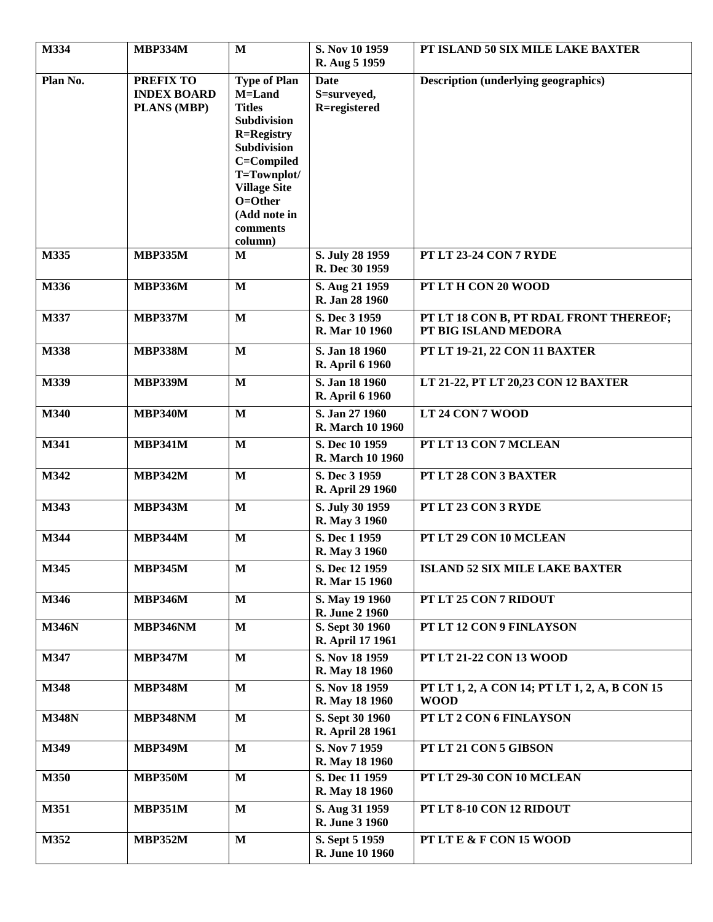| M334         | <b>MBP334M</b>                                        | $\mathbf{M}$                                                                                                                                                                                                   | S. Nov 10 1959<br>R. Aug 5 1959            | PT ISLAND 50 SIX MILE LAKE BAXTER                              |
|--------------|-------------------------------------------------------|----------------------------------------------------------------------------------------------------------------------------------------------------------------------------------------------------------------|--------------------------------------------|----------------------------------------------------------------|
| Plan No.     | <b>PREFIX TO</b><br><b>INDEX BOARD</b><br>PLANS (MBP) | <b>Type of Plan</b><br>M=Land<br><b>Titles</b><br>Subdivision<br><b>R=Registry</b><br><b>Subdivision</b><br>C=Compiled<br>T=Townplot/<br><b>Village Site</b><br>O=Other<br>(Add note in<br>comments<br>column) | <b>Date</b><br>S=surveyed,<br>R=registered | <b>Description (underlying geographics)</b>                    |
| M335         | <b>MBP335M</b>                                        | M                                                                                                                                                                                                              | S. July 28 1959<br>R. Dec 30 1959          | PT LT 23-24 CON 7 RYDE                                         |
| M336         | <b>MBP336M</b>                                        | $\mathbf{M}$                                                                                                                                                                                                   | S. Aug 21 1959<br>R. Jan 28 1960           | PT LT H CON 20 WOOD                                            |
| M337         | <b>MBP337M</b>                                        | $\mathbf{M}$                                                                                                                                                                                                   | S. Dec 3 1959<br>R. Mar 10 1960            | PT LT 18 CON B, PT RDAL FRONT THEREOF;<br>PT BIG ISLAND MEDORA |
| M338         | <b>MBP338M</b>                                        | $\mathbf{M}$                                                                                                                                                                                                   | S. Jan 18 1960<br>R. April 6 1960          | PT LT 19-21, 22 CON 11 BAXTER                                  |
| M339         | <b>MBP339M</b>                                        | $\mathbf{M}$                                                                                                                                                                                                   | S. Jan 18 1960<br>R. April 6 1960          | LT 21-22, PT LT 20,23 CON 12 BAXTER                            |
| M340         | <b>MBP340M</b>                                        | $\mathbf{M}$                                                                                                                                                                                                   | S. Jan 27 1960<br>R. March 10 1960         | LT 24 CON 7 WOOD                                               |
| M341         | <b>MBP341M</b>                                        | $\mathbf{M}$                                                                                                                                                                                                   | S. Dec 10 1959<br>R. March 10 1960         | PT LT 13 CON 7 MCLEAN                                          |
| M342         | <b>MBP342M</b>                                        | $\mathbf{M}$                                                                                                                                                                                                   | S. Dec 3 1959<br>R. April 29 1960          | PT LT 28 CON 3 BAXTER                                          |
| M343         | <b>MBP343M</b>                                        | $\mathbf{M}$                                                                                                                                                                                                   | S. July 30 1959<br>R. May 3 1960           | PT LT 23 CON 3 RYDE                                            |
| M344         | <b>MBP344M</b>                                        | $\mathbf{M}$                                                                                                                                                                                                   | S. Dec 1 1959<br>R. May 3 1960             | PT LT 29 CON 10 MCLEAN                                         |
| M345         | <b>MBP345M</b>                                        | $\mathbf M$                                                                                                                                                                                                    | S. Dec 12 1959<br>R. Mar 15 1960           | <b>ISLAND 52 SIX MILE LAKE BAXTER</b>                          |
| M346         | <b>MBP346M</b>                                        | $\mathbf{M}$                                                                                                                                                                                                   | S. May 19 1960<br>R. June 2 1960           | PT LT 25 CON 7 RIDOUT                                          |
| <b>M346N</b> | MBP346NM                                              | $\mathbf M$                                                                                                                                                                                                    | S. Sept 30 1960<br>R. April 17 1961        | PT LT 12 CON 9 FINLAYSON                                       |
| M347         | <b>MBP347M</b>                                        | $\mathbf{M}$                                                                                                                                                                                                   | S. Nov 18 1959<br>R. May 18 1960           | PT LT 21-22 CON 13 WOOD                                        |
| M348         | <b>MBP348M</b>                                        | $\mathbf{M}$                                                                                                                                                                                                   | S. Nov 18 1959<br>R. May 18 1960           | PT LT 1, 2, A CON 14; PT LT 1, 2, A, B CON 15<br><b>WOOD</b>   |
| <b>M348N</b> | MBP348NM                                              | $\mathbf{M}$                                                                                                                                                                                                   | S. Sept 30 1960<br>R. April 28 1961        | PT LT 2 CON 6 FINLAYSON                                        |
| M349         | <b>MBP349M</b>                                        | $\mathbf M$                                                                                                                                                                                                    | S. Nov 7 1959<br>R. May 18 1960            | PT LT 21 CON 5 GIBSON                                          |
| M350         | <b>MBP350M</b>                                        | $\mathbf{M}$                                                                                                                                                                                                   | S. Dec 11 1959<br>R. May 18 1960           | PT LT 29-30 CON 10 MCLEAN                                      |
| M351         | <b>MBP351M</b>                                        | $\mathbf{M}$                                                                                                                                                                                                   | S. Aug 31 1959<br>R. June 3 1960           | PT LT 8-10 CON 12 RIDOUT                                       |
| M352         | <b>MBP352M</b>                                        | $\mathbf{M}$                                                                                                                                                                                                   | S. Sept 5 1959<br>R. June 10 1960          | PT LT E & F CON 15 WOOD                                        |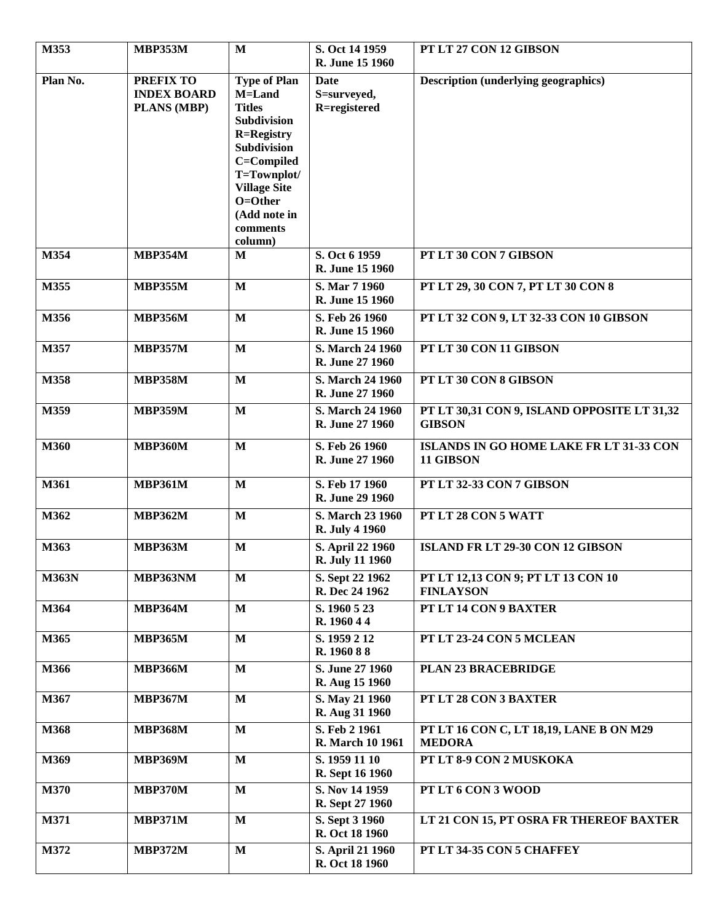| M353         | <b>MBP353M</b>                                               | $\mathbf{M}$                                                                                                                                                                                                          | S. Oct 14 1959<br>R. June 15 1960          | PT LT 27 CON 12 GIBSON                                       |
|--------------|--------------------------------------------------------------|-----------------------------------------------------------------------------------------------------------------------------------------------------------------------------------------------------------------------|--------------------------------------------|--------------------------------------------------------------|
| Plan No.     | <b>PREFIX TO</b><br><b>INDEX BOARD</b><br><b>PLANS (MBP)</b> | <b>Type of Plan</b><br>M=Land<br><b>Titles</b><br><b>Subdivision</b><br><b>R=Registry</b><br><b>Subdivision</b><br>C=Compiled<br>T=Townplot/<br><b>Village Site</b><br>O=Other<br>(Add note in<br>comments<br>column) | Date<br>S=surveyed,<br>R=registered        | <b>Description (underlying geographics)</b>                  |
| M354         | <b>MBP354M</b>                                               | M                                                                                                                                                                                                                     | S. Oct 6 1959<br>R. June 15 1960           | PT LT 30 CON 7 GIBSON                                        |
| M355         | <b>MBP355M</b>                                               | $\mathbf{M}$                                                                                                                                                                                                          | S. Mar 7 1960<br>R. June 15 1960           | PT LT 29, 30 CON 7, PT LT 30 CON 8                           |
| M356         | <b>MBP356M</b>                                               | $\mathbf{M}$                                                                                                                                                                                                          | S. Feb 26 1960<br>R. June 15 1960          | PT LT 32 CON 9, LT 32-33 CON 10 GIBSON                       |
| M357         | <b>MBP357M</b>                                               | $\mathbf{M}$                                                                                                                                                                                                          | S. March 24 1960<br>R. June 27 1960        | PT LT 30 CON 11 GIBSON                                       |
| M358         | <b>MBP358M</b>                                               | $\mathbf{M}$                                                                                                                                                                                                          | S. March 24 1960<br>R. June 27 1960        | PT LT 30 CON 8 GIBSON                                        |
| M359         | <b>MBP359M</b>                                               | $\mathbf{M}$                                                                                                                                                                                                          | S. March 24 1960<br>R. June 27 1960        | PT LT 30,31 CON 9, ISLAND OPPOSITE LT 31,32<br><b>GIBSON</b> |
| <b>M360</b>  | <b>MBP360M</b>                                               | $\mathbf{M}$                                                                                                                                                                                                          | S. Feb 26 1960<br>R. June 27 1960          | ISLANDS IN GO HOME LAKE FR LT 31-33 CON<br>11 GIBSON         |
| M361         | <b>MBP361M</b>                                               | $\mathbf{M}$                                                                                                                                                                                                          | S. Feb 17 1960<br>R. June 29 1960          | PT LT 32-33 CON 7 GIBSON                                     |
| M362         | <b>MBP362M</b>                                               | $\mathbf{M}$                                                                                                                                                                                                          | S. March 23 1960<br><b>R. July 4 1960</b>  | PT LT 28 CON 5 WATT                                          |
| M363         | <b>MBP363M</b>                                               | $\mathbf{M}$                                                                                                                                                                                                          | S. April 22 1960<br><b>R. July 11 1960</b> | ISLAND FR LT 29-30 CON 12 GIBSON                             |
| <b>M363N</b> | MBP363NM                                                     | $\mathbf{M}$                                                                                                                                                                                                          | S. Sept 22 1962<br>R. Dec 24 1962          | PT LT 12,13 CON 9; PT LT 13 CON 10<br><b>FINLAYSON</b>       |
| M364         | <b>MBP364M</b>                                               | $\mathbf{M}$                                                                                                                                                                                                          | S. 1960 5 23<br>R. 1960 4 4                | PT LT 14 CON 9 BAXTER                                        |
| M365         | <b>MBP365M</b>                                               | $\mathbf{M}$                                                                                                                                                                                                          | S. 1959 2 12<br>R. 1960 88                 | PT LT 23-24 CON 5 MCLEAN                                     |
| M366         | <b>MBP366M</b>                                               | $\mathbf{M}$                                                                                                                                                                                                          | S. June 27 1960<br>R. Aug 15 1960          | PLAN 23 BRACEBRIDGE                                          |
| M367         | <b>MBP367M</b>                                               | $\mathbf{M}$                                                                                                                                                                                                          | S. May 21 1960<br>R. Aug 31 1960           | PT LT 28 CON 3 BAXTER                                        |
| M368         | <b>MBP368M</b>                                               | $\mathbf{M}$                                                                                                                                                                                                          | S. Feb 2 1961<br>R. March 10 1961          | PT LT 16 CON C, LT 18,19, LANE B ON M29<br><b>MEDORA</b>     |
| M369         | <b>MBP369M</b>                                               | $\mathbf{M}$                                                                                                                                                                                                          | S. 1959 11 10<br>R. Sept 16 1960           | PT LT 8-9 CON 2 MUSKOKA                                      |
| M370         | <b>MBP370M</b>                                               | $\mathbf{M}$                                                                                                                                                                                                          | S. Nov 14 1959<br>R. Sept 27 1960          | PT LT 6 CON 3 WOOD                                           |
| M371         | <b>MBP371M</b>                                               | $\mathbf{M}$                                                                                                                                                                                                          | S. Sept 3 1960<br>R. Oct 18 1960           | LT 21 CON 15, PT OSRA FR THEREOF BAXTER                      |
| M372         | <b>MBP372M</b>                                               | $\mathbf{M}$                                                                                                                                                                                                          | S. April 21 1960<br>R. Oct 18 1960         | PT LT 34-35 CON 5 CHAFFEY                                    |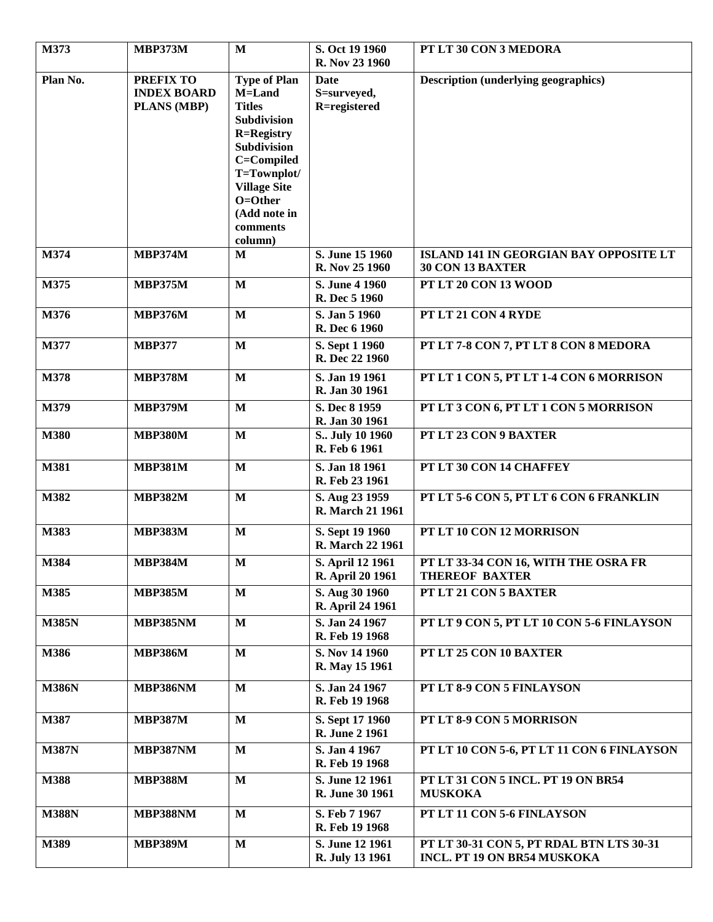| M373         | <b>MBP373M</b>                                        | $\mathbf{M}$                                                                                                                                                                                                   | S. Oct 19 1960<br>R. Nov 23 1960         | PT LT 30 CON 3 MEDORA                                                          |
|--------------|-------------------------------------------------------|----------------------------------------------------------------------------------------------------------------------------------------------------------------------------------------------------------------|------------------------------------------|--------------------------------------------------------------------------------|
| Plan No.     | <b>PREFIX TO</b><br><b>INDEX BOARD</b><br>PLANS (MBP) | <b>Type of Plan</b><br>M=Land<br><b>Titles</b><br>Subdivision<br><b>R=Registry</b><br><b>Subdivision</b><br>C=Compiled<br>T=Townplot/<br><b>Village Site</b><br>O=Other<br>(Add note in<br>comments<br>column) | Date<br>S=surveyed,<br>R=registered      | <b>Description (underlying geographics)</b>                                    |
| M374         | <b>MBP374M</b>                                        | M                                                                                                                                                                                                              | S. June 15 1960<br>R. Nov 25 1960        | <b>ISLAND 141 IN GEORGIAN BAY OPPOSITE LT</b><br>30 CON 13 BAXTER              |
| M375         | <b>MBP375M</b>                                        | M                                                                                                                                                                                                              | S. June 4 1960<br>R. Dec 5 1960          | PT LT 20 CON 13 WOOD                                                           |
| M376         | <b>MBP376M</b>                                        | $\mathbf{M}$                                                                                                                                                                                                   | S. Jan 5 1960<br>R. Dec 6 1960           | PT LT 21 CON 4 RYDE                                                            |
| M377         | <b>MBP377</b>                                         | $\mathbf{M}$                                                                                                                                                                                                   | S. Sept 1 1960<br>R. Dec 22 1960         | PT LT 7-8 CON 7, PT LT 8 CON 8 MEDORA                                          |
| M378         | <b>MBP378M</b>                                        | $\mathbf{M}$                                                                                                                                                                                                   | S. Jan 19 1961<br>R. Jan 30 1961         | PT LT 1 CON 5, PT LT 1-4 CON 6 MORRISON                                        |
| M379         | <b>MBP379M</b>                                        | $\mathbf{M}$                                                                                                                                                                                                   | S. Dec 8 1959<br>R. Jan 30 1961          | PT LT 3 CON 6, PT LT 1 CON 5 MORRISON                                          |
| <b>M380</b>  | <b>MBP380M</b>                                        | $\mathbf{M}$                                                                                                                                                                                                   | S July 10 1960<br>R. Feb 6 1961          | PT LT 23 CON 9 BAXTER                                                          |
| M381         | <b>MBP381M</b>                                        | $\mathbf{M}$                                                                                                                                                                                                   | S. Jan 18 1961<br>R. Feb 23 1961         | PT LT 30 CON 14 CHAFFEY                                                        |
| M382         | <b>MBP382M</b>                                        | $\mathbf{M}$                                                                                                                                                                                                   | S. Aug 23 1959<br>R. March 21 1961       | PT LT 5-6 CON 5, PT LT 6 CON 6 FRANKLIN                                        |
| M383         | <b>MBP383M</b>                                        | $\mathbf{M}$                                                                                                                                                                                                   | S. Sept 19 1960<br>R. March 22 1961      | PT LT 10 CON 12 MORRISON                                                       |
| M384         | <b>MBP384M</b>                                        | $\mathbf M$                                                                                                                                                                                                    | S. April 12 1961<br>R. April 20 1961     | PT LT 33-34 CON 16, WITH THE OSRA FR<br><b>THEREOF BAXTER</b>                  |
| M385         | <b>MBP385M</b>                                        | $\mathbf{M}$                                                                                                                                                                                                   | S. Aug 30 1960<br>R. April 24 1961       | PT LT 21 CON 5 BAXTER                                                          |
| <b>M385N</b> | <b>MBP385NM</b>                                       | M                                                                                                                                                                                                              | S. Jan 24 1967<br>R. Feb 19 1968         | PT LT 9 CON 5, PT LT 10 CON 5-6 FINLAYSON                                      |
| M386         | <b>MBP386M</b>                                        | $\mathbf{M}$                                                                                                                                                                                                   | S. Nov 14 1960<br>R. May 15 1961         | PT LT 25 CON 10 BAXTER                                                         |
| <b>M386N</b> | <b>MBP386NM</b>                                       | M                                                                                                                                                                                                              | S. Jan 24 1967<br>R. Feb 19 1968         | PT LT 8-9 CON 5 FINLAYSON                                                      |
| M387         | <b>MBP387M</b>                                        | $\mathbf M$                                                                                                                                                                                                    | S. Sept 17 1960<br><b>R. June 2 1961</b> | PT LT 8-9 CON 5 MORRISON                                                       |
| <b>M387N</b> | <b>MBP387NM</b>                                       | $\mathbf{M}$                                                                                                                                                                                                   | S. Jan 4 1967<br>R. Feb 19 1968          | PT LT 10 CON 5-6, PT LT 11 CON 6 FINLAYSON                                     |
| M388         | <b>MBP388M</b>                                        | $\mathbf{M}$                                                                                                                                                                                                   | S. June 12 1961<br>R. June 30 1961       | PT LT 31 CON 5 INCL. PT 19 ON BR54<br><b>MUSKOKA</b>                           |
| <b>M388N</b> | MBP388NM                                              | $\mathbf{M}$                                                                                                                                                                                                   | S. Feb 7 1967<br>R. Feb 19 1968          | PT LT 11 CON 5-6 FINLAYSON                                                     |
| M389         | <b>MBP389M</b>                                        | $\mathbf{M}$                                                                                                                                                                                                   | S. June 12 1961<br>R. July 13 1961       | PT LT 30-31 CON 5, PT RDAL BTN LTS 30-31<br><b>INCL. PT 19 ON BR54 MUSKOKA</b> |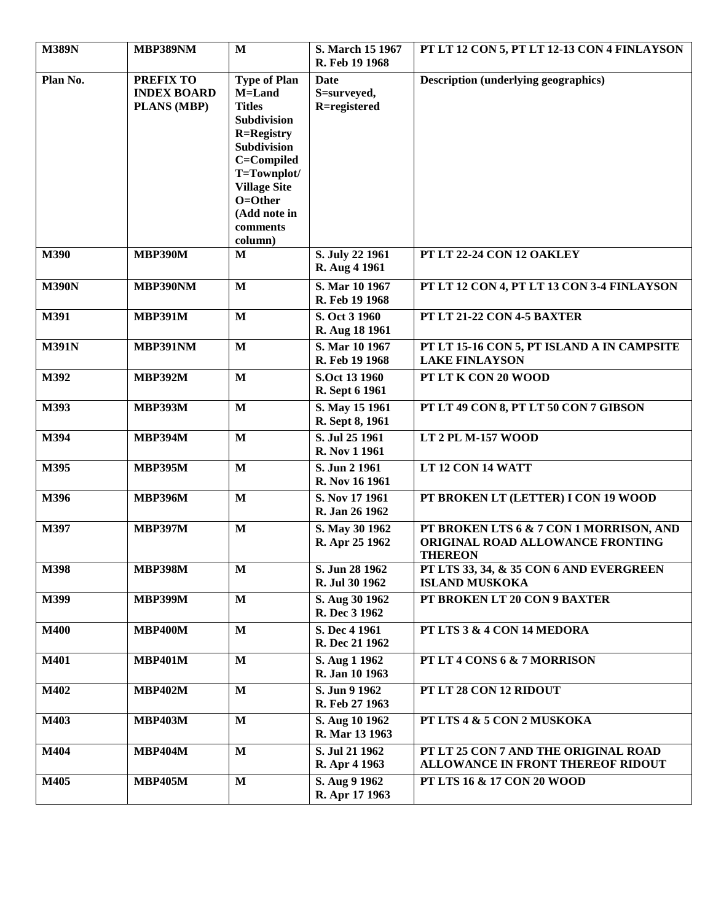| <b>M389N</b> | MBP389NM                                                     | $\mathbf{M}$                                                                                                                                                                                            | S. March 15 1967<br>R. Feb 19 1968  | PT LT 12 CON 5, PT LT 12-13 CON 4 FINLAYSON                                                   |
|--------------|--------------------------------------------------------------|---------------------------------------------------------------------------------------------------------------------------------------------------------------------------------------------------------|-------------------------------------|-----------------------------------------------------------------------------------------------|
| Plan No.     | <b>PREFIX TO</b><br><b>INDEX BOARD</b><br><b>PLANS (MBP)</b> | <b>Type of Plan</b><br>M=Land<br><b>Titles</b><br>Subdivision<br><b>R=Registry</b><br>Subdivision<br>C=Compiled<br>T=Townplot/<br><b>Village Site</b><br>O=Other<br>(Add note in<br>comments<br>column) | Date<br>S=surveyed,<br>R=registered | <b>Description (underlying geographics)</b>                                                   |
| M390         | <b>MBP390M</b>                                               | M                                                                                                                                                                                                       | S. July 22 1961<br>R. Aug 4 1961    | PT LT 22-24 CON 12 OAKLEY                                                                     |
| <b>M390N</b> | MBP390NM                                                     | $\mathbf{M}$                                                                                                                                                                                            | S. Mar 10 1967<br>R. Feb 19 1968    | PT LT 12 CON 4, PT LT 13 CON 3-4 FINLAYSON                                                    |
| M391         | <b>MBP391M</b>                                               | $\mathbf{M}$                                                                                                                                                                                            | S. Oct 3 1960<br>R. Aug 18 1961     | PT LT 21-22 CON 4-5 BAXTER                                                                    |
| <b>M391N</b> | <b>MBP391NM</b>                                              | $\mathbf{M}$                                                                                                                                                                                            | S. Mar 10 1967<br>R. Feb 19 1968    | PT LT 15-16 CON 5, PT ISLAND A IN CAMPSITE<br><b>LAKE FINLAYSON</b>                           |
| M392         | <b>MBP392M</b>                                               | $\mathbf{M}$                                                                                                                                                                                            | S.Oct 13 1960<br>R. Sept 6 1961     | PT LT K CON 20 WOOD                                                                           |
| M393         | <b>MBP393M</b>                                               | $\mathbf{M}$                                                                                                                                                                                            | S. May 15 1961<br>R. Sept 8, 1961   | PT LT 49 CON 8, PT LT 50 CON 7 GIBSON                                                         |
| M394         | <b>MBP394M</b>                                               | $\mathbf M$                                                                                                                                                                                             | S. Jul 25 1961<br>R. Nov 1 1961     | LT 2 PL M-157 WOOD                                                                            |
| M395         | <b>MBP395M</b>                                               | $\mathbf{M}$                                                                                                                                                                                            | S. Jun 2 1961<br>R. Nov 16 1961     | LT 12 CON 14 WATT                                                                             |
| M396         | <b>MBP396M</b>                                               | $\mathbf{M}$                                                                                                                                                                                            | S. Nov 17 1961<br>R. Jan 26 1962    | PT BROKEN LT (LETTER) I CON 19 WOOD                                                           |
| M397         | <b>MBP397M</b>                                               | $\mathbf{M}$                                                                                                                                                                                            | S. May 30 1962<br>R. Apr 25 1962    | PT BROKEN LTS 6 & 7 CON 1 MORRISON, AND<br>ORIGINAL ROAD ALLOWANCE FRONTING<br><b>THEREON</b> |
| M398         | <b>MBP398M</b>                                               | $\mathbf M$                                                                                                                                                                                             | S. Jun 28 1962<br>R. Jul 30 1962    | PT LTS 33, 34, & 35 CON 6 AND EVERGREEN<br><b>ISLAND MUSKOKA</b>                              |
| M399         | <b>MBP399M</b>                                               | $\mathbf{M}$                                                                                                                                                                                            | S. Aug 30 1962<br>R. Dec 3 1962     | PT BROKEN LT 20 CON 9 BAXTER                                                                  |
| <b>M400</b>  | <b>MBP400M</b>                                               | $\mathbf{M}$                                                                                                                                                                                            | S. Dec 4 1961<br>R. Dec 21 1962     | PT LTS 3 & 4 CON 14 MEDORA                                                                    |
| M401         | <b>MBP401M</b>                                               | $\mathbf{M}$                                                                                                                                                                                            | S. Aug 1 1962<br>R. Jan 10 1963     | PT LT 4 CONS 6 & 7 MORRISON                                                                   |
| M402         | <b>MBP402M</b>                                               | $\mathbf{M}$                                                                                                                                                                                            | S. Jun 9 1962<br>R. Feb 27 1963     | PT LT 28 CON 12 RIDOUT                                                                        |
| M403         | <b>MBP403M</b>                                               | M                                                                                                                                                                                                       | S. Aug 10 1962<br>R. Mar 13 1963    | PT LTS 4 & 5 CON 2 MUSKOKA                                                                    |
| M404         | <b>MBP404M</b>                                               | M                                                                                                                                                                                                       | S. Jul 21 1962<br>R. Apr 4 1963     | PT LT 25 CON 7 AND THE ORIGINAL ROAD<br>ALLOWANCE IN FRONT THEREOF RIDOUT                     |
| M405         | <b>MBP405M</b>                                               | $\mathbf{M}$                                                                                                                                                                                            | S. Aug 9 1962<br>R. Apr 17 1963     | PT LTS 16 & 17 CON 20 WOOD                                                                    |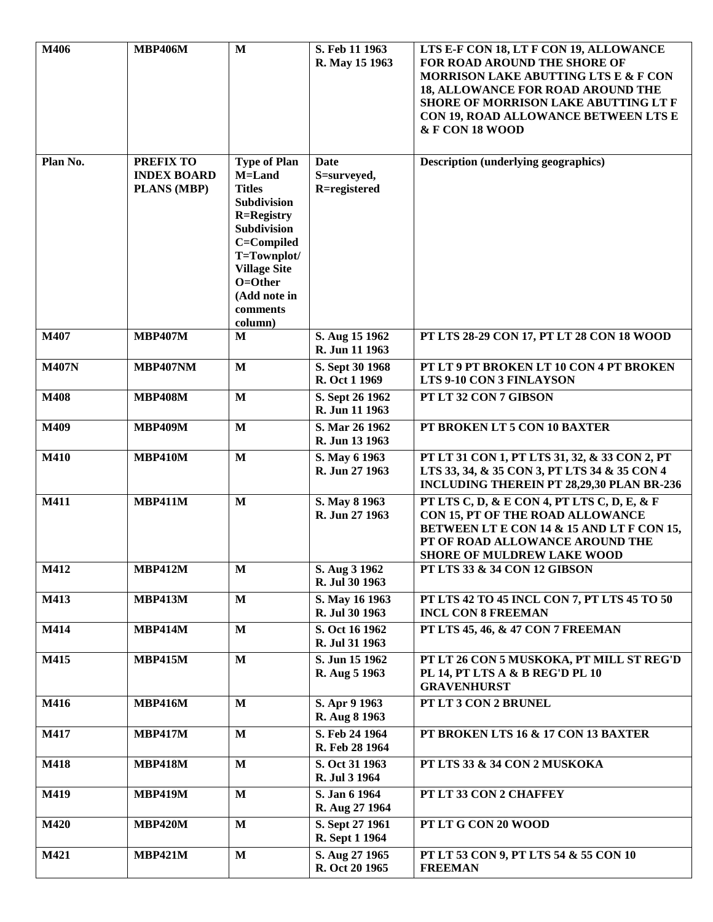| M406         | <b>MBP406M</b>                                               | $\mathbf{M}$                                                                                                                                                                                            | S. Feb 11 1963<br>R. May 15 1963    | LTS E-F CON 18, LT F CON 19, ALLOWANCE<br>FOR ROAD AROUND THE SHORE OF<br>MORRISON LAKE ABUTTING LTS E & F CON                                                                                       |
|--------------|--------------------------------------------------------------|---------------------------------------------------------------------------------------------------------------------------------------------------------------------------------------------------------|-------------------------------------|------------------------------------------------------------------------------------------------------------------------------------------------------------------------------------------------------|
|              |                                                              |                                                                                                                                                                                                         |                                     | <b>18, ALLOWANCE FOR ROAD AROUND THE</b><br>SHORE OF MORRISON LAKE ABUTTING LT F<br>CON 19, ROAD ALLOWANCE BETWEEN LTS E<br>& F CON 18 WOOD                                                          |
| Plan No.     | <b>PREFIX TO</b><br><b>INDEX BOARD</b><br><b>PLANS (MBP)</b> | <b>Type of Plan</b><br>M=Land<br><b>Titles</b><br>Subdivision<br><b>R=Registry</b><br>Subdivision<br>C=Compiled<br>T=Townplot/<br><b>Village Site</b><br>O=Other<br>(Add note in<br>comments<br>column) | Date<br>S=surveyed,<br>R=registered | <b>Description (underlying geographics)</b>                                                                                                                                                          |
| M407         | <b>MBP407M</b>                                               | M                                                                                                                                                                                                       | S. Aug 15 1962<br>R. Jun 11 1963    | PT LTS 28-29 CON 17, PT LT 28 CON 18 WOOD                                                                                                                                                            |
| <b>M407N</b> | <b>MBP407NM</b>                                              | $\mathbf M$                                                                                                                                                                                             | S. Sept 30 1968<br>R. Oct 1 1969    | PT LT 9 PT BROKEN LT 10 CON 4 PT BROKEN<br>LTS 9-10 CON 3 FINLAYSON                                                                                                                                  |
| M408         | <b>MBP408M</b>                                               | M                                                                                                                                                                                                       | S. Sept 26 1962<br>R. Jun 11 1963   | PT LT 32 CON 7 GIBSON                                                                                                                                                                                |
| M409         | <b>MBP409M</b>                                               | $\mathbf{M}$                                                                                                                                                                                            | S. Mar 26 1962<br>R. Jun 13 1963    | PT BROKEN LT 5 CON 10 BAXTER                                                                                                                                                                         |
| <b>M410</b>  | <b>MBP410M</b>                                               | $\mathbf{M}$                                                                                                                                                                                            | S. May 6 1963<br>R. Jun 27 1963     | PT LT 31 CON 1, PT LTS 31, 32, & 33 CON 2, PT<br>LTS 33, 34, & 35 CON 3, PT LTS 34 & 35 CON 4<br>INCLUDING THEREIN PT 28,29,30 PLAN BR-236                                                           |
| M411         | <b>MBP411M</b>                                               | $\mathbf{M}$                                                                                                                                                                                            | S. May 8 1963<br>R. Jun 27 1963     | PT LTS C, D, & E CON 4, PT LTS C, D, E, & F<br>CON 15, PT OF THE ROAD ALLOWANCE<br>BETWEEN LT E CON 14 & 15 AND LT F CON 15,<br>PT OF ROAD ALLOWANCE AROUND THE<br><b>SHORE OF MULDREW LAKE WOOD</b> |
| M412         | <b>MBP412M</b>                                               | M                                                                                                                                                                                                       | S. Aug 3 1962<br>R. Jul 30 1963     | PT LTS 33 & 34 CON 12 GIBSON                                                                                                                                                                         |
| M413         | <b>MBP413M</b>                                               | $\mathbf{M}$                                                                                                                                                                                            | S. May 16 1963<br>R. Jul 30 1963    | PT LTS 42 TO 45 INCL CON 7, PT LTS 45 TO 50<br><b>INCL CON 8 FREEMAN</b>                                                                                                                             |
| M414         | <b>MBP414M</b>                                               | $\mathbf{M}$                                                                                                                                                                                            | S. Oct 16 1962<br>R. Jul 31 1963    | PT LTS 45, 46, & 47 CON 7 FREEMAN                                                                                                                                                                    |
| M415         | <b>MBP415M</b>                                               | $\mathbf{M}$                                                                                                                                                                                            | S. Jun 15 1962<br>R. Aug 5 1963     | PT LT 26 CON 5 MUSKOKA, PT MILL ST REG'D<br>PL 14, PT LTS A & B REG'D PL 10<br><b>GRAVENHURST</b>                                                                                                    |
| M416         | <b>MBP416M</b>                                               | $\mathbf{M}$                                                                                                                                                                                            | S. Apr 9 1963<br>R. Aug 8 1963      | PT LT 3 CON 2 BRUNEL                                                                                                                                                                                 |
| M417         | <b>MBP417M</b>                                               | $\mathbf{M}$                                                                                                                                                                                            | S. Feb 24 1964<br>R. Feb 28 1964    | PT BROKEN LTS 16 & 17 CON 13 BAXTER                                                                                                                                                                  |
| <b>M418</b>  | <b>MBP418M</b>                                               | M                                                                                                                                                                                                       | S. Oct 31 1963<br>R. Jul 3 1964     | PT LTS 33 & 34 CON 2 MUSKOKA                                                                                                                                                                         |
| M419         | <b>MBP419M</b>                                               | $\mathbf{M}$                                                                                                                                                                                            | S. Jan 6 1964<br>R. Aug 27 1964     | PT LT 33 CON 2 CHAFFEY                                                                                                                                                                               |
| <b>M420</b>  | <b>MBP420M</b>                                               | $\mathbf{M}$                                                                                                                                                                                            | S. Sept 27 1961<br>R. Sept 1 1964   | PT LT G CON 20 WOOD                                                                                                                                                                                  |
| M421         | <b>MBP421M</b>                                               | $\mathbf{M}$                                                                                                                                                                                            | S. Aug 27 1965<br>R. Oct 20 1965    | PT LT 53 CON 9, PT LTS 54 & 55 CON 10<br><b>FREEMAN</b>                                                                                                                                              |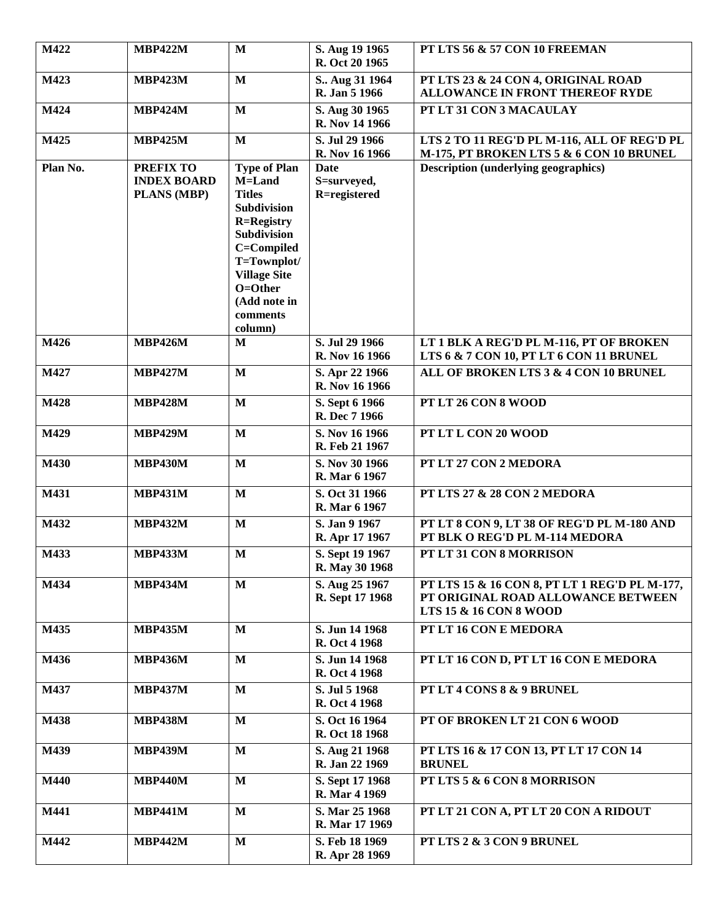| M422              | <b>MBP422M</b>                                        | $\mathbf{M}$                                                                                                                                                                                                   | S. Aug 19 1965<br>R. Oct 20 1965        | PT LTS 56 & 57 CON 10 FREEMAN                                                                                            |
|-------------------|-------------------------------------------------------|----------------------------------------------------------------------------------------------------------------------------------------------------------------------------------------------------------------|-----------------------------------------|--------------------------------------------------------------------------------------------------------------------------|
| M423              | <b>MBP423M</b>                                        | $\mathbf{M}$                                                                                                                                                                                                   | S., Aug 31 1964<br><b>R. Jan 5 1966</b> | PT LTS 23 & 24 CON 4, ORIGINAL ROAD<br><b>ALLOWANCE IN FRONT THEREOF RYDE</b>                                            |
| M424              | <b>MBP424M</b>                                        | $\mathbf{M}$                                                                                                                                                                                                   | S. Aug 30 1965<br>R. Nov 14 1966        | PT LT 31 CON 3 MACAULAY                                                                                                  |
| M425              | <b>MBP425M</b>                                        | $\mathbf{M}$                                                                                                                                                                                                   | S. Jul 29 1966<br>R. Nov 16 1966        | LTS 2 TO 11 REG'D PL M-116, ALL OF REG'D PL<br>M-175, PT BROKEN LTS 5 & 6 CON 10 BRUNEL                                  |
| Plan No.          | <b>PREFIX TO</b><br><b>INDEX BOARD</b><br>PLANS (MBP) | <b>Type of Plan</b><br>M=Land<br><b>Titles</b><br>Subdivision<br><b>R=Registry</b><br><b>Subdivision</b><br>C=Compiled<br>T=Townplot/<br><b>Village Site</b><br>O=Other<br>(Add note in<br>comments<br>column) | Date<br>S=surveyed,<br>R=registered     | <b>Description (underlying geographics)</b>                                                                              |
| M426              | <b>MBP426M</b>                                        | $\mathbf{M}$                                                                                                                                                                                                   | S. Jul 29 1966<br>R. Nov 16 1966        | LT 1 BLK A REG'D PL M-116, PT OF BROKEN<br>LTS 6 & 7 CON 10, PT LT 6 CON 11 BRUNEL                                       |
| M427              | <b>MBP427M</b>                                        | $\mathbf M$                                                                                                                                                                                                    | S. Apr 22 1966<br>R. Nov 16 1966        | ALL OF BROKEN LTS 3 & 4 CON 10 BRUNEL                                                                                    |
| M428              | <b>MBP428M</b>                                        | $\mathbf{M}$                                                                                                                                                                                                   | S. Sept 6 1966<br>R. Dec 7 1966         | PT LT 26 CON 8 WOOD                                                                                                      |
| M429              | <b>MBP429M</b>                                        | $\mathbf{M}$                                                                                                                                                                                                   | S. Nov 16 1966<br>R. Feb 21 1967        | PT LT L CON 20 WOOD                                                                                                      |
| M430              | <b>MBP430M</b>                                        | $\mathbf{M}$                                                                                                                                                                                                   | S. Nov 30 1966<br>R. Mar 6 1967         | PT LT 27 CON 2 MEDORA                                                                                                    |
| M431              | <b>MBP431M</b>                                        | $\mathbf{M}$                                                                                                                                                                                                   | S. Oct 31 1966<br>R. Mar 6 1967         | PT LTS 27 & 28 CON 2 MEDORA                                                                                              |
| M432              | <b>MBP432M</b>                                        | $\mathbf{M}$                                                                                                                                                                                                   | S. Jan 9 1967<br>R. Apr 17 1967         | PT LT 8 CON 9, LT 38 OF REG'D PL M-180 AND<br>PT BLK O REG'D PL M-114 MEDORA                                             |
| $M\overline{433}$ | <b>MBP433M</b>                                        | $\mathbf{M}$                                                                                                                                                                                                   | S. Sept 19 1967<br>R. May 30 1968       | PT LT 31 CON 8 MORRISON                                                                                                  |
| M434              | <b>MBP434M</b>                                        | $\mathbf{M}$                                                                                                                                                                                                   | S. Aug 25 1967<br>R. Sept 17 1968       | PT LTS 15 & 16 CON 8, PT LT 1 REG'D PL M-177,<br>PT ORIGINAL ROAD ALLOWANCE BETWEEN<br><b>LTS 15 &amp; 16 CON 8 WOOD</b> |
| M435              | <b>MBP435M</b>                                        | $\mathbf{M}$                                                                                                                                                                                                   | S. Jun 14 1968<br>R. Oct 4 1968         | PT LT 16 CON E MEDORA                                                                                                    |
| M436              | <b>MBP436M</b>                                        | $\mathbf{M}$                                                                                                                                                                                                   | S. Jun 14 1968<br>R. Oct 4 1968         | PT LT 16 CON D, PT LT 16 CON E MEDORA                                                                                    |
| M437              | <b>MBP437M</b>                                        | $\mathbf{M}$                                                                                                                                                                                                   | S. Jul 5 1968<br>R. Oct 4 1968          | PT LT 4 CONS 8 & 9 BRUNEL                                                                                                |
| M438              | <b>MBP438M</b>                                        | $\mathbf{M}$                                                                                                                                                                                                   | S. Oct 16 1964<br>R. Oct 18 1968        | PT OF BROKEN LT 21 CON 6 WOOD                                                                                            |
| M439              | <b>MBP439M</b>                                        | $\mathbf{M}$                                                                                                                                                                                                   | S. Aug 21 1968<br>R. Jan 22 1969        | PT LTS 16 & 17 CON 13, PT LT 17 CON 14<br><b>BRUNEL</b>                                                                  |
| M440              | <b>MBP440M</b>                                        | $\mathbf{M}$                                                                                                                                                                                                   | S. Sept 17 1968<br>R. Mar 4 1969        | PT LTS 5 & 6 CON 8 MORRISON                                                                                              |
| M441              | <b>MBP441M</b>                                        | $\mathbf{M}$                                                                                                                                                                                                   | S. Mar 25 1968<br>R. Mar 17 1969        | PT LT 21 CON A, PT LT 20 CON A RIDOUT                                                                                    |
| M442              | <b>MBP442M</b>                                        | $\mathbf{M}$                                                                                                                                                                                                   | S. Feb 18 1969<br>R. Apr 28 1969        | PT LTS 2 & 3 CON 9 BRUNEL                                                                                                |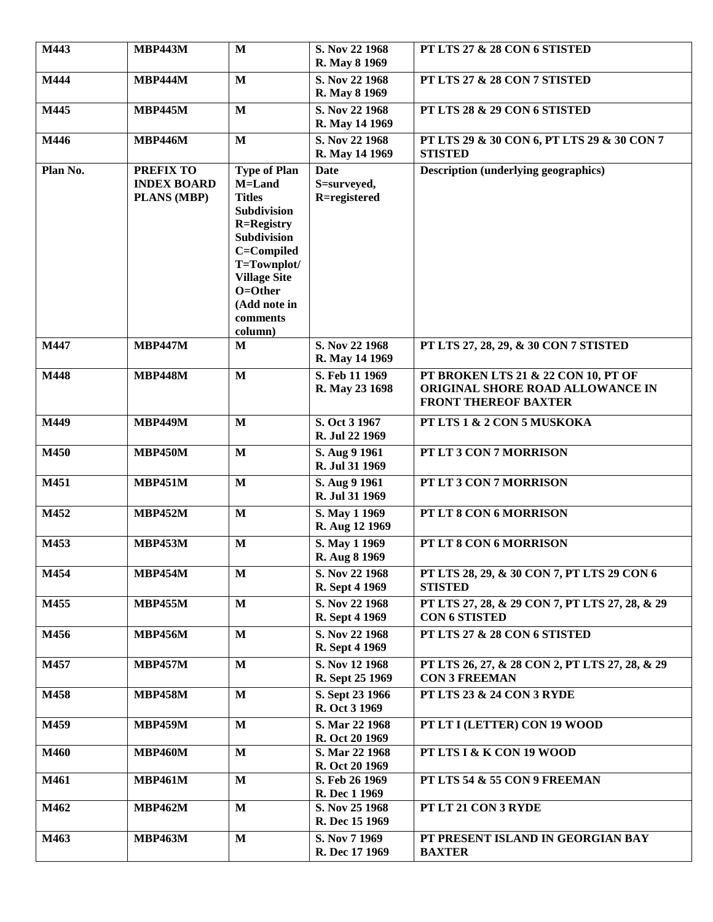| M443     | <b>MBP443M</b>                                        | $\mathbf{M}$                                                                                                                                                                                                          | S. Nov 22 1968<br>R. May 8 1969            | PT LTS 27 & 28 CON 6 STISTED                                                                           |
|----------|-------------------------------------------------------|-----------------------------------------------------------------------------------------------------------------------------------------------------------------------------------------------------------------------|--------------------------------------------|--------------------------------------------------------------------------------------------------------|
| M444     | <b>MBP444M</b>                                        | $\mathbf{M}$                                                                                                                                                                                                          | S. Nov 22 1968<br>R. May 8 1969            | PT LTS 27 & 28 CON 7 STISTED                                                                           |
| M445     | <b>MBP445M</b>                                        | $\mathbf{M}$                                                                                                                                                                                                          | S. Nov 22 1968<br>R. May 14 1969           | PT LTS 28 & 29 CON 6 STISTED                                                                           |
| M446     | <b>MBP446M</b>                                        | $\mathbf{M}$                                                                                                                                                                                                          | S. Nov 22 1968<br>R. May 14 1969           | PT LTS 29 & 30 CON 6, PT LTS 29 & 30 CON 7<br><b>STISTED</b>                                           |
| Plan No. | <b>PREFIX TO</b><br><b>INDEX BOARD</b><br>PLANS (MBP) | <b>Type of Plan</b><br>M=Land<br><b>Titles</b><br><b>Subdivision</b><br><b>R=Registry</b><br><b>Subdivision</b><br>C=Compiled<br>T=Townplot/<br><b>Village Site</b><br>O=Other<br>(Add note in<br>comments<br>column) | <b>Date</b><br>S=surveyed,<br>R=registered | <b>Description (underlying geographics)</b>                                                            |
| M447     | <b>MBP447M</b>                                        | M                                                                                                                                                                                                                     | S. Nov 22 1968<br>R. May 14 1969           | PT LTS 27, 28, 29, & 30 CON 7 STISTED                                                                  |
| M448     | <b>MBP448M</b>                                        | $\mathbf M$                                                                                                                                                                                                           | S. Feb 11 1969<br>R. May 23 1698           | PT BROKEN LTS 21 & 22 CON 10, PT OF<br>ORIGINAL SHORE ROAD ALLOWANCE IN<br><b>FRONT THEREOF BAXTER</b> |
| M449     | <b>MBP449M</b>                                        | $\mathbf M$                                                                                                                                                                                                           | S. Oct 3 1967<br>R. Jul 22 1969            | PT LTS 1 & 2 CON 5 MUSKOKA                                                                             |
| M450     | <b>MBP450M</b>                                        | $\mathbf{M}$                                                                                                                                                                                                          | S. Aug 9 1961<br>R. Jul 31 1969            | PT LT 3 CON 7 MORRISON                                                                                 |
| M451     | <b>MBP451M</b>                                        | $\mathbf{M}$                                                                                                                                                                                                          | S. Aug 9 1961<br>R. Jul 31 1969            | PT LT 3 CON 7 MORRISON                                                                                 |
| M452     | <b>MBP452M</b>                                        | $\mathbf M$                                                                                                                                                                                                           | S. May 1 1969<br>R. Aug 12 1969            | PT LT 8 CON 6 MORRISON                                                                                 |
| M453     | <b>MBP453M</b>                                        | $\mathbf{M}$                                                                                                                                                                                                          | S. May 1 1969<br>R. Aug 8 1969             | PT LT 8 CON 6 MORRISON                                                                                 |
| M454     | <b>MBP454M</b>                                        | $\mathbf{M}$                                                                                                                                                                                                          | S. Nov 22 1968<br>R. Sept 4 1969           | PT LTS 28, 29, & 30 CON 7, PT LTS 29 CON 6<br><b>STISTED</b>                                           |
| M455     | <b>MBP455M</b>                                        | $\mathbf{M}$                                                                                                                                                                                                          | S. Nov 22 1968<br>R. Sept 4 1969           | PT LTS 27, 28, & 29 CON 7, PT LTS 27, 28, & 29<br><b>CON 6 STISTED</b>                                 |
| M456     | <b>MBP456M</b>                                        | $\mathbf{M}$                                                                                                                                                                                                          | S. Nov 22 1968<br>R. Sept 4 1969           | PT LTS 27 & 28 CON 6 STISTED                                                                           |
| M457     | <b>MBP457M</b>                                        | M                                                                                                                                                                                                                     | S. Nov 12 1968<br>R. Sept 25 1969          | PT LTS 26, 27, & 28 CON 2, PT LTS 27, 28, & 29<br><b>CON 3 FREEMAN</b>                                 |
| M458     | <b>MBP458M</b>                                        | $\mathbf{M}$                                                                                                                                                                                                          | S. Sept 23 1966<br>R. Oct 3 1969           | PT LTS 23 & 24 CON 3 RYDE                                                                              |
| M459     | <b>MBP459M</b>                                        | $\mathbf{M}$                                                                                                                                                                                                          | S. Mar 22 1968<br>R. Oct 20 1969           | PT LT I (LETTER) CON 19 WOOD                                                                           |
| M460     | <b>MBP460M</b>                                        | $\mathbf M$                                                                                                                                                                                                           | S. Mar 22 1968<br>R. Oct 20 1969           | PT LTS I & K CON 19 WOOD                                                                               |
| M461     | <b>MBP461M</b>                                        | $\mathbf M$                                                                                                                                                                                                           | S. Feb 26 1969<br>R. Dec 1 1969            | PT LTS 54 & 55 CON 9 FREEMAN                                                                           |
| M462     | <b>MBP462M</b>                                        | $\mathbf{M}$                                                                                                                                                                                                          | S. Nov 25 1968<br>R. Dec 15 1969           | PT LT 21 CON 3 RYDE                                                                                    |
| M463     | <b>MBP463M</b>                                        | $\bf M$                                                                                                                                                                                                               | S. Nov 7 1969<br>R. Dec 17 1969            | PT PRESENT ISLAND IN GEORGIAN BAY<br><b>BAXTER</b>                                                     |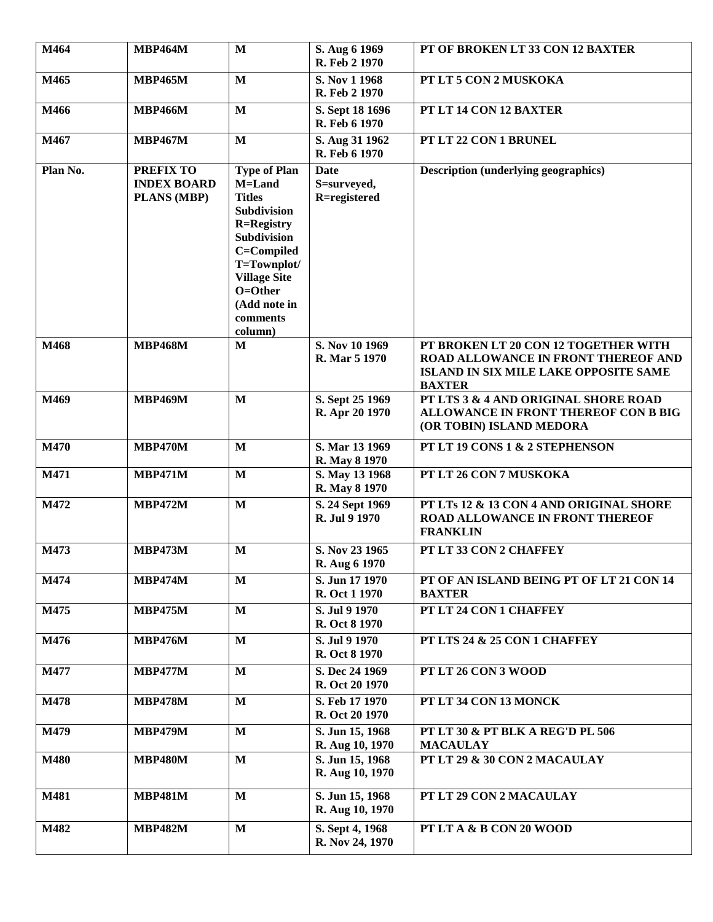| $\overline{M}$ 464 | <b>MBP464M</b>                                        | $\mathbf{M}$                                                                                                                                                                                                              | S. Aug 6 1969<br>R. Feb 2 1970             | PT OF BROKEN LT 33 CON 12 BAXTER                                                                                                      |
|--------------------|-------------------------------------------------------|---------------------------------------------------------------------------------------------------------------------------------------------------------------------------------------------------------------------------|--------------------------------------------|---------------------------------------------------------------------------------------------------------------------------------------|
| M465               | <b>MBP465M</b>                                        | $\mathbf{M}$                                                                                                                                                                                                              | S. Nov 1 1968<br>R. Feb 2 1970             | PT LT 5 CON 2 MUSKOKA                                                                                                                 |
| M466               | <b>MBP466M</b>                                        | $\mathbf{M}$                                                                                                                                                                                                              | S. Sept 18 1696<br>R. Feb 6 1970           | PT LT 14 CON 12 BAXTER                                                                                                                |
| M467               | <b>MBP467M</b>                                        | $\mathbf{M}$                                                                                                                                                                                                              | S. Aug 31 1962<br>R. Feb 6 1970            | PT LT 22 CON 1 BRUNEL                                                                                                                 |
| Plan No.           | <b>PREFIX TO</b><br><b>INDEX BOARD</b><br>PLANS (MBP) | <b>Type of Plan</b><br>M=Land<br><b>Titles</b><br><b>Subdivision</b><br><b>R=Registry</b><br><b>Subdivision</b><br>C=Compiled<br>T=Townplot/<br><b>Village Site</b><br>$O = Other$<br>(Add note in<br>comments<br>column) | <b>Date</b><br>S=surveyed,<br>R=registered | <b>Description (underlying geographics)</b>                                                                                           |
| M468               | <b>MBP468M</b>                                        | $\mathbf{M}$                                                                                                                                                                                                              | S. Nov 10 1969<br>R. Mar 5 1970            | PT BROKEN LT 20 CON 12 TOGETHER WITH<br>ROAD ALLOWANCE IN FRONT THEREOF AND<br>ISLAND IN SIX MILE LAKE OPPOSITE SAME<br><b>BAXTER</b> |
| M469               | <b>MBP469M</b>                                        | $\mathbf{M}$                                                                                                                                                                                                              | S. Sept 25 1969<br>R. Apr 20 1970          | PT LTS 3 & 4 AND ORIGINAL SHORE ROAD<br>ALLOWANCE IN FRONT THEREOF CON B BIG<br>(OR TOBIN) ISLAND MEDORA                              |
| M470               | <b>MBP470M</b>                                        | $\mathbf{M}$                                                                                                                                                                                                              | S. Mar 13 1969<br>R. May 8 1970            | PT LT 19 CONS 1 & 2 STEPHENSON                                                                                                        |
| M471               | <b>MBP471M</b>                                        | $\mathbf{M}$                                                                                                                                                                                                              | S. May 13 1968<br>R. May 8 1970            | PT LT 26 CON 7 MUSKOKA                                                                                                                |
| M472               | <b>MBP472M</b>                                        | $\mathbf{M}$                                                                                                                                                                                                              | S. 24 Sept 1969<br>R. Jul 9 1970           | PT LTs 12 & 13 CON 4 AND ORIGINAL SHORE<br>ROAD ALLOWANCE IN FRONT THEREOF<br><b>FRANKLIN</b>                                         |
| M473               | <b>MBP473M</b>                                        | $\mathbf{M}$                                                                                                                                                                                                              | S. Nov 23 1965<br>R. Aug 6 1970            | PT LT 33 CON 2 CHAFFEY                                                                                                                |
| M474               | <b>MBP474M</b>                                        | M                                                                                                                                                                                                                         | S. Jun 17 1970<br>R. Oct 1 1970            | PT OF AN ISLAND BEING PT OF LT 21 CON 14<br><b>BAXTER</b>                                                                             |
| M475               | <b>MBP475M</b>                                        | $\mathbf{M}$                                                                                                                                                                                                              | S. Jul 9 1970<br><b>R.</b> Oct 8 1970      | PT LT 24 CON 1 CHAFFEY                                                                                                                |
| M476               | <b>MBP476M</b>                                        | $\mathbf{M}$                                                                                                                                                                                                              | S. Jul 9 1970<br>R. Oct 8 1970             | PT LTS 24 & 25 CON 1 CHAFFEY                                                                                                          |
| M477               | <b>MBP477M</b>                                        | $\bf M$                                                                                                                                                                                                                   | S. Dec 24 1969<br>R. Oct 20 1970           | PT LT 26 CON 3 WOOD                                                                                                                   |
| M478               | <b>MBP478M</b>                                        | $\mathbf{M}$                                                                                                                                                                                                              | S. Feb 17 1970<br>R. Oct 20 1970           | PT LT 34 CON 13 MONCK                                                                                                                 |
| M479               | <b>MBP479M</b>                                        | $\mathbf M$                                                                                                                                                                                                               | S. Jun 15, 1968<br>R. Aug 10, 1970         | PT LT 30 & PT BLK A REG'D PL 506<br><b>MACAULAY</b>                                                                                   |
| M480               | <b>MBP480M</b>                                        | $\mathbf{M}$                                                                                                                                                                                                              | S. Jun 15, 1968<br>R. Aug 10, 1970         | PT LT 29 & 30 CON 2 MACAULAY                                                                                                          |
| M481               | <b>MBP481M</b>                                        | $\mathbf{M}$                                                                                                                                                                                                              | S. Jun 15, 1968<br>R. Aug 10, 1970         | PT LT 29 CON 2 MACAULAY                                                                                                               |
| M482               | <b>MBP482M</b>                                        | $\mathbf{M}$                                                                                                                                                                                                              | S. Sept 4, 1968<br>R. Nov 24, 1970         | PT LT A & B CON 20 WOOD                                                                                                               |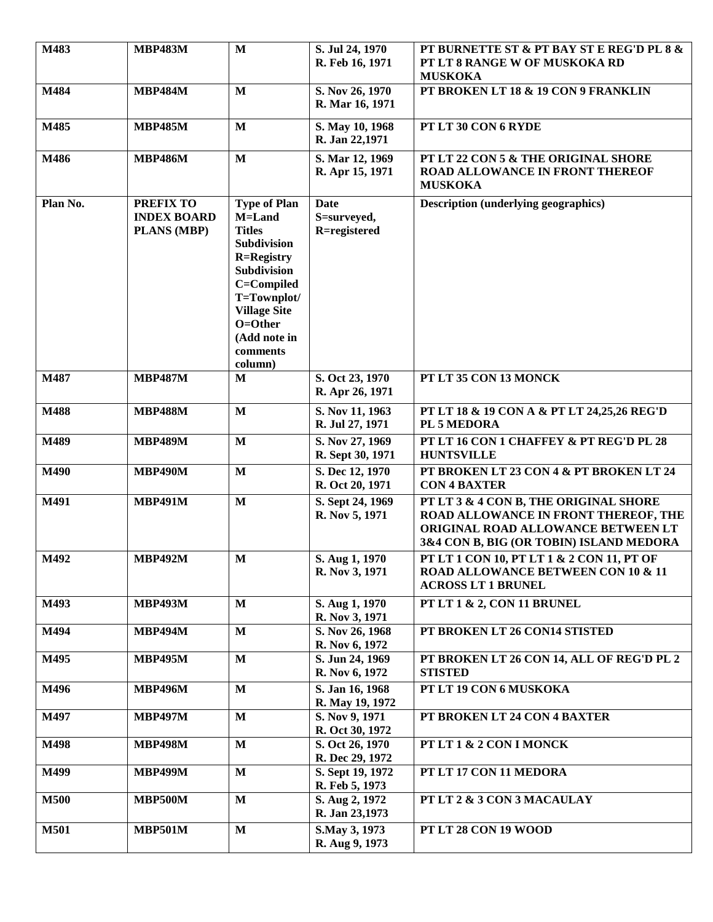| M483        | <b>MBP483M</b>                                        | $\mathbf{M}$                                                                                                                                                                                                   | S. Jul 24, 1970<br>R. Feb 16, 1971         | PT BURNETTE ST & PT BAY ST E REG'D PL 8 &<br>PT LT 8 RANGE W OF MUSKOKA RD<br><b>MUSKOKA</b>                                                                   |
|-------------|-------------------------------------------------------|----------------------------------------------------------------------------------------------------------------------------------------------------------------------------------------------------------------|--------------------------------------------|----------------------------------------------------------------------------------------------------------------------------------------------------------------|
| M484        | <b>MBP484M</b>                                        | $\mathbf{M}$                                                                                                                                                                                                   | S. Nov 26, 1970<br>R. Mar 16, 1971         | PT BROKEN LT 18 & 19 CON 9 FRANKLIN                                                                                                                            |
| M485        | <b>MBP485M</b>                                        | $\mathbf{M}$                                                                                                                                                                                                   | S. May 10, 1968<br>R. Jan 22,1971          | PT LT 30 CON 6 RYDE                                                                                                                                            |
| M486        | <b>MBP486M</b>                                        | $\mathbf M$                                                                                                                                                                                                    | S. Mar 12, 1969<br>R. Apr 15, 1971         | PT LT 22 CON 5 & THE ORIGINAL SHORE<br><b>ROAD ALLOWANCE IN FRONT THEREOF</b><br><b>MUSKOKA</b>                                                                |
| Plan No.    | PREFIX TO<br><b>INDEX BOARD</b><br><b>PLANS (MBP)</b> | <b>Type of Plan</b><br>M=Land<br><b>Titles</b><br>Subdivision<br><b>R=Registry</b><br><b>Subdivision</b><br>C=Compiled<br>T=Townplot/<br><b>Village Site</b><br>O=Other<br>(Add note in<br>comments<br>column) | <b>Date</b><br>S=surveyed,<br>R=registered | <b>Description (underlying geographics)</b>                                                                                                                    |
| M487        | <b>MBP487M</b>                                        | M                                                                                                                                                                                                              | S. Oct 23, 1970<br>R. Apr 26, 1971         | PT LT 35 CON 13 MONCK                                                                                                                                          |
| M488        | <b>MBP488M</b>                                        | $\mathbf{M}$                                                                                                                                                                                                   | S. Nov 11, 1963<br>R. Jul 27, 1971         | PT LT 18 & 19 CON A & PT LT 24,25,26 REG'D<br>PL 5 MEDORA                                                                                                      |
| M489        | <b>MBP489M</b>                                        | $\mathbf{M}$                                                                                                                                                                                                   | S. Nov 27, 1969<br>R. Sept 30, 1971        | PT LT 16 CON 1 CHAFFEY & PT REG'D PL 28<br><b>HUNTSVILLE</b>                                                                                                   |
| M490        | <b>MBP490M</b>                                        | $\mathbf{M}$                                                                                                                                                                                                   | S. Dec 12, 1970<br>R. Oct 20, 1971         | PT BROKEN LT 23 CON 4 & PT BROKEN LT 24<br><b>CON 4 BAXTER</b>                                                                                                 |
| M491        | <b>MBP491M</b>                                        | $\mathbf{M}$                                                                                                                                                                                                   | S. Sept 24, 1969<br>R. Nov 5, 1971         | PT LT 3 & 4 CON B, THE ORIGINAL SHORE<br>ROAD ALLOWANCE IN FRONT THEREOF, THE<br>ORIGINAL ROAD ALLOWANCE BETWEEN LT<br>3&4 CON B, BIG (OR TOBIN) ISLAND MEDORA |
| M492        | <b>MBP492M</b>                                        | M                                                                                                                                                                                                              | S. Aug 1, 1970<br>R. Nov 3, 1971           | PT LT 1 CON 10, PT LT 1 & 2 CON 11, PT OF<br><b>ROAD ALLOWANCE BETWEEN CON 10 &amp; 11</b><br><b>ACROSS LT 1 BRUNEL</b>                                        |
| M493        | <b>MBP493M</b>                                        | $\mathbf{M}$                                                                                                                                                                                                   | S. Aug 1, 1970<br>R. Nov 3, 1971           | PT LT 1 & 2, CON 11 BRUNEL                                                                                                                                     |
| M494        | <b>MBP494M</b>                                        | $\mathbf{M}$                                                                                                                                                                                                   | S. Nov 26, 1968<br>R. Nov 6, 1972          | PT BROKEN LT 26 CON14 STISTED                                                                                                                                  |
| M495        | <b>MBP495M</b>                                        | $\mathbf{M}$                                                                                                                                                                                                   | S. Jun 24, 1969<br>R. Nov 6, 1972          | PT BROKEN LT 26 CON 14, ALL OF REG'D PL 2<br><b>STISTED</b>                                                                                                    |
| M496        | <b>MBP496M</b>                                        | $\mathbf M$                                                                                                                                                                                                    | S. Jan 16, 1968<br>R. May 19, 1972         | PT LT 19 CON 6 MUSKOKA                                                                                                                                         |
| M497        | <b>MBP497M</b>                                        | $\mathbf{M}$                                                                                                                                                                                                   | S. Nov 9, 1971<br>R. Oct 30, 1972          | PT BROKEN LT 24 CON 4 BAXTER                                                                                                                                   |
| M498        | <b>MBP498M</b>                                        | $\mathbf{M}$                                                                                                                                                                                                   | S. Oct 26, 1970<br>R. Dec 29, 1972         | PT LT 1 & 2 CON I MONCK                                                                                                                                        |
| M499        | <b>MBP499M</b>                                        | $\mathbf{M}$                                                                                                                                                                                                   | S. Sept 19, 1972<br>R. Feb 5, 1973         | PT LT 17 CON 11 MEDORA                                                                                                                                         |
| <b>M500</b> | <b>MBP500M</b>                                        | $\mathbf{M}$                                                                                                                                                                                                   | S. Aug 2, 1972<br>R. Jan 23,1973           | PT LT 2 & 3 CON 3 MACAULAY                                                                                                                                     |
| <b>M501</b> | <b>MBP501M</b>                                        | $\mathbf{M}$                                                                                                                                                                                                   | S.May 3, 1973<br>R. Aug 9, 1973            | PT LT 28 CON 19 WOOD                                                                                                                                           |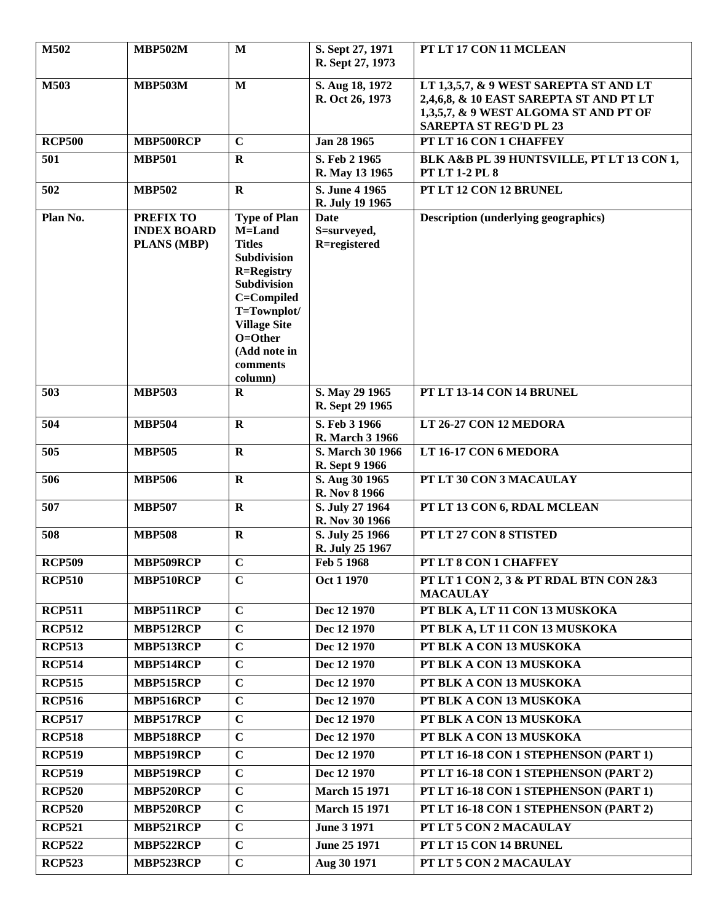| M502          | <b>MBP502M</b>                                               | $\mathbf{M}$                                                                                                                                                                                                   | S. Sept 27, 1971                        | PT LT 17 CON 11 MCLEAN                                                                                                                                      |
|---------------|--------------------------------------------------------------|----------------------------------------------------------------------------------------------------------------------------------------------------------------------------------------------------------------|-----------------------------------------|-------------------------------------------------------------------------------------------------------------------------------------------------------------|
|               |                                                              |                                                                                                                                                                                                                | R. Sept 27, 1973                        |                                                                                                                                                             |
| M503          | <b>MBP503M</b>                                               | M                                                                                                                                                                                                              | S. Aug 18, 1972<br>R. Oct 26, 1973      | LT 1,3,5,7, & 9 WEST SAREPTA ST AND LT<br>2,4,6,8, & 10 EAST SAREPTA ST AND PT LT<br>1,3,5,7, & 9 WEST ALGOMA ST AND PT OF<br><b>SAREPTA ST REG'D PL 23</b> |
| <b>RCP500</b> | MBP500RCP                                                    | $\mathbf C$                                                                                                                                                                                                    | Jan 28 1965                             | PT LT 16 CON 1 CHAFFEY                                                                                                                                      |
| 501           | <b>MBP501</b>                                                | $\mathbf R$                                                                                                                                                                                                    | S. Feb 2 1965<br>R. May 13 1965         | BLK A&B PL 39 HUNTSVILLE, PT LT 13 CON 1,<br><b>PT LT 1-2 PL 8</b>                                                                                          |
| 502           | <b>MBP502</b>                                                | $\mathbf R$                                                                                                                                                                                                    | S. June 4 1965<br>R. July 19 1965       | PT LT 12 CON 12 BRUNEL                                                                                                                                      |
| Plan No.      | <b>PREFIX TO</b><br><b>INDEX BOARD</b><br><b>PLANS (MBP)</b> | <b>Type of Plan</b><br>M=Land<br><b>Titles</b><br>Subdivision<br><b>R=Registry</b><br><b>Subdivision</b><br>C=Compiled<br>T=Townplot/<br><b>Village Site</b><br>O=Other<br>(Add note in<br>comments<br>column) | Date<br>S=surveyed,<br>R=registered     | <b>Description (underlying geographics)</b>                                                                                                                 |
| 503           | <b>MBP503</b>                                                | $\bf{R}$                                                                                                                                                                                                       | S. May 29 1965<br>R. Sept 29 1965       | PT LT 13-14 CON 14 BRUNEL                                                                                                                                   |
| 504           | <b>MBP504</b>                                                | $\mathbf R$                                                                                                                                                                                                    | S. Feb 3 1966<br><b>R.</b> March 3 1966 | LT 26-27 CON 12 MEDORA                                                                                                                                      |
| 505           | <b>MBP505</b>                                                | $\mathbf R$                                                                                                                                                                                                    | S. March 30 1966<br>R. Sept 9 1966      | LT 16-17 CON 6 MEDORA                                                                                                                                       |
| 506           | <b>MBP506</b>                                                | $\mathbf R$                                                                                                                                                                                                    | S. Aug 30 1965<br>R. Nov 8 1966         | PT LT 30 CON 3 MACAULAY                                                                                                                                     |
| 507           | <b>MBP507</b>                                                | $\mathbf R$                                                                                                                                                                                                    | S. July 27 1964<br>R. Nov 30 1966       | PT LT 13 CON 6, RDAL MCLEAN                                                                                                                                 |
| 508           | <b>MBP508</b>                                                | $\mathbf R$                                                                                                                                                                                                    | S. July 25 1966<br>R. July 25 1967      | PT LT 27 CON 8 STISTED                                                                                                                                      |
| <b>RCP509</b> | MBP509RCP                                                    | $\bf C$                                                                                                                                                                                                        | Feb 5 1968                              | PT LT 8 CON 1 CHAFFEY                                                                                                                                       |
| <b>RCP510</b> | MBP510RCP                                                    | $\mathbf C$                                                                                                                                                                                                    | Oct 1 1970                              | PT LT 1 CON 2, 3 & PT RDAL BTN CON 2&3<br><b>MACAULAY</b>                                                                                                   |
| <b>RCP511</b> | MBP511RCP                                                    | $\mathbf C$                                                                                                                                                                                                    | Dec 12 1970                             | PT BLK A, LT 11 CON 13 MUSKOKA                                                                                                                              |
| <b>RCP512</b> | MBP512RCP                                                    | $\mathbf C$                                                                                                                                                                                                    | Dec 12 1970                             | PT BLK A, LT 11 CON 13 MUSKOKA                                                                                                                              |
| <b>RCP513</b> | MBP513RCP                                                    | $\mathbf C$                                                                                                                                                                                                    | Dec 12 1970                             | PT BLK A CON 13 MUSKOKA                                                                                                                                     |
| <b>RCP514</b> | MBP514RCP                                                    | $\mathbf C$                                                                                                                                                                                                    | Dec 12 1970                             | PT BLK A CON 13 MUSKOKA                                                                                                                                     |
| <b>RCP515</b> | MBP515RCP                                                    | $\overline{C}$                                                                                                                                                                                                 | Dec 12 1970                             | PT BLK A CON 13 MUSKOKA                                                                                                                                     |
| <b>RCP516</b> | MBP516RCP                                                    | $\mathbf C$                                                                                                                                                                                                    | Dec 12 1970                             | PT BLK A CON 13 MUSKOKA                                                                                                                                     |
| <b>RCP517</b> | MBP517RCP                                                    | $\mathbf C$                                                                                                                                                                                                    | Dec 12 1970                             | PT BLK A CON 13 MUSKOKA                                                                                                                                     |
| <b>RCP518</b> | MBP518RCP                                                    | $\mathbf C$                                                                                                                                                                                                    | Dec 12 1970                             | PT BLK A CON 13 MUSKOKA                                                                                                                                     |
| <b>RCP519</b> | MBP519RCP                                                    | $\mathbf C$                                                                                                                                                                                                    | Dec 12 1970                             | PT LT 16-18 CON 1 STEPHENSON (PART 1)                                                                                                                       |
| <b>RCP519</b> | MBP519RCP                                                    | $\overline{C}$                                                                                                                                                                                                 | Dec 12 1970                             | PT LT 16-18 CON 1 STEPHENSON (PART 2)                                                                                                                       |
| <b>RCP520</b> | MBP520RCP                                                    | $\mathbf C$                                                                                                                                                                                                    | <b>March 15 1971</b>                    | PT LT 16-18 CON 1 STEPHENSON (PART 1)                                                                                                                       |
| <b>RCP520</b> | MBP520RCP                                                    | $\mathbf C$                                                                                                                                                                                                    | <b>March 15 1971</b>                    | PT LT 16-18 CON 1 STEPHENSON (PART 2)                                                                                                                       |
| <b>RCP521</b> | MBP521RCP                                                    | $\mathbf C$                                                                                                                                                                                                    | <b>June 3 1971</b>                      | PT LT 5 CON 2 MACAULAY                                                                                                                                      |
| <b>RCP522</b> | MBP522RCP                                                    | $\mathbf C$                                                                                                                                                                                                    | June 25 1971                            | PT LT 15 CON 14 BRUNEL                                                                                                                                      |
| <b>RCP523</b> | MBP523RCP                                                    | $\mathbf C$                                                                                                                                                                                                    | Aug 30 1971                             | PT LT 5 CON 2 MACAULAY                                                                                                                                      |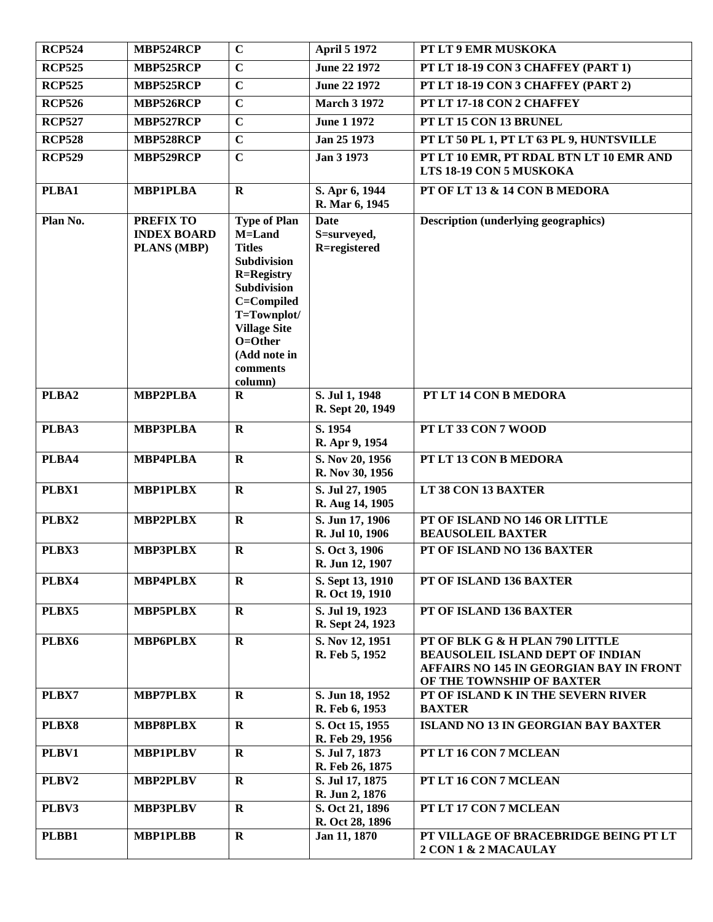| <b>RCP524</b> | MBP524RCP                                             | $\mathbf C$                                                                                                                                                                                                    | <b>April 5 1972</b>                        | PT LT 9 EMR MUSKOKA                                                                                                                                |
|---------------|-------------------------------------------------------|----------------------------------------------------------------------------------------------------------------------------------------------------------------------------------------------------------------|--------------------------------------------|----------------------------------------------------------------------------------------------------------------------------------------------------|
| <b>RCP525</b> | MBP525RCP                                             | $\mathbf C$                                                                                                                                                                                                    | June 22 1972                               | PT LT 18-19 CON 3 CHAFFEY (PART 1)                                                                                                                 |
| <b>RCP525</b> | MBP525RCP                                             | $\mathbf C$                                                                                                                                                                                                    | June 22 1972                               | PT LT 18-19 CON 3 CHAFFEY (PART 2)                                                                                                                 |
| <b>RCP526</b> | MBP526RCP                                             | $\overline{C}$                                                                                                                                                                                                 | <b>March 3 1972</b>                        | PT LT 17-18 CON 2 CHAFFEY                                                                                                                          |
| <b>RCP527</b> | MBP527RCP                                             | $\mathbf C$                                                                                                                                                                                                    | <b>June 1 1972</b>                         | PT LT 15 CON 13 BRUNEL                                                                                                                             |
| <b>RCP528</b> | MBP528RCP                                             | $\mathbf C$                                                                                                                                                                                                    | Jan 25 1973                                | PT LT 50 PL 1, PT LT 63 PL 9, HUNTSVILLE                                                                                                           |
| <b>RCP529</b> | MBP529RCP                                             | $\mathbf C$                                                                                                                                                                                                    | Jan 3 1973                                 | PT LT 10 EMR, PT RDAL BTN LT 10 EMR AND<br>LTS 18-19 CON 5 MUSKOKA                                                                                 |
| PLBA1         | <b>MBP1PLBA</b>                                       | $\mathbf{R}$                                                                                                                                                                                                   | S. Apr 6, 1944<br>R. Mar 6, 1945           | PT OF LT 13 & 14 CON B MEDORA                                                                                                                      |
| Plan No.      | <b>PREFIX TO</b><br><b>INDEX BOARD</b><br>PLANS (MBP) | <b>Type of Plan</b><br>M=Land<br><b>Titles</b><br>Subdivision<br><b>R=Registry</b><br><b>Subdivision</b><br>C=Compiled<br>T=Townplot/<br><b>Village Site</b><br>O=Other<br>(Add note in<br>comments<br>column) | <b>Date</b><br>S=surveyed,<br>R=registered | <b>Description (underlying geographics)</b>                                                                                                        |
| PLBA2         | <b>MBP2PLBA</b>                                       | $\mathbf R$                                                                                                                                                                                                    | S. Jul 1, 1948<br>R. Sept 20, 1949         | PT LT 14 CON B MEDORA                                                                                                                              |
| PLBA3         | <b>MBP3PLBA</b>                                       | $\mathbf R$                                                                                                                                                                                                    | S. 1954<br>R. Apr 9, 1954                  | PT LT 33 CON 7 WOOD                                                                                                                                |
| PLBA4         | <b>MBP4PLBA</b>                                       | $\mathbf R$                                                                                                                                                                                                    | S. Nov 20, 1956<br>R. Nov 30, 1956         | PT LT 13 CON B MEDORA                                                                                                                              |
| PLBX1         | <b>MBP1PLBX</b>                                       | $\mathbf R$                                                                                                                                                                                                    | S. Jul 27, 1905<br>R. Aug 14, 1905         | LT 38 CON 13 BAXTER                                                                                                                                |
| PLBX2         | <b>MBP2PLBX</b>                                       | $\mathbf R$                                                                                                                                                                                                    | S. Jun 17, 1906<br>R. Jul 10, 1906         | PT OF ISLAND NO 146 OR LITTLE<br><b>BEAUSOLEIL BAXTER</b>                                                                                          |
| PLBX3         | <b>MBP3PLBX</b>                                       | $\mathbf{R}$                                                                                                                                                                                                   | S. Oct 3, 1906<br>R. Jun 12, 1907          | PT OF ISLAND NO 136 BAXTER                                                                                                                         |
| PLBX4         | MBP4PLBX                                              | $\mathbf R$                                                                                                                                                                                                    | S. Sept 13, 1910<br>R. Oct 19, 1910        | PT OF ISLAND 136 BAXTER                                                                                                                            |
| PLBX5         | <b>MBP5PLBX</b>                                       | $\mathbf R$                                                                                                                                                                                                    | S. Jul 19, 1923<br>R. Sept 24, 1923        | PT OF ISLAND 136 BAXTER                                                                                                                            |
| PLBX6         | <b>MBP6PLBX</b>                                       | $\mathbf R$                                                                                                                                                                                                    | S. Nov 12, 1951<br>R. Feb 5, 1952          | PT OF BLK G & H PLAN 790 LITTLE<br><b>BEAUSOLEIL ISLAND DEPT OF INDIAN</b><br>AFFAIRS NO 145 IN GEORGIAN BAY IN FRONT<br>OF THE TOWNSHIP OF BAXTER |
| PLBX7         | <b>MBP7PLBX</b>                                       | $\mathbf R$                                                                                                                                                                                                    | S. Jun 18, 1952<br>R. Feb 6, 1953          | PT OF ISLAND K IN THE SEVERN RIVER<br><b>BAXTER</b>                                                                                                |
| PLBX8         | <b>MBP8PLBX</b>                                       | $\mathbf R$                                                                                                                                                                                                    | S. Oct 15, 1955<br>R. Feb 29, 1956         | <b>ISLAND NO 13 IN GEORGIAN BAY BAXTER</b>                                                                                                         |
| PLBV1         | <b>MBP1PLBV</b>                                       | $\mathbf R$                                                                                                                                                                                                    | S. Jul 7, 1873<br>R. Feb 26, 1875          | PT LT 16 CON 7 MCLEAN                                                                                                                              |
| PLBV2         | <b>MBP2PLBV</b>                                       | $\mathbf R$                                                                                                                                                                                                    | S. Jul 17, 1875<br>R. Jun 2, 1876          | PT LT 16 CON 7 MCLEAN                                                                                                                              |
| PLBV3         | <b>MBP3PLBV</b>                                       | $\mathbf R$                                                                                                                                                                                                    | S. Oct 21, 1896<br>R. Oct 28, 1896         | PT LT 17 CON 7 MCLEAN                                                                                                                              |
| PLBB1         | <b>MBP1PLBB</b>                                       | $\mathbf R$                                                                                                                                                                                                    | Jan 11, 1870                               | PT VILLAGE OF BRACEBRIDGE BEING PT LT<br>2 CON 1 & 2 MACAULAY                                                                                      |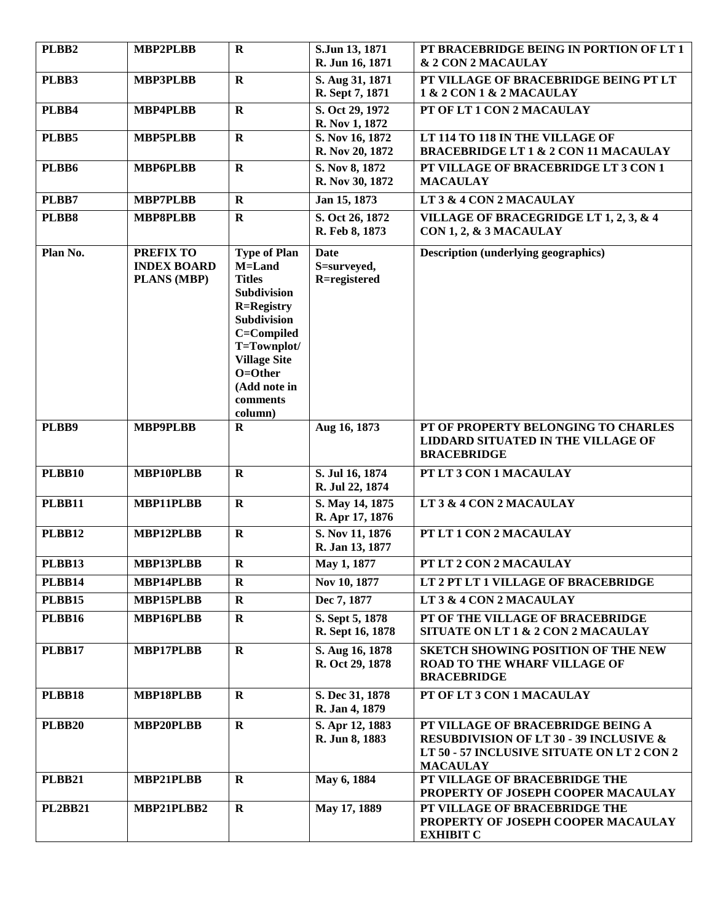| PLBB2          | MBP2PLBB                                              | $\mathbf R$                                                                                                                                                                                                           | S.Jun 13, 1871<br>R. Jun 16, 1871          | PT BRACEBRIDGE BEING IN PORTION OF LT 1<br>& 2 CON 2 MACAULAY                                                                                            |
|----------------|-------------------------------------------------------|-----------------------------------------------------------------------------------------------------------------------------------------------------------------------------------------------------------------------|--------------------------------------------|----------------------------------------------------------------------------------------------------------------------------------------------------------|
| PLBB3          | <b>MBP3PLBB</b>                                       | $\mathbf R$                                                                                                                                                                                                           | S. Aug 31, 1871<br>R. Sept 7, 1871         | PT VILLAGE OF BRACEBRIDGE BEING PT LT<br>1 & 2 CON 1 & 2 MACAULAY                                                                                        |
| PLBB4          | <b>MBP4PLBB</b>                                       | $\mathbf R$                                                                                                                                                                                                           | S. Oct 29, 1972<br>R. Nov 1, 1872          | PT OF LT 1 CON 2 MACAULAY                                                                                                                                |
| PLBB5          | <b>MBP5PLBB</b>                                       | $\mathbf R$                                                                                                                                                                                                           | S. Nov 16, 1872<br>R. Nov 20, 1872         | LT 114 TO 118 IN THE VILLAGE OF<br><b>BRACEBRIDGE LT 1 &amp; 2 CON 11 MACAULAY</b>                                                                       |
| PLBB6          | <b>MBP6PLBB</b>                                       | $\mathbf R$                                                                                                                                                                                                           | S. Nov 8, 1872<br>R. Nov 30, 1872          | PT VILLAGE OF BRACEBRIDGE LT 3 CON 1<br><b>MACAULAY</b>                                                                                                  |
| PLBB7          | <b>MBP7PLBB</b>                                       | $\mathbf{R}$                                                                                                                                                                                                          | Jan 15, 1873                               | LT 3 & 4 CON 2 MACAULAY                                                                                                                                  |
| PLBB8          | <b>MBP8PLBB</b>                                       | $\mathbf R$                                                                                                                                                                                                           | S. Oct 26, 1872<br>R. Feb 8, 1873          | VILLAGE OF BRACEGRIDGE LT 1, 2, 3, & 4<br>CON 1, 2, & 3 MACAULAY                                                                                         |
| Plan No.       | <b>PREFIX TO</b><br><b>INDEX BOARD</b><br>PLANS (MBP) | <b>Type of Plan</b><br>M=Land<br><b>Titles</b><br><b>Subdivision</b><br><b>R=Registry</b><br><b>Subdivision</b><br>C=Compiled<br>T=Townplot/<br><b>Village Site</b><br>O=Other<br>(Add note in<br>comments<br>column) | <b>Date</b><br>S=surveyed,<br>R=registered | <b>Description (underlying geographics)</b>                                                                                                              |
| PLBB9          | <b>MBP9PLBB</b>                                       | $\bf{R}$                                                                                                                                                                                                              | Aug 16, 1873                               | PT OF PROPERTY BELONGING TO CHARLES<br><b>LIDDARD SITUATED IN THE VILLAGE OF</b><br><b>BRACEBRIDGE</b>                                                   |
| <b>PLBB10</b>  | MBP10PLBB                                             | $\mathbf R$                                                                                                                                                                                                           | S. Jul 16, 1874<br>R. Jul 22, 1874         | PT LT 3 CON 1 MACAULAY                                                                                                                                   |
| <b>PLBB11</b>  | MBP11PLBB                                             | $\mathbf R$                                                                                                                                                                                                           | S. May 14, 1875<br>R. Apr 17, 1876         | LT 3 & 4 CON 2 MACAULAY                                                                                                                                  |
| PLBB12         | MBP12PLBB                                             | $\mathbf R$                                                                                                                                                                                                           | S. Nov 11, 1876<br>R. Jan 13, 1877         | PT LT 1 CON 2 MACAULAY                                                                                                                                   |
| PLBB13         | MBP13PLBB                                             | ${\bf R}$                                                                                                                                                                                                             | May 1, 1877                                | PT LT 2 CON 2 MACAULAY                                                                                                                                   |
| <b>PLBB14</b>  | MBP14PLBB                                             | $\bf R$                                                                                                                                                                                                               | Nov 10, 1877                               | LT 2 PT LT 1 VILLAGE OF BRACEBRIDGE                                                                                                                      |
| <b>PLBB15</b>  | MBP15PLBB                                             | $\mathbf R$                                                                                                                                                                                                           | Dec 7, 1877                                | LT 3 & 4 CON 2 MACAULAY                                                                                                                                  |
| <b>PLBB16</b>  | MBP16PLBB                                             | $\mathbf R$                                                                                                                                                                                                           | S. Sept 5, 1878<br>R. Sept 16, 1878        | PT OF THE VILLAGE OF BRACEBRIDGE<br>SITUATE ON LT 1 & 2 CON 2 MACAULAY                                                                                   |
| <b>PLBB17</b>  | MBP17PLBB                                             | $\mathbf R$                                                                                                                                                                                                           | S. Aug 16, 1878<br>R. Oct 29, 1878         | <b>SKETCH SHOWING POSITION OF THE NEW</b><br><b>ROAD TO THE WHARF VILLAGE OF</b><br><b>BRACEBRIDGE</b>                                                   |
| <b>PLBB18</b>  | MBP18PLBB                                             | $\mathbf R$                                                                                                                                                                                                           | S. Dec 31, 1878<br>R. Jan 4, 1879          | PT OF LT 3 CON 1 MACAULAY                                                                                                                                |
| <b>PLBB20</b>  | MBP20PLBB                                             | $\mathbf{R}$                                                                                                                                                                                                          | S. Apr 12, 1883<br>R. Jun 8, 1883          | PT VILLAGE OF BRACEBRIDGE BEING A<br><b>RESUBDIVISION OF LT 30 - 39 INCLUSIVE &amp;</b><br>LT 50 - 57 INCLUSIVE SITUATE ON LT 2 CON 2<br><b>MACAULAY</b> |
| <b>PLBB21</b>  | MBP21PLBB                                             | $\mathbf{R}$                                                                                                                                                                                                          | May 6, 1884                                | PT VILLAGE OF BRACEBRIDGE THE<br>PROPERTY OF JOSEPH COOPER MACAULAY                                                                                      |
| <b>PL2BB21</b> | MBP21PLBB2                                            | $\mathbf R$                                                                                                                                                                                                           | May 17, 1889                               | PT VILLAGE OF BRACEBRIDGE THE<br>PROPERTY OF JOSEPH COOPER MACAULAY<br><b>EXHIBIT C</b>                                                                  |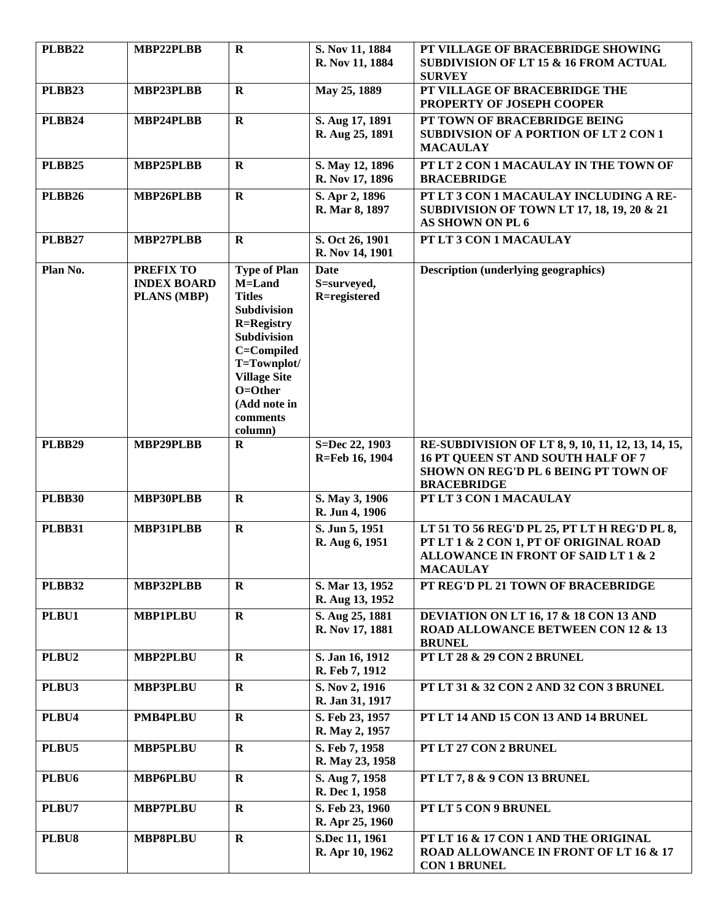| <b>PLBB22</b>     | MBP22PLBB                                                    | $\mathbf R$                                                                                                                                                                                                           | S. Nov 11, 1884<br>R. Nov 11, 1884         | PT VILLAGE OF BRACEBRIDGE SHOWING<br><b>SUBDIVISION OF LT 15 &amp; 16 FROM ACTUAL</b><br><b>SURVEY</b>                                                 |
|-------------------|--------------------------------------------------------------|-----------------------------------------------------------------------------------------------------------------------------------------------------------------------------------------------------------------------|--------------------------------------------|--------------------------------------------------------------------------------------------------------------------------------------------------------|
| <b>PLBB23</b>     | MBP23PLBB                                                    | $\mathbf R$                                                                                                                                                                                                           | May 25, 1889                               | PT VILLAGE OF BRACEBRIDGE THE<br>PROPERTY OF JOSEPH COOPER                                                                                             |
| <b>PLBB24</b>     | MBP24PLBB                                                    | $\mathbf R$                                                                                                                                                                                                           | S. Aug 17, 1891<br>R. Aug 25, 1891         | PT TOWN OF BRACEBRIDGE BEING<br><b>SUBDIVSION OF A PORTION OF LT 2 CON 1</b><br><b>MACAULAY</b>                                                        |
| <b>PLBB25</b>     | MBP25PLBB                                                    | $\mathbf R$                                                                                                                                                                                                           | S. May 12, 1896<br>R. Nov 17, 1896         | PT LT 2 CON 1 MACAULAY IN THE TOWN OF<br><b>BRACEBRIDGE</b>                                                                                            |
| <b>PLBB26</b>     | MBP26PLBB                                                    | $\mathbf R$                                                                                                                                                                                                           | S. Apr 2, 1896<br>R. Mar 8, 1897           | PT LT 3 CON 1 MACAULAY INCLUDING A RE-<br><b>SUBDIVISION OF TOWN LT 17, 18, 19, 20 &amp; 21</b><br>AS SHOWN ON PL 6                                    |
| <b>PLBB27</b>     | MBP27PLBB                                                    | $\mathbf R$                                                                                                                                                                                                           | S. Oct 26, 1901<br>R. Nov 14, 1901         | PT LT 3 CON 1 MACAULAY                                                                                                                                 |
| Plan No.          | <b>PREFIX TO</b><br><b>INDEX BOARD</b><br><b>PLANS (MBP)</b> | <b>Type of Plan</b><br>M=Land<br><b>Titles</b><br><b>Subdivision</b><br><b>R=Registry</b><br><b>Subdivision</b><br>C=Compiled<br>T=Townplot/<br><b>Village Site</b><br>O=Other<br>(Add note in<br>comments<br>column) | <b>Date</b><br>S=surveyed,<br>R=registered | <b>Description (underlying geographics)</b>                                                                                                            |
| <b>PLBB29</b>     | MBP29PLBB                                                    | $\bf R$                                                                                                                                                                                                               | S=Dec 22, 1903<br>R=Feb 16, 1904           | RE-SUBDIVISION OF LT 8, 9, 10, 11, 12, 13, 14, 15,<br>16 PT QUEEN ST AND SOUTH HALF OF 7<br>SHOWN ON REG'D PL 6 BEING PT TOWN OF<br><b>BRACEBRIDGE</b> |
| <b>PLBB30</b>     | MBP30PLBB                                                    | $\mathbf R$                                                                                                                                                                                                           | S. May 3, 1906<br>R. Jun 4, 1906           | PT LT 3 CON 1 MACAULAY                                                                                                                                 |
| <b>PLBB31</b>     | MBP31PLBB                                                    | $\mathbf R$                                                                                                                                                                                                           | S. Jun 5, 1951<br>R. Aug 6, 1951           | LT 51 TO 56 REG'D PL 25, PT LT H REG'D PL 8,<br>PT LT 1 & 2 CON 1, PT OF ORIGINAL ROAD<br>ALLOWANCE IN FRONT OF SAID LT 1 & 2<br><b>MACAULAY</b>       |
| <b>PLBB32</b>     | MBP32PLBB                                                    | $\mathbf R$                                                                                                                                                                                                           | S. Mar 13, 1952<br>R. Aug 13, 1952         | PT REG'D PL 21 TOWN OF BRACEBRIDGE                                                                                                                     |
| PLBU1             | <b>MBP1PLBU</b>                                              | $\mathbf R$                                                                                                                                                                                                           | S. Aug 25, 1881<br>R. Nov 17, 1881         | <b>DEVIATION ON LT 16, 17 &amp; 18 CON 13 AND</b><br><b>ROAD ALLOWANCE BETWEEN CON 12 &amp; 13</b><br><b>BRUNEL</b>                                    |
| PLBU2             | MBP2PLBU                                                     | $\mathbf R$                                                                                                                                                                                                           | S. Jan 16, 1912<br>R. Feb 7, 1912          | PT LT 28 & 29 CON 2 BRUNEL                                                                                                                             |
| PLBU3             | <b>MBP3PLBU</b>                                              | $\mathbf R$                                                                                                                                                                                                           | S. Nov 2, 1916<br>R. Jan 31, 1917          | PT LT 31 & 32 CON 2 AND 32 CON 3 BRUNEL                                                                                                                |
| PLBU4             | <b>PMB4PLBU</b>                                              | $\mathbf R$                                                                                                                                                                                                           | S. Feb 23, 1957<br>R. May 2, 1957          | PT LT 14 AND 15 CON 13 AND 14 BRUNEL                                                                                                                   |
| PLBU5             | <b>MBP5PLBU</b>                                              | $\mathbf R$                                                                                                                                                                                                           | S. Feb 7, 1958<br>R. May 23, 1958          | PT LT 27 CON 2 BRUNEL                                                                                                                                  |
| PLBU <sub>6</sub> | <b>MBP6PLBU</b>                                              | $\mathbf R$                                                                                                                                                                                                           | S. Aug 7, 1958<br>R. Dec 1, 1958           | PT LT 7, 8 & 9 CON 13 BRUNEL                                                                                                                           |
| PLBU7             | <b>MBP7PLBU</b>                                              | $\mathbf R$                                                                                                                                                                                                           | S. Feb 23, 1960<br>R. Apr 25, 1960         | PT LT 5 CON 9 BRUNEL                                                                                                                                   |
| PLBU8             | <b>MBP8PLBU</b>                                              | $\mathbf R$                                                                                                                                                                                                           | S.Dec 11, 1961<br>R. Apr 10, 1962          | PT LT 16 & 17 CON 1 AND THE ORIGINAL<br>ROAD ALLOWANCE IN FRONT OF LT 16 & 17<br><b>CON 1 BRUNEL</b>                                                   |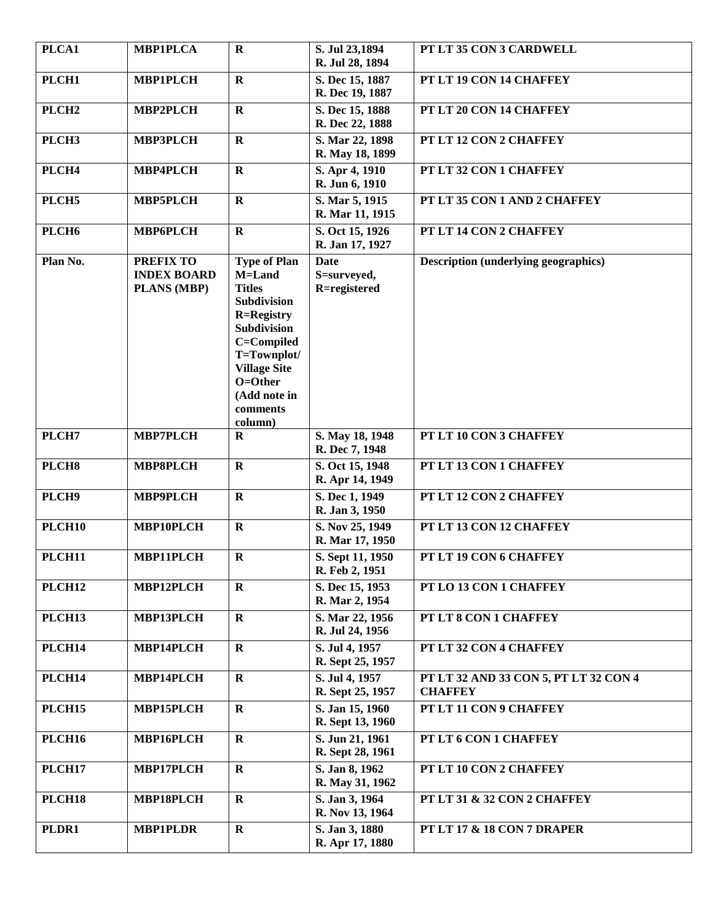| PLCA1              | <b>MBP1PLCA</b>                                       | $\mathbf R$                                                                                                                                                                                                    | S. Jul 23,1894<br>R. Jul 28, 1894          | PT LT 35 CON 3 CARDWELL                                 |
|--------------------|-------------------------------------------------------|----------------------------------------------------------------------------------------------------------------------------------------------------------------------------------------------------------------|--------------------------------------------|---------------------------------------------------------|
| PLCH1              | <b>MBP1PLCH</b>                                       | $\mathbf R$                                                                                                                                                                                                    | S. Dec 15, 1887<br>R. Dec 19, 1887         | PT LT 19 CON 14 CHAFFEY                                 |
| PLCH <sub>2</sub>  | <b>MBP2PLCH</b>                                       | $\mathbf R$                                                                                                                                                                                                    | S. Dec 15, 1888<br>R. Dec 22, 1888         | PT LT 20 CON 14 CHAFFEY                                 |
| PLCH <sub>3</sub>  | <b>MBP3PLCH</b>                                       | $\mathbf R$                                                                                                                                                                                                    | S. Mar 22, 1898<br>R. May 18, 1899         | PT LT 12 CON 2 CHAFFEY                                  |
| PLCH <sub>4</sub>  | MBP4PLCH                                              | $\mathbf R$                                                                                                                                                                                                    | S. Apr 4, 1910<br>R. Jun 6, 1910           | PT LT 32 CON 1 CHAFFEY                                  |
| PLCH <sub>5</sub>  | <b>MBP5PLCH</b>                                       | $\mathbf R$                                                                                                                                                                                                    | S. Mar 5, 1915<br>R. Mar 11, 1915          | PT LT 35 CON 1 AND 2 CHAFFEY                            |
| PLCH <sub>6</sub>  | <b>MBP6PLCH</b>                                       | $\mathbf{R}$                                                                                                                                                                                                   | S. Oct 15, 1926<br>R. Jan 17, 1927         | PT LT 14 CON 2 CHAFFEY                                  |
| Plan No.           | <b>PREFIX TO</b><br><b>INDEX BOARD</b><br>PLANS (MBP) | <b>Type of Plan</b><br>M=Land<br><b>Titles</b><br>Subdivision<br><b>R=Registry</b><br><b>Subdivision</b><br>C=Compiled<br>T=Townplot/<br><b>Village Site</b><br>O=Other<br>(Add note in<br>comments<br>column) | <b>Date</b><br>S=surveyed,<br>R=registered | <b>Description (underlying geographics)</b>             |
| PLCH7              | <b>MBP7PLCH</b>                                       | $\mathbf R$                                                                                                                                                                                                    | S. May 18, 1948<br>R. Dec 7, 1948          | PT LT 10 CON 3 CHAFFEY                                  |
| PLCH <sub>8</sub>  | <b>MBP8PLCH</b>                                       | $\mathbf R$                                                                                                                                                                                                    | S. Oct 15, 1948<br>R. Apr 14, 1949         | PT LT 13 CON 1 CHAFFEY                                  |
| PLCH9              | <b>MBP9PLCH</b>                                       | $\mathbf R$                                                                                                                                                                                                    | S. Dec 1, 1949<br>R. Jan 3, 1950           | PT LT 12 CON 2 CHAFFEY                                  |
| PLCH <sub>10</sub> | MBP10PLCH                                             | $\mathbf R$                                                                                                                                                                                                    | S. Nov 25, 1949<br>R. Mar 17, 1950         | PT LT 13 CON 12 CHAFFEY                                 |
| PLCH11             | MBP11PLCH                                             | $\mathbf R$                                                                                                                                                                                                    | S. Sept 11, 1950<br>R. Feb 2, 1951         | PT LT 19 CON 6 CHAFFEY                                  |
| PLCH12             | MBP12PLCH                                             | $\mathbf{R}$                                                                                                                                                                                                   | S. Dec 15, 1953<br>R. Mar 2, 1954          | PT LO 13 CON 1 CHAFFEY                                  |
| PLCH13             | MBP13PLCH                                             | $\mathbf R$                                                                                                                                                                                                    | S. Mar 22, 1956<br>R. Jul 24, 1956         | PT LT 8 CON 1 CHAFFEY                                   |
| PLCH14             | MBP14PLCH                                             | $\mathbf R$                                                                                                                                                                                                    | S. Jul 4, 1957<br>R. Sept 25, 1957         | PT LT 32 CON 4 CHAFFEY                                  |
| PLCH14             | MBP14PLCH                                             | $\mathbf R$                                                                                                                                                                                                    | S. Jul 4, 1957<br>R. Sept 25, 1957         | PT LT 32 AND 33 CON 5, PT LT 32 CON 4<br><b>CHAFFEY</b> |
| PLCH15             | MBP15PLCH                                             | $\mathbf R$                                                                                                                                                                                                    | S. Jan 15, 1960<br>R. Sept 13, 1960        | PT LT 11 CON 9 CHAFFEY                                  |
| <b>PLCH16</b>      | MBP16PLCH                                             | $\mathbf R$                                                                                                                                                                                                    | S. Jun 21, 1961<br>R. Sept 28, 1961        | PT LT 6 CON 1 CHAFFEY                                   |
| PLCH17             | MBP17PLCH                                             | $\mathbf R$                                                                                                                                                                                                    | S. Jan 8, 1962<br>R. May 31, 1962          | PT LT 10 CON 2 CHAFFEY                                  |
| PLCH18             | MBP18PLCH                                             | $\mathbf R$                                                                                                                                                                                                    | S. Jan 3, 1964<br>R. Nov 13, 1964          | PT LT 31 & 32 CON 2 CHAFFEY                             |
| PLDR1              | <b>MBP1PLDR</b>                                       | $\mathbf R$                                                                                                                                                                                                    | S. Jan 3, 1880<br>R. Apr 17, 1880          | <b>PT LT 17 &amp; 18 CON 7 DRAPER</b>                   |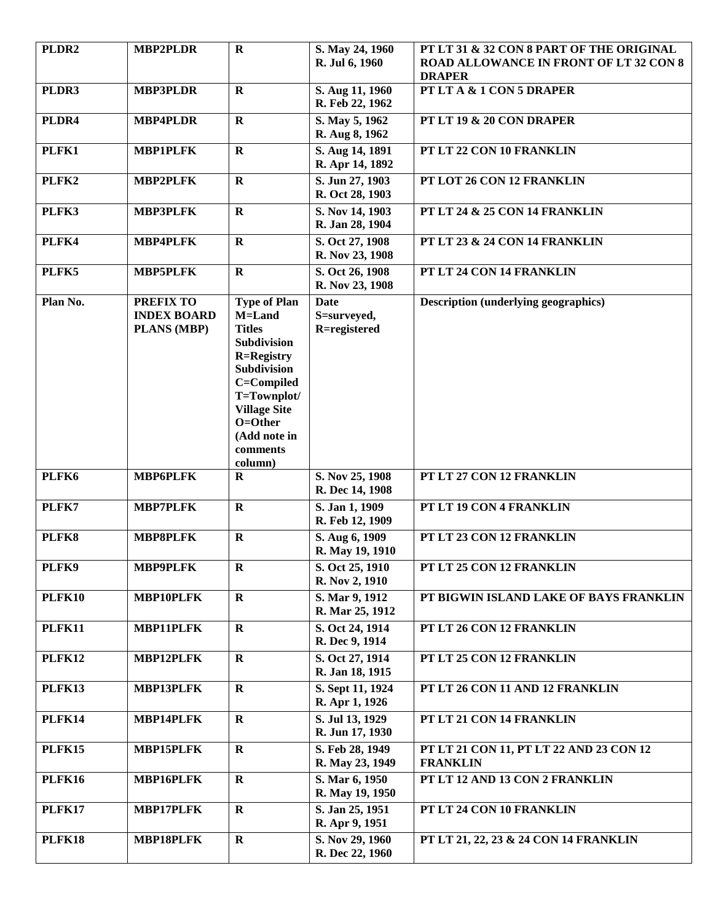| PLDR <sub>2</sub> | <b>MBP2PLDR</b>                                       | $\mathbf R$                                                                                                                                                                                                           | S. May 24, 1960<br>R. Jul 6, 1960   | PT LT 31 & 32 CON 8 PART OF THE ORIGINAL<br><b>ROAD ALLOWANCE IN FRONT OF LT 32 CON 8</b><br><b>DRAPER</b> |
|-------------------|-------------------------------------------------------|-----------------------------------------------------------------------------------------------------------------------------------------------------------------------------------------------------------------------|-------------------------------------|------------------------------------------------------------------------------------------------------------|
| PLDR3             | <b>MBP3PLDR</b>                                       | $\mathbf R$                                                                                                                                                                                                           | S. Aug 11, 1960<br>R. Feb 22, 1962  | PT LT A & 1 CON 5 DRAPER                                                                                   |
| PLDR4             | <b>MBP4PLDR</b>                                       | $\bf R$                                                                                                                                                                                                               | S. May 5, 1962<br>R. Aug 8, 1962    | PT LT 19 & 20 CON DRAPER                                                                                   |
| PLFK1             | <b>MBP1PLFK</b>                                       | $\bf{R}$                                                                                                                                                                                                              | S. Aug 14, 1891<br>R. Apr 14, 1892  | PT LT 22 CON 10 FRANKLIN                                                                                   |
| PLFK2             | <b>MBP2PLFK</b>                                       | $\mathbf R$                                                                                                                                                                                                           | S. Jun 27, 1903<br>R. Oct 28, 1903  | PT LOT 26 CON 12 FRANKLIN                                                                                  |
| PLFK3             | <b>MBP3PLFK</b>                                       | $\mathbf R$                                                                                                                                                                                                           | S. Nov 14, 1903<br>R. Jan 28, 1904  | PT LT 24 & 25 CON 14 FRANKLIN                                                                              |
| PLFK4             | <b>MBP4PLFK</b>                                       | $\mathbf R$                                                                                                                                                                                                           | S. Oct 27, 1908<br>R. Nov 23, 1908  | PT LT 23 & 24 CON 14 FRANKLIN                                                                              |
| PLFK5             | <b>MBP5PLFK</b>                                       | $\mathbf R$                                                                                                                                                                                                           | S. Oct 26, 1908<br>R. Nov 23, 1908  | PT LT 24 CON 14 FRANKLIN                                                                                   |
| Plan No.          | <b>PREFIX TO</b><br><b>INDEX BOARD</b><br>PLANS (MBP) | <b>Type of Plan</b><br>M=Land<br><b>Titles</b><br><b>Subdivision</b><br><b>R=Registry</b><br><b>Subdivision</b><br>C=Compiled<br>T=Townplot/<br><b>Village Site</b><br>O=Other<br>(Add note in<br>comments<br>column) | Date<br>S=surveyed,<br>R=registered | <b>Description (underlying geographics)</b>                                                                |
| PLFK6             | <b>MBP6PLFK</b>                                       | $\bf R$                                                                                                                                                                                                               | S. Nov 25, 1908<br>R. Dec 14, 1908  | PT LT 27 CON 12 FRANKLIN                                                                                   |
| PLFK7             | <b>MBP7PLFK</b>                                       | $\mathbf{R}$                                                                                                                                                                                                          | S. Jan 1, 1909<br>R. Feb 12, 1909   | PT LT 19 CON 4 FRANKLIN                                                                                    |
| PLFK8             | <b>MBP8PLFK</b>                                       | $\mathbf R$                                                                                                                                                                                                           | S. Aug 6, 1909<br>R. May 19, 1910   | PT LT 23 CON 12 FRANKLIN                                                                                   |
| PLFK9             | <b>MBP9PLFK</b>                                       | $\mathbf R$                                                                                                                                                                                                           | S. Oct 25, 1910<br>R. Nov 2, 1910   | PT LT 25 CON 12 FRANKLIN                                                                                   |
| <b>PLFK10</b>     | MBP10PLFK                                             | $\mathbf R$                                                                                                                                                                                                           | S. Mar 9, 1912<br>R. Mar 25, 1912   | PT BIGWIN ISLAND LAKE OF BAYS FRANKLIN                                                                     |
| <b>PLFK11</b>     | MBP11PLFK                                             | $\mathbf R$                                                                                                                                                                                                           | S. Oct 24, 1914<br>R. Dec 9, 1914   | PT LT 26 CON 12 FRANKLIN                                                                                   |
| <b>PLFK12</b>     | MBP12PLFK                                             | $\mathbf R$                                                                                                                                                                                                           | S. Oct 27, 1914<br>R. Jan 18, 1915  | PT LT 25 CON 12 FRANKLIN                                                                                   |
| <b>PLFK13</b>     | MBP13PLFK                                             | $\mathbf{R}$                                                                                                                                                                                                          | S. Sept 11, 1924<br>R. Apr 1, 1926  | PT LT 26 CON 11 AND 12 FRANKLIN                                                                            |
| <b>PLFK14</b>     | MBP14PLFK                                             | $\mathbf R$                                                                                                                                                                                                           | S. Jul 13, 1929<br>R. Jun 17, 1930  | PT LT 21 CON 14 FRANKLIN                                                                                   |
| <b>PLFK15</b>     | <b>MBP15PLFK</b>                                      | $\bf R$                                                                                                                                                                                                               | S. Feb 28, 1949<br>R. May 23, 1949  | PT LT 21 CON 11, PT LT 22 AND 23 CON 12<br><b>FRANKLIN</b>                                                 |
| <b>PLFK16</b>     | MBP16PLFK                                             | $\mathbf R$                                                                                                                                                                                                           | S. Mar 6, 1950<br>R. May 19, 1950   | PT LT 12 AND 13 CON 2 FRANKLIN                                                                             |
| <b>PLFK17</b>     | MBP17PLFK                                             | $\mathbf R$                                                                                                                                                                                                           | S. Jan 25, 1951<br>R. Apr 9, 1951   | PT LT 24 CON 10 FRANKLIN                                                                                   |
| <b>PLFK18</b>     | MBP18PLFK                                             | R                                                                                                                                                                                                                     | S. Nov 29, 1960<br>R. Dec 22, 1960  | PT LT 21, 22, 23 & 24 CON 14 FRANKLIN                                                                      |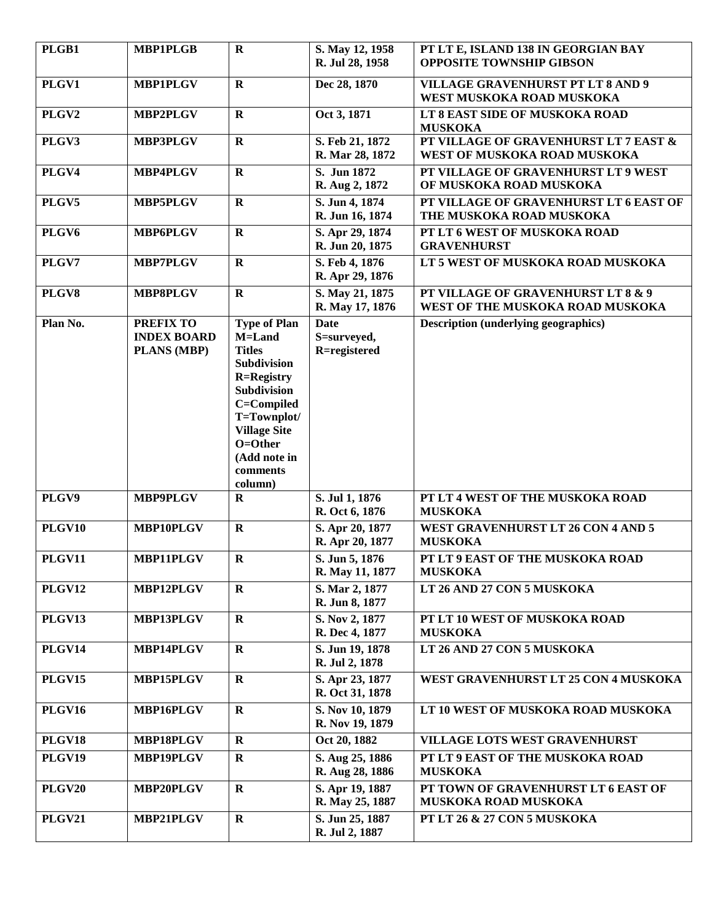| PLGB1             | <b>MBP1PLGB</b>                                       | $\mathbf R$                                                                                                                                                                                                           | S. May 12, 1958<br>R. Jul 28, 1958         | PT LT E, ISLAND 138 IN GEORGIAN BAY<br><b>OPPOSITE TOWNSHIP GIBSON</b> |
|-------------------|-------------------------------------------------------|-----------------------------------------------------------------------------------------------------------------------------------------------------------------------------------------------------------------------|--------------------------------------------|------------------------------------------------------------------------|
| PLGV1             | <b>MBP1PLGV</b>                                       | $\mathbf R$                                                                                                                                                                                                           | Dec 28, 1870                               | <b>VILLAGE GRAVENHURST PT LT 8 AND 9</b><br>WEST MUSKOKA ROAD MUSKOKA  |
| PLGV2             | <b>MBP2PLGV</b>                                       | $\bf R$                                                                                                                                                                                                               | Oct 3, 1871                                | LT 8 EAST SIDE OF MUSKOKA ROAD<br><b>MUSKOKA</b>                       |
| PLGV3             | <b>MBP3PLGV</b>                                       | $\mathbf R$                                                                                                                                                                                                           | S. Feb 21, 1872<br>R. Mar 28, 1872         | PT VILLAGE OF GRAVENHURST LT 7 EAST &<br>WEST OF MUSKOKA ROAD MUSKOKA  |
| PLGV4             | <b>MBP4PLGV</b>                                       | $\mathbf R$                                                                                                                                                                                                           | S. Jun 1872<br>R. Aug 2, 1872              | PT VILLAGE OF GRAVENHURST LT 9 WEST<br>OF MUSKOKA ROAD MUSKOKA         |
| PLGV5             | <b>MBP5PLGV</b>                                       | $\mathbf R$                                                                                                                                                                                                           | S. Jun 4, 1874<br>R. Jun 16, 1874          | PT VILLAGE OF GRAVENHURST LT 6 EAST OF<br>THE MUSKOKA ROAD MUSKOKA     |
| PLGV <sub>6</sub> | <b>MBP6PLGV</b>                                       | $\mathbf R$                                                                                                                                                                                                           | S. Apr 29, 1874<br>R. Jun 20, 1875         | PT LT 6 WEST OF MUSKOKA ROAD<br><b>GRAVENHURST</b>                     |
| PLGV7             | <b>MBP7PLGV</b>                                       | $\mathbf R$                                                                                                                                                                                                           | S. Feb 4, 1876<br>R. Apr 29, 1876          | LT 5 WEST OF MUSKOKA ROAD MUSKOKA                                      |
| PLGV8             | <b>MBP8PLGV</b>                                       | $\mathbf R$                                                                                                                                                                                                           | S. May 21, 1875<br>R. May 17, 1876         | PT VILLAGE OF GRAVENHURST LT 8 & 9<br>WEST OF THE MUSKOKA ROAD MUSKOKA |
| Plan No.          | <b>PREFIX TO</b><br><b>INDEX BOARD</b><br>PLANS (MBP) | <b>Type of Plan</b><br>M=Land<br><b>Titles</b><br><b>Subdivision</b><br><b>R=Registry</b><br><b>Subdivision</b><br>C=Compiled<br>T=Townplot/<br><b>Village Site</b><br>O=Other<br>(Add note in<br>comments<br>column) | <b>Date</b><br>S=surveyed,<br>R=registered | <b>Description (underlying geographics)</b>                            |
| PLGV9             | <b>MBP9PLGV</b>                                       | $\bf R$                                                                                                                                                                                                               | S. Jul 1, 1876<br>R. Oct 6, 1876           | PT LT 4 WEST OF THE MUSKOKA ROAD<br><b>MUSKOKA</b>                     |
| <b>PLGV10</b>     | MBP10PLGV                                             | $\mathbf R$                                                                                                                                                                                                           | S. Apr 20, 1877<br>R. Apr 20, 1877         | WEST GRAVENHURST LT 26 CON 4 AND 5<br><b>MUSKOKA</b>                   |
| <b>PLGV11</b>     | MBP11PLGV                                             | $\mathbf R$                                                                                                                                                                                                           | S. Jun 5, 1876<br>R. May 11, 1877          | PT LT 9 EAST OF THE MUSKOKA ROAD<br><b>MUSKOKA</b>                     |
| <b>PLGV12</b>     | MBP12PLGV                                             | $\bf R$                                                                                                                                                                                                               | S. Mar 2, 1877<br>R. Jun 8, 1877           | LT 26 AND 27 CON 5 MUSKOKA                                             |
| PLGV13            | MBP13PLGV                                             | $\mathbf R$                                                                                                                                                                                                           | S. Nov 2, 1877<br>R. Dec 4, 1877           | PT LT 10 WEST OF MUSKOKA ROAD<br><b>MUSKOKA</b>                        |
| <b>PLGV14</b>     | MBP14PLGV                                             | $\mathbf R$                                                                                                                                                                                                           | S. Jun 19, 1878<br>R. Jul 2, 1878          | LT 26 AND 27 CON 5 MUSKOKA                                             |
| <b>PLGV15</b>     | <b>MBP15PLGV</b>                                      | $\mathbf R$                                                                                                                                                                                                           | S. Apr 23, 1877<br>R. Oct 31, 1878         | WEST GRAVENHURST LT 25 CON 4 MUSKOKA                                   |
| <b>PLGV16</b>     | MBP16PLGV                                             | $\mathbf R$                                                                                                                                                                                                           | S. Nov 10, 1879<br>R. Nov 19, 1879         | LT 10 WEST OF MUSKOKA ROAD MUSKOKA                                     |
| <b>PLGV18</b>     | MBP18PLGV                                             | $\mathbf R$                                                                                                                                                                                                           | Oct 20, 1882                               | <b>VILLAGE LOTS WEST GRAVENHURST</b>                                   |
| PLGV19            | <b>MBP19PLGV</b>                                      | $\mathbf R$                                                                                                                                                                                                           | S. Aug 25, 1886<br>R. Aug 28, 1886         | PT LT 9 EAST OF THE MUSKOKA ROAD<br><b>MUSKOKA</b>                     |
| <b>PLGV20</b>     | MBP20PLGV                                             | $\bf R$                                                                                                                                                                                                               | S. Apr 19, 1887<br>R. May 25, 1887         | PT TOWN OF GRAVENHURST LT 6 EAST OF<br>MUSKOKA ROAD MUSKOKA            |
| <b>PLGV21</b>     | MBP21PLGV                                             | $\mathbf R$                                                                                                                                                                                                           | S. Jun 25, 1887<br>R. Jul 2, 1887          | PT LT 26 & 27 CON 5 MUSKOKA                                            |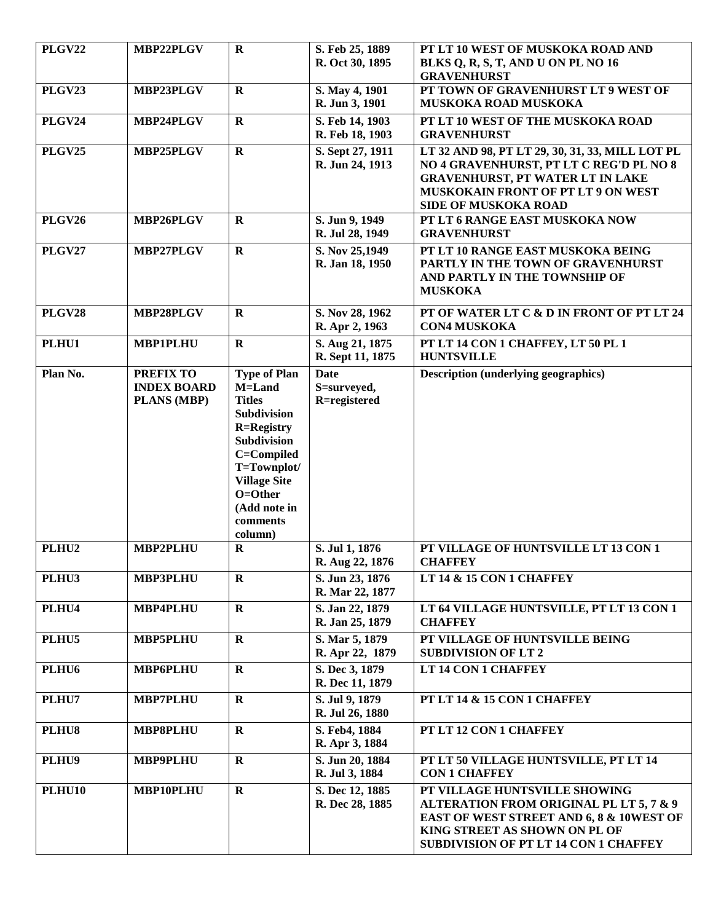| <b>PLGV22</b>     | MBP22PLGV                                                    | $\mathbf R$                                                                                                                                                                                                    | S. Feb 25, 1889<br>R. Oct 30, 1895         | PT LT 10 WEST OF MUSKOKA ROAD AND<br>BLKS Q, R, S, T, AND U ON PL NO 16<br><b>GRAVENHURST</b>                                                                                                              |
|-------------------|--------------------------------------------------------------|----------------------------------------------------------------------------------------------------------------------------------------------------------------------------------------------------------------|--------------------------------------------|------------------------------------------------------------------------------------------------------------------------------------------------------------------------------------------------------------|
| <b>PLGV23</b>     | MBP23PLGV                                                    | $\mathbf R$                                                                                                                                                                                                    | S. May 4, 1901<br>R. Jun 3, 1901           | PT TOWN OF GRAVENHURST LT 9 WEST OF<br>MUSKOKA ROAD MUSKOKA                                                                                                                                                |
| <b>PLGV24</b>     | MBP24PLGV                                                    | $\mathbf R$                                                                                                                                                                                                    | S. Feb 14, 1903<br>R. Feb 18, 1903         | PT LT 10 WEST OF THE MUSKOKA ROAD<br><b>GRAVENHURST</b>                                                                                                                                                    |
| <b>PLGV25</b>     | MBP25PLGV                                                    | $\mathbf R$                                                                                                                                                                                                    | S. Sept 27, 1911<br>R. Jun 24, 1913        | LT 32 AND 98, PT LT 29, 30, 31, 33, MILL LOT PL<br>NO 4 GRAVENHURST, PT LT C REG'D PL NO 8<br><b>GRAVENHURST, PT WATER LT IN LAKE</b><br>MUSKOKAIN FRONT OF PT LT 9 ON WEST<br><b>SIDE OF MUSKOKA ROAD</b> |
| <b>PLGV26</b>     | MBP26PLGV                                                    | $\mathbf{R}$                                                                                                                                                                                                   | S. Jun 9, 1949<br>R. Jul 28, 1949          | PT LT 6 RANGE EAST MUSKOKA NOW<br><b>GRAVENHURST</b>                                                                                                                                                       |
| <b>PLGV27</b>     | MBP27PLGV                                                    | $\mathbf R$                                                                                                                                                                                                    | S. Nov 25,1949<br>R. Jan 18, 1950          | PT LT 10 RANGE EAST MUSKOKA BEING<br>PARTLY IN THE TOWN OF GRAVENHURST<br>AND PARTLY IN THE TOWNSHIP OF<br><b>MUSKOKA</b>                                                                                  |
| <b>PLGV28</b>     | MBP28PLGV                                                    | $\mathbf R$                                                                                                                                                                                                    | S. Nov 28, 1962<br>R. Apr 2, 1963          | PT OF WATER LT C & D IN FRONT OF PT LT 24<br><b>CON4 MUSKOKA</b>                                                                                                                                           |
| PLHU1             | <b>MBP1PLHU</b>                                              | $\mathbf R$                                                                                                                                                                                                    | S. Aug 21, 1875<br>R. Sept 11, 1875        | PT LT 14 CON 1 CHAFFEY, LT 50 PL 1<br><b>HUNTSVILLE</b>                                                                                                                                                    |
| Plan No.          | <b>PREFIX TO</b><br><b>INDEX BOARD</b><br><b>PLANS (MBP)</b> | <b>Type of Plan</b><br>M=Land<br><b>Titles</b><br>Subdivision<br><b>R=Registry</b><br><b>Subdivision</b><br>C=Compiled<br>T=Townplot/<br><b>Village Site</b><br>O=Other<br>(Add note in<br>comments<br>column) | <b>Date</b><br>S=surveyed,<br>R=registered | <b>Description (underlying geographics)</b>                                                                                                                                                                |
| PLHU <sub>2</sub> | MBP2PLHU                                                     | $\mathbf R$                                                                                                                                                                                                    | S. Jul 1, 1876<br>R. Aug 22, 1876          | PT VILLAGE OF HUNTSVILLE LT 13 CON 1<br><b>CHAFFEY</b>                                                                                                                                                     |
| PLHU3             | <b>MBP3PLHU</b>                                              | $\mathbf R$                                                                                                                                                                                                    | S. Jun 23, 1876<br>R. Mar 22, 1877         | LT 14 & 15 CON 1 CHAFFEY                                                                                                                                                                                   |
| PLHU4             | MBP4PLHU                                                     | $\mathbf R$                                                                                                                                                                                                    | S. Jan 22, 1879<br>R. Jan 25, 1879         | LT 64 VILLAGE HUNTSVILLE, PT LT 13 CON 1<br><b>CHAFFEY</b>                                                                                                                                                 |
| PLHU5             | <b>MBP5PLHU</b>                                              | $\mathbf R$                                                                                                                                                                                                    | S. Mar 5, 1879<br>R. Apr 22, 1879          | PT VILLAGE OF HUNTSVILLE BEING<br><b>SUBDIVISION OF LT 2</b>                                                                                                                                               |
| PLHU <sub>6</sub> | <b>MBP6PLHU</b>                                              | $\mathbf R$                                                                                                                                                                                                    | S. Dec 3, 1879<br>R. Dec 11, 1879          | LT 14 CON 1 CHAFFEY                                                                                                                                                                                        |
| PLHU7             | <b>MBP7PLHU</b>                                              | $\mathbf R$                                                                                                                                                                                                    | S. Jul 9, 1879<br>R. Jul 26, 1880          | PT LT 14 & 15 CON 1 CHAFFEY                                                                                                                                                                                |
| PLHU8             | <b>MBP8PLHU</b>                                              | $\mathbf R$                                                                                                                                                                                                    | S. Feb4, 1884<br>R. Apr 3, 1884            | PT LT 12 CON 1 CHAFFEY                                                                                                                                                                                     |
| PLHU9             | <b>MBP9PLHU</b>                                              | $\mathbf R$                                                                                                                                                                                                    | S. Jun 20, 1884<br>R. Jul 3, 1884          | PT LT 50 VILLAGE HUNTSVILLE, PT LT 14<br><b>CON 1 CHAFFEY</b>                                                                                                                                              |
| <b>PLHU10</b>     | MBP10PLHU                                                    | $\mathbf R$                                                                                                                                                                                                    | S. Dec 12, 1885<br>R. Dec 28, 1885         | PT VILLAGE HUNTSVILLE SHOWING<br>ALTERATION FROM ORIGINAL PL LT 5, 7 & 9<br>EAST OF WEST STREET AND 6, 8 & 10WEST OF<br>KING STREET AS SHOWN ON PL OF<br>SUBDIVISION OF PT LT 14 CON 1 CHAFFEY             |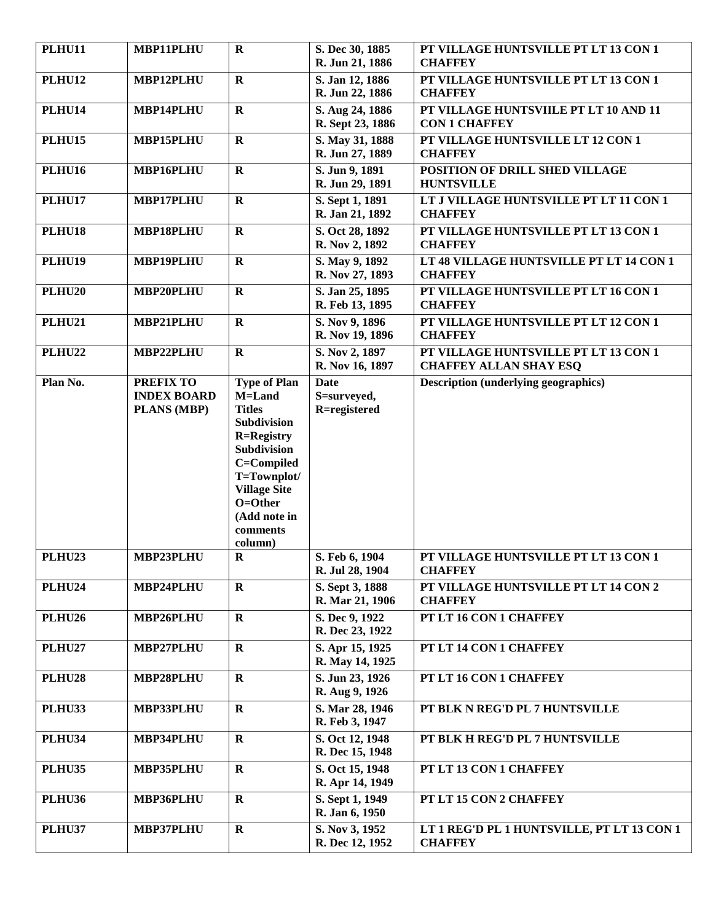| <b>PLHU11</b> | MBP11PLHU                                             | $\mathbf R$                                                                                                                                                                                             | S. Dec 30, 1885<br>R. Jun 21, 1886         | PT VILLAGE HUNTSVILLE PT LT 13 CON 1<br><b>CHAFFEY</b>                |
|---------------|-------------------------------------------------------|---------------------------------------------------------------------------------------------------------------------------------------------------------------------------------------------------------|--------------------------------------------|-----------------------------------------------------------------------|
| <b>PLHU12</b> | MBP12PLHU                                             | $\mathbf{R}$                                                                                                                                                                                            | S. Jan 12, 1886<br>R. Jun 22, 1886         | PT VILLAGE HUNTSVILLE PT LT 13 CON 1<br><b>CHAFFEY</b>                |
| PLHU14        | MBP14PLHU                                             | $\mathbf R$                                                                                                                                                                                             | S. Aug 24, 1886<br>R. Sept 23, 1886        | PT VILLAGE HUNTSVIILE PT LT 10 AND 11<br><b>CON 1 CHAFFEY</b>         |
| <b>PLHU15</b> | MBP15PLHU                                             | $\mathbf R$                                                                                                                                                                                             | S. May 31, 1888<br>R. Jun 27, 1889         | PT VILLAGE HUNTSVILLE LT 12 CON 1<br><b>CHAFFEY</b>                   |
| <b>PLHU16</b> | MBP16PLHU                                             | $\mathbf R$                                                                                                                                                                                             | S. Jun 9, 1891<br>R. Jun 29, 1891          | POSITION OF DRILL SHED VILLAGE<br><b>HUNTSVILLE</b>                   |
| PLHU17        | MBP17PLHU                                             | $\mathbf R$                                                                                                                                                                                             | S. Sept 1, 1891<br>R. Jan 21, 1892         | LT J VILLAGE HUNTSVILLE PT LT 11 CON 1<br><b>CHAFFEY</b>              |
| PLHU18        | MBP18PLHU                                             | $\mathbf R$                                                                                                                                                                                             | S. Oct 28, 1892<br>R. Nov 2, 1892          | PT VILLAGE HUNTSVILLE PT LT 13 CON 1<br><b>CHAFFEY</b>                |
| <b>PLHU19</b> | MBP19PLHU                                             | $\mathbf{R}$                                                                                                                                                                                            | S. May 9, 1892<br>R. Nov 27, 1893          | LT 48 VILLAGE HUNTSVILLE PT LT 14 CON 1<br><b>CHAFFEY</b>             |
| <b>PLHU20</b> | MBP20PLHU                                             | $\mathbf R$                                                                                                                                                                                             | S. Jan 25, 1895<br>R. Feb 13, 1895         | PT VILLAGE HUNTSVILLE PT LT 16 CON 1<br><b>CHAFFEY</b>                |
| <b>PLHU21</b> | MBP21PLHU                                             | $\mathbf R$                                                                                                                                                                                             | S. Nov 9, 1896<br>R. Nov 19, 1896          | PT VILLAGE HUNTSVILLE PT LT 12 CON 1<br><b>CHAFFEY</b>                |
| <b>PLHU22</b> | MBP22PLHU                                             | $\mathbf{R}$                                                                                                                                                                                            | S. Nov 2, 1897<br>R. Nov 16, 1897          | PT VILLAGE HUNTSVILLE PT LT 13 CON 1<br><b>CHAFFEY ALLAN SHAY ESQ</b> |
| Plan No.      | <b>PREFIX TO</b><br><b>INDEX BOARD</b><br>PLANS (MBP) | <b>Type of Plan</b><br>M=Land<br><b>Titles</b><br>Subdivision<br><b>R=Registry</b><br>Subdivision<br>C=Compiled<br>T=Townplot/<br><b>Village Site</b><br>O=Other<br>(Add note in<br>comments<br>column) | <b>Date</b><br>S=surveyed,<br>R=registered | <b>Description (underlying geographics)</b>                           |
| <b>PLHU23</b> | MBP23PLHU                                             | $\mathbf R$                                                                                                                                                                                             | S. Feb 6, 1904<br>R. Jul 28, 1904          | PT VILLAGE HUNTSVILLE PT LT 13 CON 1<br><b>CHAFFEY</b>                |
| PLHU24        | MBP24PLHU                                             | R                                                                                                                                                                                                       | S. Sept 3, 1888<br>R. Mar 21, 1906         | PT VILLAGE HUNTSVILLE PT LT 14 CON 2<br><b>CHAFFEY</b>                |
| <b>PLHU26</b> | MBP26PLHU                                             | $\mathbf{R}$                                                                                                                                                                                            | S. Dec 9, 1922<br>R. Dec 23, 1922          | PT LT 16 CON 1 CHAFFEY                                                |
| <b>PLHU27</b> | MBP27PLHU                                             | $\mathbf R$                                                                                                                                                                                             | S. Apr 15, 1925<br>R. May 14, 1925         | PT LT 14 CON 1 CHAFFEY                                                |
| <b>PLHU28</b> | MBP28PLHU                                             | $\mathbf R$                                                                                                                                                                                             | S. Jun 23, 1926<br>R. Aug 9, 1926          | PT LT 16 CON 1 CHAFFEY                                                |
| <b>PLHU33</b> | MBP33PLHU                                             | $\mathbf R$                                                                                                                                                                                             | S. Mar 28, 1946<br>R. Feb 3, 1947          | PT BLK N REG'D PL 7 HUNTSVILLE                                        |
| <b>PLHU34</b> | MBP34PLHU                                             | $\mathbf R$                                                                                                                                                                                             | S. Oct 12, 1948<br>R. Dec 15, 1948         | PT BLK H REG'D PL 7 HUNTSVILLE                                        |
| <b>PLHU35</b> | MBP35PLHU                                             | $\mathbf R$                                                                                                                                                                                             | S. Oct 15, 1948<br>R. Apr 14, 1949         | PT LT 13 CON 1 CHAFFEY                                                |
| <b>PLHU36</b> | MBP36PLHU                                             | $\mathbf{R}$                                                                                                                                                                                            | S. Sept 1, 1949<br>R. Jan 6, 1950          | PT LT 15 CON 2 CHAFFEY                                                |
| PLHU37        | MBP37PLHU                                             | $\mathbf R$                                                                                                                                                                                             | S. Nov 3, 1952<br>R. Dec 12, 1952          | LT 1 REG'D PL 1 HUNTSVILLE, PT LT 13 CON 1<br><b>CHAFFEY</b>          |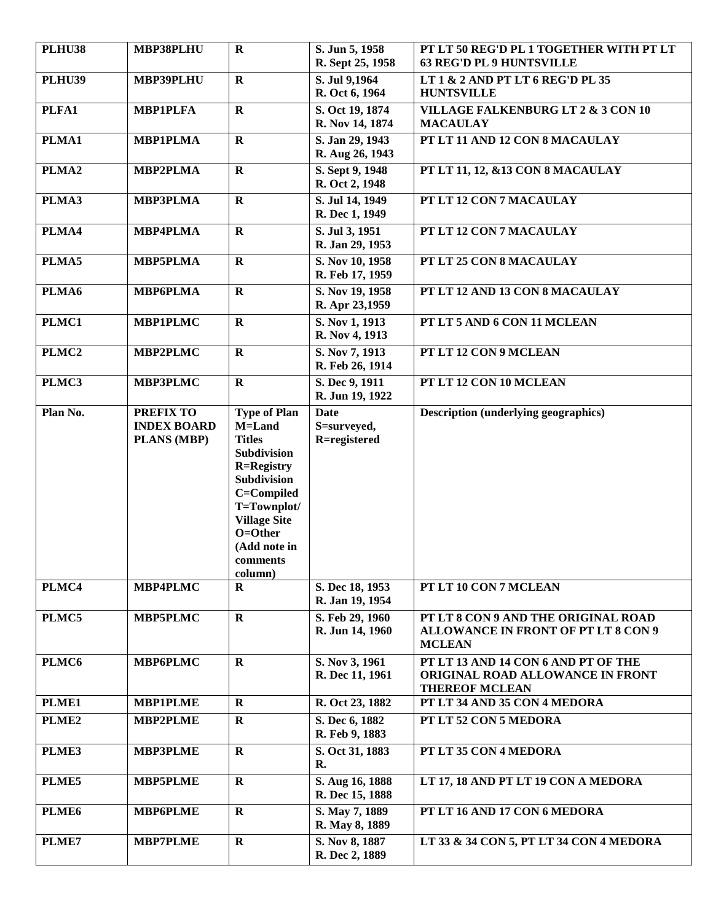| <b>PLHU38</b>     | MBP38PLHU                                             | $\mathbf R$                                                                                                                                                                                             | S. Jun 5, 1958<br>R. Sept 25, 1958         | PT LT 50 REG'D PL 1 TOGETHER WITH PT LT<br><b>63 REG'D PL 9 HUNTSVILLE</b>                         |
|-------------------|-------------------------------------------------------|---------------------------------------------------------------------------------------------------------------------------------------------------------------------------------------------------------|--------------------------------------------|----------------------------------------------------------------------------------------------------|
| <b>PLHU39</b>     | <b>MBP39PLHU</b>                                      | $\mathbf R$                                                                                                                                                                                             | S. Jul 9,1964<br>R. Oct 6, 1964            | LT 1 & 2 AND PT LT 6 REG'D PL 35<br><b>HUNTSVILLE</b>                                              |
| PLFA1             | <b>MBP1PLFA</b>                                       | $\mathbf R$                                                                                                                                                                                             | S. Oct 19, 1874<br>R. Nov 14, 1874         | <b>VILLAGE FALKENBURG LT 2 &amp; 3 CON 10</b><br><b>MACAULAY</b>                                   |
| PLMA1             | <b>MBP1PLMA</b>                                       | $\mathbf{R}$                                                                                                                                                                                            | S. Jan 29, 1943<br>R. Aug 26, 1943         | PT LT 11 AND 12 CON 8 MACAULAY                                                                     |
| PLMA <sub>2</sub> | <b>MBP2PLMA</b>                                       | $\mathbf R$                                                                                                                                                                                             | S. Sept 9, 1948<br>R. Oct 2, 1948          | PT LT 11, 12, &13 CON 8 MACAULAY                                                                   |
| PLMA3             | <b>MBP3PLMA</b>                                       | $\mathbf R$                                                                                                                                                                                             | S. Jul 14, 1949<br>R. Dec 1, 1949          | PT LT 12 CON 7 MACAULAY                                                                            |
| PLMA4             | <b>MBP4PLMA</b>                                       | $\mathbf{R}$                                                                                                                                                                                            | S. Jul 3, 1951<br>R. Jan 29, 1953          | PT LT 12 CON 7 MACAULAY                                                                            |
| PLMA5             | <b>MBP5PLMA</b>                                       | $\mathbf R$                                                                                                                                                                                             | S. Nov 10, 1958<br>R. Feb 17, 1959         | PT LT 25 CON 8 MACAULAY                                                                            |
| PLMA6             | <b>MBP6PLMA</b>                                       | $\mathbf R$                                                                                                                                                                                             | S. Nov 19, 1958<br>R. Apr 23,1959          | PT LT 12 AND 13 CON 8 MACAULAY                                                                     |
| PLMC1             | <b>MBP1PLMC</b>                                       | $\mathbf R$                                                                                                                                                                                             | S. Nov 1, 1913<br>R. Nov 4, 1913           | PT LT 5 AND 6 CON 11 MCLEAN                                                                        |
| PLMC <sub>2</sub> | <b>MBP2PLMC</b>                                       | $\mathbf R$                                                                                                                                                                                             | S. Nov 7, 1913<br>R. Feb 26, 1914          | PT LT 12 CON 9 MCLEAN                                                                              |
| PLMC3             | <b>MBP3PLMC</b>                                       | $\mathbf R$                                                                                                                                                                                             | S. Dec 9, 1911<br>R. Jun 19, 1922          | PT LT 12 CON 10 MCLEAN                                                                             |
| Plan No.          | <b>PREFIX TO</b><br><b>INDEX BOARD</b><br>PLANS (MBP) | <b>Type of Plan</b><br>M=Land<br><b>Titles</b><br>Subdivision<br><b>R=Registry</b><br>Subdivision<br>C=Compiled<br>T=Townplot/<br><b>Village Site</b><br>O=Other<br>(Add note in<br>comments<br>column) | <b>Date</b><br>S=surveyed,<br>R=registered | <b>Description (underlying geographics)</b>                                                        |
| PLMC4             | MBP4PLMC                                              | R                                                                                                                                                                                                       | S. Dec 18, 1953<br>R. Jan 19, 1954         | PT LT 10 CON 7 MCLEAN                                                                              |
| PLMC5             | <b>MBP5PLMC</b>                                       | $\mathbf R$                                                                                                                                                                                             | S. Feb 29, 1960<br>R. Jun 14, 1960         | PT LT 8 CON 9 AND THE ORIGINAL ROAD<br><b>ALLOWANCE IN FRONT OF PT LT 8 CON 9</b><br><b>MCLEAN</b> |
| PLMC6             | <b>MBP6PLMC</b>                                       | $\mathbf R$                                                                                                                                                                                             | S. Nov 3, 1961<br>R. Dec 11, 1961          | PT LT 13 AND 14 CON 6 AND PT OF THE<br>ORIGINAL ROAD ALLOWANCE IN FRONT<br><b>THEREOF MCLEAN</b>   |
| PLME1             | <b>MBP1PLME</b>                                       | $\mathbf R$                                                                                                                                                                                             | R. Oct 23, 1882                            | PT LT 34 AND 35 CON 4 MEDORA                                                                       |
| PLME <sub>2</sub> | <b>MBP2PLME</b>                                       | $\mathbf R$                                                                                                                                                                                             | S. Dec 6, 1882<br>R. Feb 9, 1883           | PT LT 52 CON 5 MEDORA                                                                              |
| PLME3             | <b>MBP3PLME</b>                                       | $\mathbf R$                                                                                                                                                                                             | S. Oct 31, 1883<br>R.                      | PT LT 35 CON 4 MEDORA                                                                              |
| PLME5             | <b>MBP5PLME</b>                                       | $\mathbf R$                                                                                                                                                                                             | S. Aug 16, 1888<br>R. Dec 15, 1888         | LT 17, 18 AND PT LT 19 CON A MEDORA                                                                |
| PLME <sub>6</sub> | <b>MBP6PLME</b>                                       | $\mathbf R$                                                                                                                                                                                             | S. May 7, 1889<br>R. May 8, 1889           | PT LT 16 AND 17 CON 6 MEDORA                                                                       |
| PLME7             | <b>MBP7PLME</b>                                       | $\mathbf R$                                                                                                                                                                                             | S. Nov 8, 1887<br>R. Dec 2, 1889           | LT 33 & 34 CON 5, PT LT 34 CON 4 MEDORA                                                            |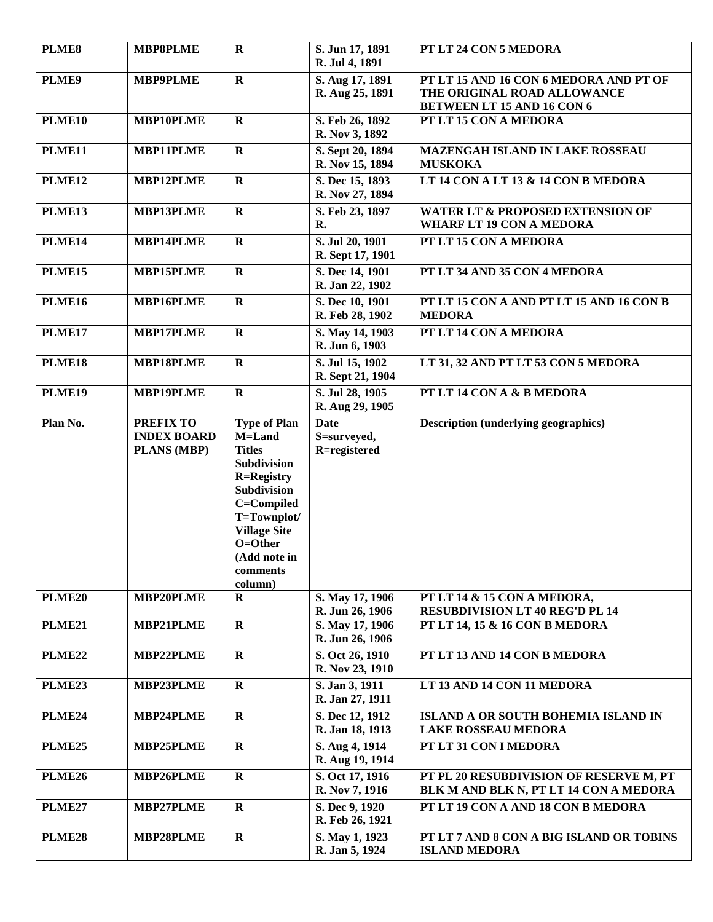| PLME8              | <b>MBP8PLME</b>                                       | $\mathbf R$                                                                                                                                                                                                    | S. Jun 17, 1891<br>R. Jul 4, 1891          | PT LT 24 CON 5 MEDORA                                                                                      |
|--------------------|-------------------------------------------------------|----------------------------------------------------------------------------------------------------------------------------------------------------------------------------------------------------------------|--------------------------------------------|------------------------------------------------------------------------------------------------------------|
| PLME9              | <b>MBP9PLME</b>                                       | $\mathbf R$                                                                                                                                                                                                    | S. Aug 17, 1891<br>R. Aug 25, 1891         | PT LT 15 AND 16 CON 6 MEDORA AND PT OF<br>THE ORIGINAL ROAD ALLOWANCE<br><b>BETWEEN LT 15 AND 16 CON 6</b> |
| PLME10             | MBP10PLME                                             | $\mathbf R$                                                                                                                                                                                                    | S. Feb 26, 1892<br>R. Nov 3, 1892          | PT LT 15 CON A MEDORA                                                                                      |
| PLME11             | <b>MBP11PLME</b>                                      | $\mathbf R$                                                                                                                                                                                                    | S. Sept 20, 1894<br>R. Nov 15, 1894        | MAZENGAH ISLAND IN LAKE ROSSEAU<br><b>MUSKOKA</b>                                                          |
| PLME12             | MBP12PLME                                             | $\mathbf{R}$                                                                                                                                                                                                   | S. Dec 15, 1893<br>R. Nov 27, 1894         | LT 14 CON A LT 13 & 14 CON B MEDORA                                                                        |
| PLME13             | MBP13PLME                                             | $\mathbf R$                                                                                                                                                                                                    | S. Feb 23, 1897<br>R.                      | WATER LT & PROPOSED EXTENSION OF<br><b>WHARF LT 19 CON A MEDORA</b>                                        |
| PLME14             | MBP14PLME                                             | $\mathbf R$                                                                                                                                                                                                    | S. Jul 20, 1901<br>R. Sept 17, 1901        | PT LT 15 CON A MEDORA                                                                                      |
| PLME15             | <b>MBP15PLME</b>                                      | $\mathbf R$                                                                                                                                                                                                    | S. Dec 14, 1901<br>R. Jan 22, 1902         | PT LT 34 AND 35 CON 4 MEDORA                                                                               |
| <b>PLME16</b>      | MBP16PLME                                             | $\mathbf R$                                                                                                                                                                                                    | S. Dec 10, 1901<br>R. Feb 28, 1902         | PT LT 15 CON A AND PT LT 15 AND 16 CON B<br><b>MEDORA</b>                                                  |
| PLME17             | <b>MBP17PLME</b>                                      | $\mathbf R$                                                                                                                                                                                                    | S. May 14, 1903<br>R. Jun 6, 1903          | PT LT 14 CON A MEDORA                                                                                      |
| PLME18             | <b>MBP18PLME</b>                                      | $\mathbf{R}$                                                                                                                                                                                                   | S. Jul 15, 1902<br>R. Sept 21, 1904        | LT 31, 32 AND PT LT 53 CON 5 MEDORA                                                                        |
| PLME19             | <b>MBP19PLME</b>                                      | $\mathbf R$                                                                                                                                                                                                    | S. Jul 28, 1905<br>R. Aug 29, 1905         | PT LT 14 CON A & B MEDORA                                                                                  |
| Plan No.           | <b>PREFIX TO</b><br><b>INDEX BOARD</b><br>PLANS (MBP) | <b>Type of Plan</b><br><b>M=Land</b><br><b>Titles</b><br>Subdivision<br><b>R=Registry</b><br>Subdivision<br>C=Compiled<br>T=Townplot/<br><b>Village Site</b><br>O=Other<br>(Add note in<br>comments<br>column) | <b>Date</b><br>S=surveyed,<br>R=registered | <b>Description (underlying geographics)</b>                                                                |
| <b>PLME20</b>      | MBP20PLME                                             | $\bf R$                                                                                                                                                                                                        | S. May 17, 1906<br>R. Jun 26, 1906         | PT LT 14 & 15 CON A MEDORA,<br><b>RESUBDIVISION LT 40 REG'D PL 14</b>                                      |
| <b>PLME21</b>      | MBP21PLME                                             | $\mathbf R$                                                                                                                                                                                                    | S. May 17, 1906<br>R. Jun 26, 1906         | PT LT 14, 15 & 16 CON B MEDORA                                                                             |
| PLME <sub>22</sub> | <b>MBP22PLME</b>                                      | $\mathbf R$                                                                                                                                                                                                    | S. Oct 26, 1910<br>R. Nov 23, 1910         | PT LT 13 AND 14 CON B MEDORA                                                                               |
| <b>PLME23</b>      | MBP23PLME                                             | $\mathbf R$                                                                                                                                                                                                    | S. Jan 3, 1911<br>R. Jan 27, 1911          | LT 13 AND 14 CON 11 MEDORA                                                                                 |
| <b>PLME24</b>      | <b>MBP24PLME</b>                                      | $\mathbf{R}$                                                                                                                                                                                                   | S. Dec 12, 1912<br>R. Jan 18, 1913         | ISLAND A OR SOUTH BOHEMIA ISLAND IN<br><b>LAKE ROSSEAU MEDORA</b>                                          |
| <b>PLME25</b>      | <b>MBP25PLME</b>                                      | $\mathbf R$                                                                                                                                                                                                    | S. Aug 4, 1914<br>R. Aug 19, 1914          | PT LT 31 CON I MEDORA                                                                                      |
| <b>PLME26</b>      | MBP26PLME                                             | $\mathbf R$                                                                                                                                                                                                    | S. Oct 17, 1916<br>R. Nov 7, 1916          | PT PL 20 RESUBDIVISION OF RESERVE M, PT<br>BLK M AND BLK N, PT LT 14 CON A MEDORA                          |
| PLME <sub>27</sub> | MBP27PLME                                             | $\mathbf R$                                                                                                                                                                                                    | S. Dec 9, 1920<br>R. Feb 26, 1921          | PT LT 19 CON A AND 18 CON B MEDORA                                                                         |
| PLME28             | <b>MBP28PLME</b>                                      | $\mathbf R$                                                                                                                                                                                                    | S. May 1, 1923<br>R. Jan 5, 1924           | PT LT 7 AND 8 CON A BIG ISLAND OR TOBINS<br><b>ISLAND MEDORA</b>                                           |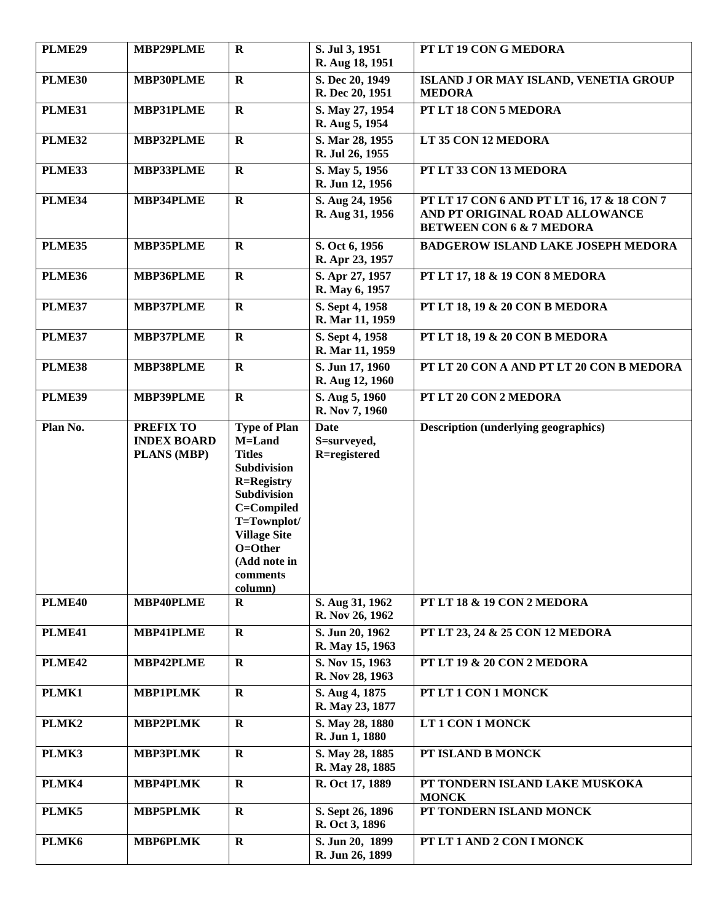| <b>PLME29</b> | MBP29PLME                                             | $\mathbf R$                                                                                                                                                                                                    | S. Jul 3, 1951<br>R. Aug 18, 1951          | PT LT 19 CON G MEDORA                                                                                               |
|---------------|-------------------------------------------------------|----------------------------------------------------------------------------------------------------------------------------------------------------------------------------------------------------------------|--------------------------------------------|---------------------------------------------------------------------------------------------------------------------|
| PLME30        | <b>MBP30PLME</b>                                      | $\mathbf R$                                                                                                                                                                                                    | S. Dec 20, 1949<br>R. Dec 20, 1951         | ISLAND J OR MAY ISLAND, VENETIA GROUP<br><b>MEDORA</b>                                                              |
| PLME31        | <b>MBP31PLME</b>                                      | $\mathbf R$                                                                                                                                                                                                    | S. May 27, 1954<br>R. Aug 5, 1954          | PT LT 18 CON 5 MEDORA                                                                                               |
| PLME32        | MBP32PLME                                             | $\mathbf R$                                                                                                                                                                                                    | S. Mar 28, 1955<br>R. Jul 26, 1955         | LT 35 CON 12 MEDORA                                                                                                 |
| PLME33        | <b>MBP33PLME</b>                                      | $\mathbf R$                                                                                                                                                                                                    | S. May 5, 1956<br>R. Jun 12, 1956          | PT LT 33 CON 13 MEDORA                                                                                              |
| PLME34        | <b>MBP34PLME</b>                                      | $\mathbf R$                                                                                                                                                                                                    | S. Aug 24, 1956<br>R. Aug 31, 1956         | PT LT 17 CON 6 AND PT LT 16, 17 & 18 CON 7<br>AND PT ORIGINAL ROAD ALLOWANCE<br><b>BETWEEN CON 6 &amp; 7 MEDORA</b> |
| PLME35        | <b>MBP35PLME</b>                                      | $\mathbf R$                                                                                                                                                                                                    | S. Oct 6, 1956<br>R. Apr 23, 1957          | <b>BADGEROW ISLAND LAKE JOSEPH MEDORA</b>                                                                           |
| <b>PLME36</b> | MBP36PLME                                             | $\mathbf{R}$                                                                                                                                                                                                   | S. Apr 27, 1957<br>R. May 6, 1957          | PT LT 17, 18 & 19 CON 8 MEDORA                                                                                      |
| PLME37        | MBP37PLME                                             | $\mathbf R$                                                                                                                                                                                                    | S. Sept 4, 1958<br>R. Mar 11, 1959         | PT LT 18, 19 & 20 CON B MEDORA                                                                                      |
| PLME37        | <b>MBP37PLME</b>                                      | $\mathbf R$                                                                                                                                                                                                    | S. Sept 4, 1958<br>R. Mar 11, 1959         | PT LT 18, 19 & 20 CON B MEDORA                                                                                      |
| PLME38        | <b>MBP38PLME</b>                                      | $\mathbf R$                                                                                                                                                                                                    | S. Jun 17, 1960<br>R. Aug 12, 1960         | PT LT 20 CON A AND PT LT 20 CON B MEDORA                                                                            |
| PLME39        | <b>MBP39PLME</b>                                      | $\mathbf R$                                                                                                                                                                                                    | S. Aug 5, 1960<br>R. Nov 7, 1960           | PT LT 20 CON 2 MEDORA                                                                                               |
| Plan No.      | <b>PREFIX TO</b><br><b>INDEX BOARD</b><br>PLANS (MBP) | <b>Type of Plan</b><br>M=Land<br><b>Titles</b><br>Subdivision<br><b>R=Registry</b><br><b>Subdivision</b><br>C=Compiled<br>T=Townplot/<br><b>Village Site</b><br>O=Other<br>(Add note in<br>comments<br>column) | <b>Date</b><br>S=surveyed,<br>R=registered | <b>Description (underlying geographics)</b>                                                                         |
| PLME40        | MBP40PLME                                             | $\bf R$                                                                                                                                                                                                        | S. Aug 31, 1962<br>R. Nov 26, 1962         | PT LT 18 & 19 CON 2 MEDORA                                                                                          |
| PLME41        | <b>MBP41PLME</b>                                      | $\mathbf{R}$                                                                                                                                                                                                   | S. Jun 20, 1962<br>R. May 15, 1963         | PT LT 23, 24 & 25 CON 12 MEDORA                                                                                     |
| PLME42        | MBP42PLME                                             | $\mathbf R$                                                                                                                                                                                                    | S. Nov 15, 1963<br>R. Nov 28, 1963         | PT LT 19 & 20 CON 2 MEDORA                                                                                          |
| PLMK1         | <b>MBP1PLMK</b>                                       | $\mathbf R$                                                                                                                                                                                                    | S. Aug 4, 1875<br>R. May 23, 1877          | PT LT 1 CON 1 MONCK                                                                                                 |
| PLMK2         | <b>MBP2PLMK</b>                                       | $\mathbf R$                                                                                                                                                                                                    | S. May 28, 1880<br>R. Jun 1, 1880          | LT 1 CON 1 MONCK                                                                                                    |
| PLMK3         | <b>MBP3PLMK</b>                                       | $\mathbf R$                                                                                                                                                                                                    | S. May 28, 1885<br>R. May 28, 1885         | PT ISLAND B MONCK                                                                                                   |
| PLMK4         | <b>MBP4PLMK</b>                                       | $\mathbf R$                                                                                                                                                                                                    | R. Oct 17, 1889                            | PT TONDERN ISLAND LAKE MUSKOKA<br><b>MONCK</b>                                                                      |
| PLMK5         | <b>MBP5PLMK</b>                                       | R                                                                                                                                                                                                              | S. Sept 26, 1896<br>R. Oct 3, 1896         | PT TONDERN ISLAND MONCK                                                                                             |
| PLMK6         | <b>MBP6PLMK</b>                                       | $\mathbf R$                                                                                                                                                                                                    | S. Jun 20, 1899<br>R. Jun 26, 1899         | PT LT 1 AND 2 CON I MONCK                                                                                           |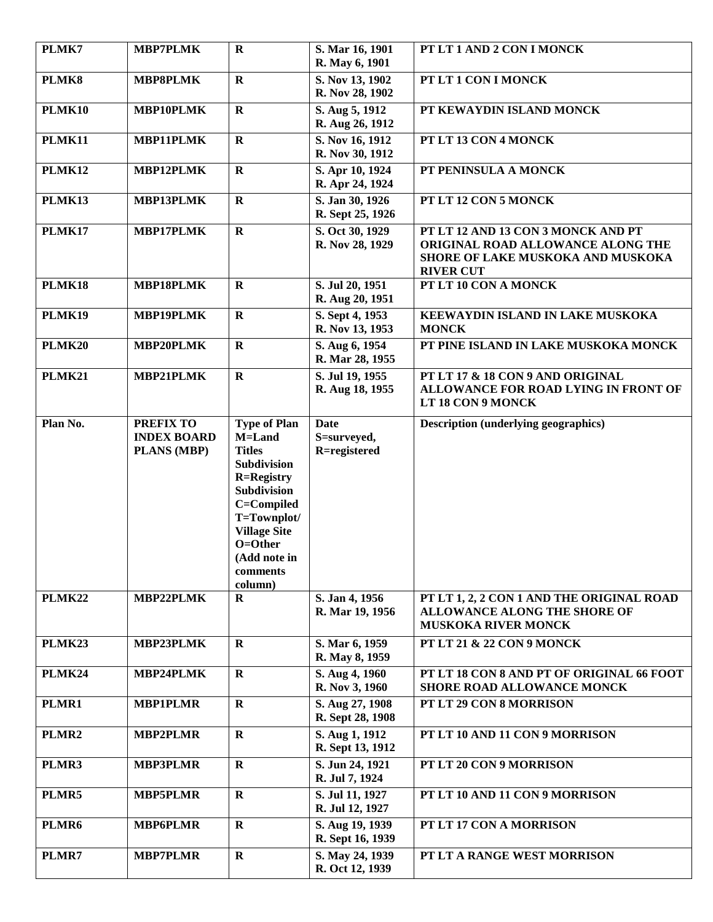| PLMK7         | <b>MBP7PLMK</b>                                              | $\bf R$                                                                                                                                                                                                 | S. Mar 16, 1901<br>R. May 6, 1901          | PT LT 1 AND 2 CON I MONCK                                                                                                        |
|---------------|--------------------------------------------------------------|---------------------------------------------------------------------------------------------------------------------------------------------------------------------------------------------------------|--------------------------------------------|----------------------------------------------------------------------------------------------------------------------------------|
| PLMK8         | <b>MBP8PLMK</b>                                              | $\mathbf{R}$                                                                                                                                                                                            | S. Nov 13, 1902<br>R. Nov 28, 1902         | PT LT 1 CON I MONCK                                                                                                              |
| PLMK10        | MBP10PLMK                                                    | $\mathbf R$                                                                                                                                                                                             | S. Aug 5, 1912<br>R. Aug 26, 1912          | PT KEWAYDIN ISLAND MONCK                                                                                                         |
| PLMK11        | MBP11PLMK                                                    | $\mathbf R$                                                                                                                                                                                             | S. Nov 16, 1912<br>R. Nov 30, 1912         | PT LT 13 CON 4 MONCK                                                                                                             |
| <b>PLMK12</b> | MBP12PLMK                                                    | $\mathbf R$                                                                                                                                                                                             | S. Apr 10, 1924<br>R. Apr 24, 1924         | PT PENINSULA A MONCK                                                                                                             |
| PLMK13        | MBP13PLMK                                                    | $\mathbf R$                                                                                                                                                                                             | S. Jan 30, 1926<br>R. Sept 25, 1926        | PT LT 12 CON 5 MONCK                                                                                                             |
| PLMK17        | <b>MBP17PLMK</b>                                             | $\mathbf R$                                                                                                                                                                                             | S. Oct 30, 1929<br>R. Nov 28, 1929         | PT LT 12 AND 13 CON 3 MONCK AND PT<br>ORIGINAL ROAD ALLOWANCE ALONG THE<br>SHORE OF LAKE MUSKOKA AND MUSKOKA<br><b>RIVER CUT</b> |
| PLMK18        | MBP18PLMK                                                    | $\mathbf R$                                                                                                                                                                                             | S. Jul 20, 1951<br>R. Aug 20, 1951         | PT LT 10 CON A MONCK                                                                                                             |
| PLMK19        | MBP19PLMK                                                    | $\mathbf R$                                                                                                                                                                                             | S. Sept 4, 1953<br>R. Nov 13, 1953         | KEEWAYDIN ISLAND IN LAKE MUSKOKA<br><b>MONCK</b>                                                                                 |
| <b>PLMK20</b> | MBP20PLMK                                                    | $\mathbf R$                                                                                                                                                                                             | S. Aug 6, 1954<br>R. Mar 28, 1955          | PT PINE ISLAND IN LAKE MUSKOKA MONCK                                                                                             |
| <b>PLMK21</b> | MBP21PLMK                                                    | $\mathbf R$                                                                                                                                                                                             | S. Jul 19, 1955<br>R. Aug 18, 1955         | PT LT 17 & 18 CON 9 AND ORIGINAL<br>ALLOWANCE FOR ROAD LYING IN FRONT OF<br>LT 18 CON 9 MONCK                                    |
| Plan No.      | <b>PREFIX TO</b><br><b>INDEX BOARD</b><br><b>PLANS (MBP)</b> | <b>Type of Plan</b><br>M=Land<br><b>Titles</b><br>Subdivision<br><b>R=Registry</b><br>Subdivision<br>C=Compiled<br>T=Townplot/<br><b>Village Site</b><br>O=Other<br>(Add note in<br>comments<br>column) | <b>Date</b><br>S=surveyed,<br>R=registered | <b>Description (underlying geographics)</b>                                                                                      |
| PLMK22        | MBP22PLMK                                                    | $\mathbf R$                                                                                                                                                                                             | S. Jan 4, 1956<br>R. Mar 19, 1956          | PT LT 1, 2, 2 CON 1 AND THE ORIGINAL ROAD<br><b>ALLOWANCE ALONG THE SHORE OF</b><br><b>MUSKOKA RIVER MONCK</b>                   |
| PLMK23        | MBP23PLMK                                                    | R                                                                                                                                                                                                       | S. Mar 6, 1959<br>R. May 8, 1959           | PT LT 21 & 22 CON 9 MONCK                                                                                                        |
| PLMK24        | MBP24PLMK                                                    | $\mathbf R$                                                                                                                                                                                             | S. Aug 4, 1960<br>R. Nov 3, 1960           | PT LT 18 CON 8 AND PT OF ORIGINAL 66 FOOT<br><b>SHORE ROAD ALLOWANCE MONCK</b>                                                   |
| PLMR1         | <b>MBP1PLMR</b>                                              | $\mathbf R$                                                                                                                                                                                             | S. Aug 27, 1908<br>R. Sept 28, 1908        | PT LT 29 CON 8 MORRISON                                                                                                          |
| PLMR2         | <b>MBP2PLMR</b>                                              | $\mathbf R$                                                                                                                                                                                             | S. Aug 1, 1912<br>R. Sept 13, 1912         | PT LT 10 AND 11 CON 9 MORRISON                                                                                                   |
| PLMR3         | <b>MBP3PLMR</b>                                              | $\mathbf R$                                                                                                                                                                                             | S. Jun 24, 1921<br>R. Jul 7, 1924          | PT LT 20 CON 9 MORRISON                                                                                                          |
| PLMR5         | <b>MBP5PLMR</b>                                              | $\mathbf R$                                                                                                                                                                                             | S. Jul 11, 1927<br>R. Jul 12, 1927         | PT LT 10 AND 11 CON 9 MORRISON                                                                                                   |
| PLMR6         | <b>MBP6PLMR</b>                                              | $\mathbf R$                                                                                                                                                                                             | S. Aug 19, 1939<br>R. Sept 16, 1939        | PT LT 17 CON A MORRISON                                                                                                          |
| PLMR7         | <b>MBP7PLMR</b>                                              | $\mathbf R$                                                                                                                                                                                             | S. May 24, 1939<br>R. Oct 12, 1939         | PT LT A RANGE WEST MORRISON                                                                                                      |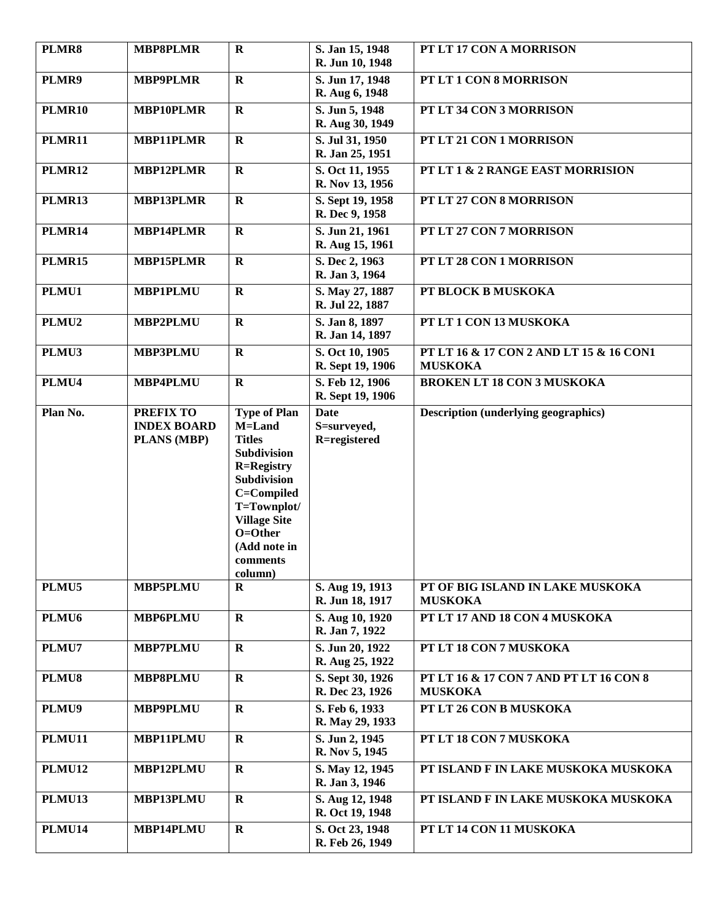| PLMR8             | <b>MBP8PLMR</b>                                       | $\mathbf R$                                                                                                                                                                                             | S. Jan 15, 1948<br>R. Jun 10, 1948         | PT LT 17 CON A MORRISON                                   |
|-------------------|-------------------------------------------------------|---------------------------------------------------------------------------------------------------------------------------------------------------------------------------------------------------------|--------------------------------------------|-----------------------------------------------------------|
| PLMR9             | <b>MBP9PLMR</b>                                       | $\mathbf R$                                                                                                                                                                                             | S. Jun 17, 1948<br>R. Aug 6, 1948          | PT LT 1 CON 8 MORRISON                                    |
| PLMR10            | MBP10PLMR                                             | $\mathbf R$                                                                                                                                                                                             | S. Jun 5, 1948<br>R. Aug 30, 1949          | PT LT 34 CON 3 MORRISON                                   |
| <b>PLMR11</b>     | <b>MBP11PLMR</b>                                      | $\mathbf R$                                                                                                                                                                                             | S. Jul 31, 1950<br>R. Jan 25, 1951         | PT LT 21 CON 1 MORRISON                                   |
| <b>PLMR12</b>     | MBP12PLMR                                             | $\mathbf R$                                                                                                                                                                                             | S. Oct 11, 1955<br>R. Nov 13, 1956         | PT LT 1 & 2 RANGE EAST MORRISION                          |
| PLMR13            | <b>MBP13PLMR</b>                                      | $\mathbf R$                                                                                                                                                                                             | S. Sept 19, 1958<br>R. Dec 9, 1958         | PT LT 27 CON 8 MORRISON                                   |
| PLMR14            | <b>MBP14PLMR</b>                                      | $\mathbf R$                                                                                                                                                                                             | S. Jun 21, 1961<br>R. Aug 15, 1961         | PT LT 27 CON 7 MORRISON                                   |
| <b>PLMR15</b>     | <b>MBP15PLMR</b>                                      | $\mathbf R$                                                                                                                                                                                             | S. Dec 2, 1963<br>R. Jan 3, 1964           | PT LT 28 CON 1 MORRISON                                   |
| PLMU1             | <b>MBP1PLMU</b>                                       | $\mathbf R$                                                                                                                                                                                             | S. May 27, 1887<br>R. Jul 22, 1887         | PT BLOCK B MUSKOKA                                        |
| PLMU2             | MBP2PLMU                                              | $\mathbf R$                                                                                                                                                                                             | S. Jan 8, 1897<br>R. Jan 14, 1897          | PT LT 1 CON 13 MUSKOKA                                    |
| PLMU3             | <b>MBP3PLMU</b>                                       | $\mathbf R$                                                                                                                                                                                             | S. Oct 10, 1905<br>R. Sept 19, 1906        | PT LT 16 & 17 CON 2 AND LT 15 & 16 CON1<br><b>MUSKOKA</b> |
| PLMU4             | MBP4PLMU                                              | $\mathbf R$                                                                                                                                                                                             | S. Feb 12, 1906<br>R. Sept 19, 1906        | <b>BROKEN LT 18 CON 3 MUSKOKA</b>                         |
| Plan No.          | <b>PREFIX TO</b><br><b>INDEX BOARD</b><br>PLANS (MBP) | <b>Type of Plan</b><br>M=Land<br><b>Titles</b><br>Subdivision<br><b>R=Registry</b><br>Subdivision<br>C=Compiled<br>T=Townplot/<br><b>Village Site</b><br>O=Other<br>(Add note in<br>comments<br>column) | <b>Date</b><br>S=surveyed,<br>R=registered | <b>Description (underlying geographics)</b>               |
| PLMU5             | <b>MBP5PLMU</b>                                       | R                                                                                                                                                                                                       | S. Aug 19, 1913<br>R. Jun 18, 1917         | PT OF BIG ISLAND IN LAKE MUSKOKA<br><b>MUSKOKA</b>        |
| PLMU <sub>6</sub> | <b>MBP6PLMU</b>                                       | $\mathbf R$                                                                                                                                                                                             | S. Aug 10, 1920<br>R. Jan 7, 1922          | PT LT 17 AND 18 CON 4 MUSKOKA                             |
| PLMU7             | <b>MBP7PLMU</b>                                       | $\mathbf R$                                                                                                                                                                                             | S. Jun 20, 1922<br>R. Aug 25, 1922         | PT LT 18 CON 7 MUSKOKA                                    |
| PLMU8             | MBP8PLMU                                              | $\mathbf R$                                                                                                                                                                                             | S. Sept 30, 1926<br>R. Dec 23, 1926        | PT LT 16 & 17 CON 7 AND PT LT 16 CON 8<br><b>MUSKOKA</b>  |
| PLMU9             | <b>MBP9PLMU</b>                                       | $\mathbf R$                                                                                                                                                                                             | S. Feb 6, 1933<br>R. May 29, 1933          | PT LT 26 CON B MUSKOKA                                    |
| <b>PLMU11</b>     | MBP11PLMU                                             | $\mathbf R$                                                                                                                                                                                             | S. Jun 2, 1945<br>R. Nov 5, 1945           | PT LT 18 CON 7 MUSKOKA                                    |
| <b>PLMU12</b>     | MBP12PLMU                                             | $\mathbf R$                                                                                                                                                                                             | S. May 12, 1945<br>R. Jan 3, 1946          | PT ISLAND F IN LAKE MUSKOKA MUSKOKA                       |
| <b>PLMU13</b>     | MBP13PLMU                                             | $\mathbf R$                                                                                                                                                                                             | S. Aug 12, 1948<br>R. Oct 19, 1948         | PT ISLAND F IN LAKE MUSKOKA MUSKOKA                       |
| PLMU14            | MBP14PLMU                                             | $\mathbf R$                                                                                                                                                                                             | S. Oct 23, 1948<br>R. Feb 26, 1949         | PT LT 14 CON 11 MUSKOKA                                   |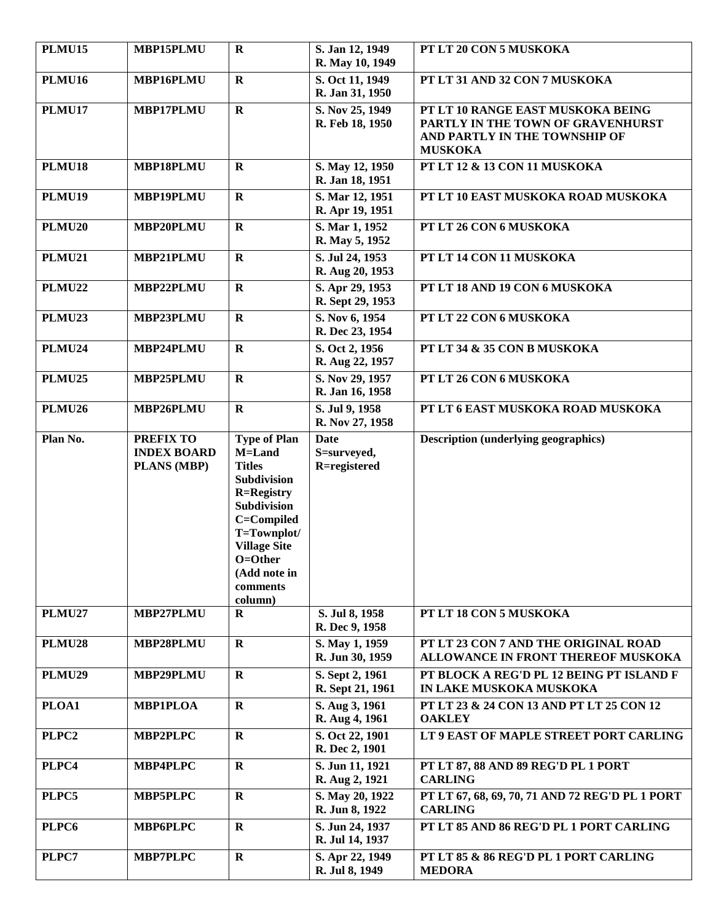| <b>PLMU15</b>     | MBP15PLMU                                             | $\mathbf R$                                                                                                                                                                                             | S. Jan 12, 1949<br>R. May 10, 1949         | PT LT 20 CON 5 MUSKOKA                                                                                                    |
|-------------------|-------------------------------------------------------|---------------------------------------------------------------------------------------------------------------------------------------------------------------------------------------------------------|--------------------------------------------|---------------------------------------------------------------------------------------------------------------------------|
| <b>PLMU16</b>     | MBP16PLMU                                             | $\mathbf R$                                                                                                                                                                                             | S. Oct 11, 1949<br>R. Jan 31, 1950         | PT LT 31 AND 32 CON 7 MUSKOKA                                                                                             |
| <b>PLMU17</b>     | MBP17PLMU                                             | $\mathbf R$                                                                                                                                                                                             | S. Nov 25, 1949<br>R. Feb 18, 1950         | PT LT 10 RANGE EAST MUSKOKA BEING<br>PARTLY IN THE TOWN OF GRAVENHURST<br>AND PARTLY IN THE TOWNSHIP OF<br><b>MUSKOKA</b> |
| <b>PLMU18</b>     | MBP18PLMU                                             | $\mathbf R$                                                                                                                                                                                             | S. May 12, 1950<br>R. Jan 18, 1951         | PT LT 12 & 13 CON 11 MUSKOKA                                                                                              |
| <b>PLMU19</b>     | MBP19PLMU                                             | $\mathbf R$                                                                                                                                                                                             | S. Mar 12, 1951<br>R. Apr 19, 1951         | PT LT 10 EAST MUSKOKA ROAD MUSKOKA                                                                                        |
| <b>PLMU20</b>     | MBP20PLMU                                             | $\mathbf R$                                                                                                                                                                                             | S. Mar 1, 1952<br>R. May 5, 1952           | PT LT 26 CON 6 MUSKOKA                                                                                                    |
| <b>PLMU21</b>     | MBP21PLMU                                             | $\mathbf R$                                                                                                                                                                                             | S. Jul 24, 1953<br>R. Aug 20, 1953         | PT LT 14 CON 11 MUSKOKA                                                                                                   |
| <b>PLMU22</b>     | MBP22PLMU                                             | $\mathbf R$                                                                                                                                                                                             | S. Apr 29, 1953<br>R. Sept 29, 1953        | PT LT 18 AND 19 CON 6 MUSKOKA                                                                                             |
| <b>PLMU23</b>     | MBP23PLMU                                             | $\mathbf R$                                                                                                                                                                                             | S. Nov 6, 1954<br>R. Dec 23, 1954          | PT LT 22 CON 6 MUSKOKA                                                                                                    |
| <b>PLMU24</b>     | MBP24PLMU                                             | $\mathbf{R}$                                                                                                                                                                                            | S. Oct 2, 1956<br>R. Aug 22, 1957          | PT LT 34 & 35 CON B MUSKOKA                                                                                               |
| <b>PLMU25</b>     | MBP25PLMU                                             | $\mathbf R$                                                                                                                                                                                             | S. Nov 29, 1957<br>R. Jan 16, 1958         | PT LT 26 CON 6 MUSKOKA                                                                                                    |
| <b>PLMU26</b>     | MBP26PLMU                                             | $\mathbf R$                                                                                                                                                                                             | S. Jul 9, 1958<br>R. Nov 27, 1958          | PT LT 6 EAST MUSKOKA ROAD MUSKOKA                                                                                         |
| Plan No.          | <b>PREFIX TO</b><br><b>INDEX BOARD</b><br>PLANS (MBP) | <b>Type of Plan</b><br>M=Land<br><b>Titles</b><br>Subdivision<br><b>R=Registry</b><br>Subdivision<br>C=Compiled<br>T=Townplot/<br><b>Village Site</b><br>O=Other<br>(Add note in<br>comments<br>column) | <b>Date</b><br>S=surveyed,<br>R=registered | <b>Description (underlying geographics)</b>                                                                               |
| <b>PLMU27</b>     | MBP27PLMU                                             | $\mathbf R$                                                                                                                                                                                             | S. Jul 8, 1958<br>R. Dec 9, 1958           | PT LT 18 CON 5 MUSKOKA                                                                                                    |
| <b>PLMU28</b>     | MBP28PLMU                                             | $\mathbf R$                                                                                                                                                                                             | S. May 1, 1959<br>R. Jun 30, 1959          | PT LT 23 CON 7 AND THE ORIGINAL ROAD<br>ALLOWANCE IN FRONT THEREOF MUSKOKA                                                |
| <b>PLMU29</b>     | MBP29PLMU                                             | $\mathbf{R}$                                                                                                                                                                                            | S. Sept 2, 1961<br>R. Sept 21, 1961        | PT BLOCK A REG'D PL 12 BEING PT ISLAND F<br>IN LAKE MUSKOKA MUSKOKA                                                       |
| PLOA1             | <b>MBP1PLOA</b>                                       | $\mathbf R$                                                                                                                                                                                             | S. Aug 3, 1961<br>R. Aug 4, 1961           | PT LT 23 & 24 CON 13 AND PT LT 25 CON 12<br><b>OAKLEY</b>                                                                 |
| PLPC <sub>2</sub> | <b>MBP2PLPC</b>                                       | $\mathbf R$                                                                                                                                                                                             | S. Oct 22, 1901<br>R. Dec 2, 1901          | LT 9 EAST OF MAPLE STREET PORT CARLING                                                                                    |
| PLPC4             | <b>MBP4PLPC</b>                                       | $\mathbf R$                                                                                                                                                                                             | S. Jun 11, 1921<br>R. Aug 2, 1921          | PT LT 87, 88 AND 89 REG'D PL 1 PORT<br><b>CARLING</b>                                                                     |
| PLPC5             | MBP5PLPC                                              | $\mathbf R$                                                                                                                                                                                             | S. May 20, 1922<br>R. Jun 8, 1922          | PT LT 67, 68, 69, 70, 71 AND 72 REG'D PL 1 PORT<br><b>CARLING</b>                                                         |
| PLPC6             | <b>MBP6PLPC</b>                                       | $\mathbf R$                                                                                                                                                                                             | S. Jun 24, 1937<br>R. Jul 14, 1937         | PT LT 85 AND 86 REG'D PL 1 PORT CARLING                                                                                   |
| PLPC7             | <b>MBP7PLPC</b>                                       | $\mathbf R$                                                                                                                                                                                             | S. Apr 22, 1949<br>R. Jul 8, 1949          | PT LT 85 & 86 REG'D PL 1 PORT CARLING<br><b>MEDORA</b>                                                                    |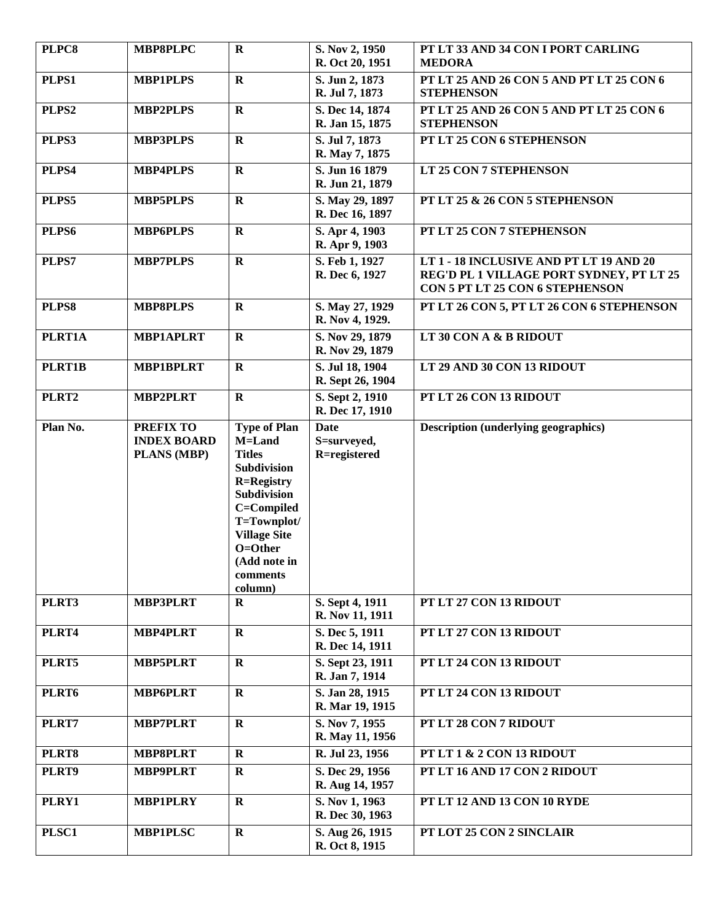| PLPC8    | <b>MBP8PLPC</b>                                              | $\mathbf R$                                                                                                                                                                                                    | S. Nov 2, 1950<br>R. Oct 20, 1951          | PT LT 33 AND 34 CON I PORT CARLING<br><b>MEDORA</b>                                                                    |
|----------|--------------------------------------------------------------|----------------------------------------------------------------------------------------------------------------------------------------------------------------------------------------------------------------|--------------------------------------------|------------------------------------------------------------------------------------------------------------------------|
| PLPS1    | <b>MBP1PLPS</b>                                              | $\mathbf{R}$                                                                                                                                                                                                   | S. Jun 2, 1873<br>R. Jul 7, 1873           | PT LT 25 AND 26 CON 5 AND PT LT 25 CON 6<br><b>STEPHENSON</b>                                                          |
| PLPS2    | <b>MBP2PLPS</b>                                              | $\mathbf R$                                                                                                                                                                                                    | S. Dec 14, 1874<br>R. Jan 15, 1875         | PT LT 25 AND 26 CON 5 AND PT LT 25 CON 6<br><b>STEPHENSON</b>                                                          |
| PLPS3    | <b>MBP3PLPS</b>                                              | $\mathbf R$                                                                                                                                                                                                    | S. Jul 7, 1873<br>R. May 7, 1875           | PT LT 25 CON 6 STEPHENSON                                                                                              |
| PLPS4    | <b>MBP4PLPS</b>                                              | $\mathbf R$                                                                                                                                                                                                    | S. Jun 16 1879<br>R. Jun 21, 1879          | LT 25 CON 7 STEPHENSON                                                                                                 |
| PLPS5    | <b>MBP5PLPS</b>                                              | $\mathbf R$                                                                                                                                                                                                    | S. May 29, 1897<br>R. Dec 16, 1897         | PT LT 25 & 26 CON 5 STEPHENSON                                                                                         |
| PLPS6    | <b>MBP6PLPS</b>                                              | $\mathbf R$                                                                                                                                                                                                    | S. Apr 4, 1903<br>R. Apr 9, 1903           | PT LT 25 CON 7 STEPHENSON                                                                                              |
| PLPS7    | <b>MBP7PLPS</b>                                              | $\mathbf{R}$                                                                                                                                                                                                   | S. Feb 1, 1927<br>R. Dec 6, 1927           | LT 1 - 18 INCLUSIVE AND PT LT 19 AND 20<br>REG'D PL 1 VILLAGE PORT SYDNEY, PT LT 25<br>CON 5 PT LT 25 CON 6 STEPHENSON |
| PLPS8    | <b>MBP8PLPS</b>                                              | $\mathbf R$                                                                                                                                                                                                    | S. May 27, 1929<br>R. Nov 4, 1929.         | PT LT 26 CON 5, PT LT 26 CON 6 STEPHENSON                                                                              |
| PLRT1A   | <b>MBP1APLRT</b>                                             | $\mathbf R$                                                                                                                                                                                                    | S. Nov 29, 1879<br>R. Nov 29, 1879         | LT 30 CON A & B RIDOUT                                                                                                 |
| PLRT1B   | <b>MBP1BPLRT</b>                                             | $\mathbf R$                                                                                                                                                                                                    | S. Jul 18, 1904<br>R. Sept 26, 1904        | LT 29 AND 30 CON 13 RIDOUT                                                                                             |
| PLRT2    | <b>MBP2PLRT</b>                                              | $\mathbf R$                                                                                                                                                                                                    | S. Sept 2, 1910<br>R. Dec 17, 1910         | PT LT 26 CON 13 RIDOUT                                                                                                 |
| Plan No. | <b>PREFIX TO</b><br><b>INDEX BOARD</b><br><b>PLANS (MBP)</b> | <b>Type of Plan</b><br>M=Land<br><b>Titles</b><br>Subdivision<br><b>R=Registry</b><br><b>Subdivision</b><br>C=Compiled<br>T=Townplot/<br><b>Village Site</b><br>O=Other<br>(Add note in<br>comments<br>column) | <b>Date</b><br>S=surveyed,<br>R=registered | <b>Description (underlying geographics)</b>                                                                            |
| PLRT3    | <b>MBP3PLRT</b>                                              | $\bf{R}$                                                                                                                                                                                                       | S. Sept 4, 1911<br>R. Nov 11, 1911         | PT LT 27 CON 13 RIDOUT                                                                                                 |
| PLRT4    | <b>MBP4PLRT</b>                                              | $\mathbf R$                                                                                                                                                                                                    | S. Dec 5, 1911<br>R. Dec 14, 1911          | PT LT 27 CON 13 RIDOUT                                                                                                 |
| PLRT5    | <b>MBP5PLRT</b>                                              | $\mathbf R$                                                                                                                                                                                                    | S. Sept 23, 1911<br>R. Jan 7, 1914         | PT LT 24 CON 13 RIDOUT                                                                                                 |
| PLRT6    | <b>MBP6PLRT</b>                                              | $\mathbf R$                                                                                                                                                                                                    | S. Jan 28, 1915<br>R. Mar 19, 1915         | PT LT 24 CON 13 RIDOUT                                                                                                 |
| PLRT7    | <b>MBP7PLRT</b>                                              | $\mathbf R$                                                                                                                                                                                                    | S. Nov 7, 1955<br>R. May 11, 1956          | PT LT 28 CON 7 RIDOUT                                                                                                  |
| PLRT8    | <b>MBP8PLRT</b>                                              | $\mathbf R$                                                                                                                                                                                                    | R. Jul 23, 1956                            | PT LT 1 & 2 CON 13 RIDOUT                                                                                              |
| PLRT9    | <b>MBP9PLRT</b>                                              | $\bf R$                                                                                                                                                                                                        | S. Dec 29, 1956<br>R. Aug 14, 1957         | PT LT 16 AND 17 CON 2 RIDOUT                                                                                           |
| PLRY1    | <b>MBP1PLRY</b>                                              | $\mathbf R$                                                                                                                                                                                                    | S. Nov 1, 1963<br>R. Dec 30, 1963          | PT LT 12 AND 13 CON 10 RYDE                                                                                            |
| PLSC1    | <b>MBP1PLSC</b>                                              | $\mathbf R$                                                                                                                                                                                                    | S. Aug 26, 1915<br>R. Oct 8, 1915          | PT LOT 25 CON 2 SINCLAIR                                                                                               |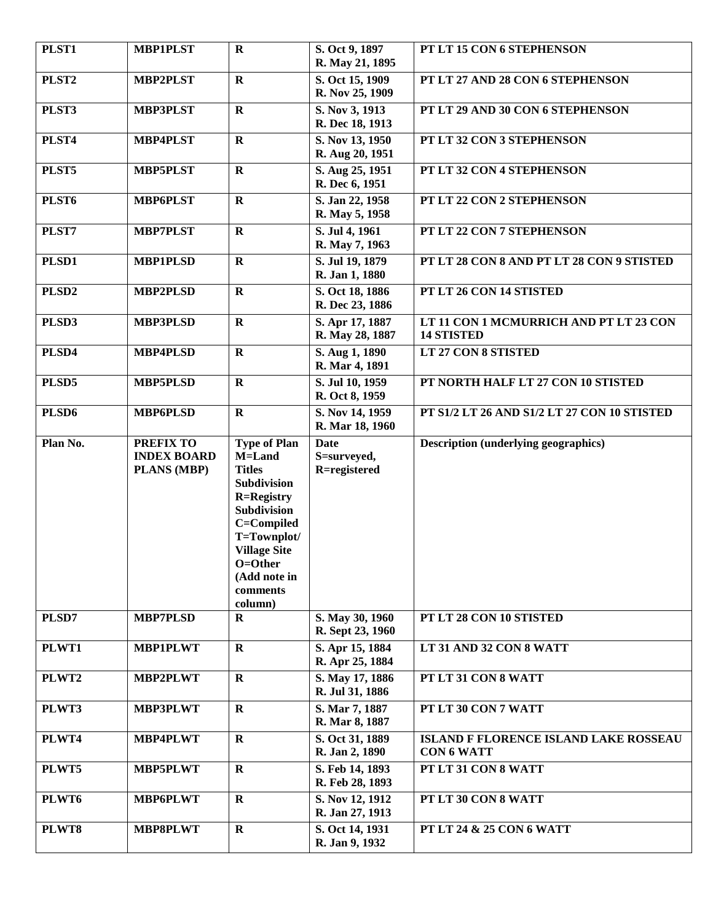| PLST1             | <b>MBP1PLST</b>                                       | $\mathbf R$                                                                                                                                                                                                    | S. Oct 9, 1897<br>R. May 21, 1895          | PT LT 15 CON 6 STEPHENSON                                   |
|-------------------|-------------------------------------------------------|----------------------------------------------------------------------------------------------------------------------------------------------------------------------------------------------------------------|--------------------------------------------|-------------------------------------------------------------|
| PLST <sub>2</sub> | <b>MBP2PLST</b>                                       | $\mathbf R$                                                                                                                                                                                                    | S. Oct 15, 1909<br>R. Nov 25, 1909         | PT LT 27 AND 28 CON 6 STEPHENSON                            |
| PLST3             | <b>MBP3PLST</b>                                       | $\mathbf R$                                                                                                                                                                                                    | S. Nov 3, 1913<br>R. Dec 18, 1913          | PT LT 29 AND 30 CON 6 STEPHENSON                            |
| PLST4             | <b>MBP4PLST</b>                                       | $\mathbf R$                                                                                                                                                                                                    | S. Nov 13, 1950<br>R. Aug 20, 1951         | PT LT 32 CON 3 STEPHENSON                                   |
| PLST5             | <b>MBP5PLST</b>                                       | $\mathbf R$                                                                                                                                                                                                    | S. Aug 25, 1951<br>R. Dec 6, 1951          | PT LT 32 CON 4 STEPHENSON                                   |
| PLST <sub>6</sub> | <b>MBP6PLST</b>                                       | $\mathbf R$                                                                                                                                                                                                    | S. Jan 22, 1958<br>R. May 5, 1958          | PT LT 22 CON 2 STEPHENSON                                   |
| PLST7             | <b>MBP7PLST</b>                                       | $\mathbf R$                                                                                                                                                                                                    | S. Jul 4, 1961<br>R. May 7, 1963           | PT LT 22 CON 7 STEPHENSON                                   |
| PLSD1             | <b>MBP1PLSD</b>                                       | $\mathbf R$                                                                                                                                                                                                    | S. Jul 19, 1879<br>R. Jan 1, 1880          | PT LT 28 CON 8 AND PT LT 28 CON 9 STISTED                   |
| PLSD <sub>2</sub> | <b>MBP2PLSD</b>                                       | $\mathbf R$                                                                                                                                                                                                    | S. Oct 18, 1886<br>R. Dec 23, 1886         | PT LT 26 CON 14 STISTED                                     |
| PLSD3             | <b>MBP3PLSD</b>                                       | $\mathbf R$                                                                                                                                                                                                    | S. Apr 17, 1887<br>R. May 28, 1887         | LT 11 CON 1 MCMURRICH AND PT LT 23 CON<br><b>14 STISTED</b> |
| PLSD4             | <b>MBP4PLSD</b>                                       | $\mathbf R$                                                                                                                                                                                                    | S. Aug 1, 1890<br>R. Mar 4, 1891           | LT 27 CON 8 STISTED                                         |
| PLSD5             | <b>MBP5PLSD</b>                                       | $\mathbf R$                                                                                                                                                                                                    | S. Jul 10, 1959<br>R. Oct 8, 1959          | PT NORTH HALF LT 27 CON 10 STISTED                          |
| PLSD <sub>6</sub> | <b>MBP6PLSD</b>                                       | $\mathbf R$                                                                                                                                                                                                    | S. Nov 14, 1959<br>R. Mar 18, 1960         | PT S1/2 LT 26 AND S1/2 LT 27 CON 10 STISTED                 |
| Plan No.          | <b>PREFIX TO</b><br><b>INDEX BOARD</b><br>PLANS (MBP) | <b>Type of Plan</b><br>M=Land<br><b>Titles</b><br>Subdivision<br><b>R=Registry</b><br><b>Subdivision</b><br>C=Compiled<br>T=Townplot/<br><b>Village Site</b><br>O=Other<br>(Add note in<br>comments<br>column) | <b>Date</b><br>S=surveyed,<br>R=registered | <b>Description (underlying geographics)</b>                 |
| PLSD7             | <b>MBP7PLSD</b>                                       | $\bf R$                                                                                                                                                                                                        | S. May 30, 1960<br>R. Sept 23, 1960        | PT LT 28 CON 10 STISTED                                     |
| PLWT1             | <b>MBP1PLWT</b>                                       | $\mathbf R$                                                                                                                                                                                                    | S. Apr 15, 1884<br>R. Apr 25, 1884         | LT 31 AND 32 CON 8 WATT                                     |
| PLWT2             | MBP2PLWT                                              | $\bf R$                                                                                                                                                                                                        | S. May 17, 1886<br>R. Jul 31, 1886         | PT LT 31 CON 8 WATT                                         |
| PLWT3             | <b>MBP3PLWT</b>                                       | $\mathbf R$                                                                                                                                                                                                    | S. Mar 7, 1887<br>R. Mar 8, 1887           | PT LT 30 CON 7 WATT                                         |
| PLWT4             | <b>MBP4PLWT</b>                                       | $\mathbf R$                                                                                                                                                                                                    | S. Oct 31, 1889<br>R. Jan 2, 1890          | ISLAND F FLORENCE ISLAND LAKE ROSSEAU<br><b>CON 6 WATT</b>  |
| PLWT5             | <b>MBP5PLWT</b>                                       | $\mathbf R$                                                                                                                                                                                                    | S. Feb 14, 1893<br>R. Feb 28, 1893         | PT LT 31 CON 8 WATT                                         |
| PLWT6             | <b>MBP6PLWT</b>                                       | $\bf R$                                                                                                                                                                                                        | S. Nov 12, 1912<br>R. Jan 27, 1913         | PT LT 30 CON 8 WATT                                         |
| PLWT8             | <b>MBP8PLWT</b>                                       | $\mathbf R$                                                                                                                                                                                                    | S. Oct 14, 1931<br>R. Jan 9, 1932          | <b>PT LT 24 &amp; 25 CON 6 WATT</b>                         |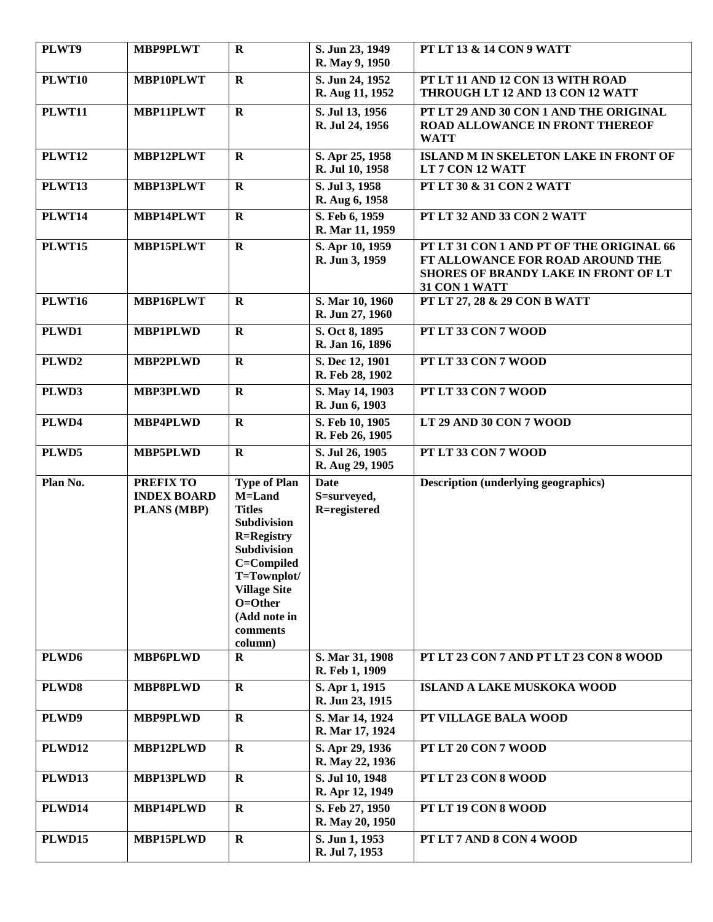| PLWT9             | <b>MBP9PLWT</b>                                       | $\mathbf R$                                                                                                                                                                                             | S. Jun 23, 1949<br>R. May 9, 1950          | PT LT 13 & 14 CON 9 WATT                                                                                                              |
|-------------------|-------------------------------------------------------|---------------------------------------------------------------------------------------------------------------------------------------------------------------------------------------------------------|--------------------------------------------|---------------------------------------------------------------------------------------------------------------------------------------|
| <b>PLWT10</b>     | MBP10PLWT                                             | $\mathbf R$                                                                                                                                                                                             | S. Jun 24, 1952<br>R. Aug 11, 1952         | PT LT 11 AND 12 CON 13 WITH ROAD<br>THROUGH LT 12 AND 13 CON 12 WATT                                                                  |
| PLWT11            | <b>MBP11PLWT</b>                                      | $\mathbf R$                                                                                                                                                                                             | S. Jul 13, 1956<br>R. Jul 24, 1956         | PT LT 29 AND 30 CON 1 AND THE ORIGINAL<br>ROAD ALLOWANCE IN FRONT THEREOF<br><b>WATT</b>                                              |
| <b>PLWT12</b>     | MBP12PLWT                                             | $\mathbf R$                                                                                                                                                                                             | S. Apr 25, 1958<br>R. Jul 10, 1958         | <b>ISLAND M IN SKELETON LAKE IN FRONT OF</b><br>LT 7 CON 12 WATT                                                                      |
| <b>PLWT13</b>     | <b>MBP13PLWT</b>                                      | $\mathbf R$                                                                                                                                                                                             | S. Jul 3, 1958<br>R. Aug 6, 1958           | PT LT 30 & 31 CON 2 WATT                                                                                                              |
| <b>PLWT14</b>     | MBP14PLWT                                             | $\mathbf R$                                                                                                                                                                                             | S. Feb 6, 1959<br>R. Mar 11, 1959          | PT LT 32 AND 33 CON 2 WATT                                                                                                            |
| <b>PLWT15</b>     | MBP15PLWT                                             | $\mathbf R$                                                                                                                                                                                             | S. Apr 10, 1959<br>R. Jun 3, 1959          | PT LT 31 CON 1 AND PT OF THE ORIGINAL 66<br>FT ALLOWANCE FOR ROAD AROUND THE<br>SHORES OF BRANDY LAKE IN FRONT OF LT<br>31 CON 1 WATT |
| <b>PLWT16</b>     | MBP16PLWT                                             | $\mathbf R$                                                                                                                                                                                             | S. Mar 10, 1960<br>R. Jun 27, 1960         | PT LT 27, 28 & 29 CON B WATT                                                                                                          |
| PLWD1             | <b>MBP1PLWD</b>                                       | $\mathbf R$                                                                                                                                                                                             | S. Oct 8, 1895<br>R. Jan 16, 1896          | PT LT 33 CON 7 WOOD                                                                                                                   |
| PLWD2             | <b>MBP2PLWD</b>                                       | $\mathbf R$                                                                                                                                                                                             | S. Dec 12, 1901<br>R. Feb 28, 1902         | PT LT 33 CON 7 WOOD                                                                                                                   |
| PLWD3             | <b>MBP3PLWD</b>                                       | $\mathbf R$                                                                                                                                                                                             | S. May 14, 1903<br>R. Jun 6, 1903          | PT LT 33 CON 7 WOOD                                                                                                                   |
| PLWD4             | MBP4PLWD                                              | $\mathbf R$                                                                                                                                                                                             | S. Feb 10, 1905<br>R. Feb 26, 1905         | LT 29 AND 30 CON 7 WOOD                                                                                                               |
| PLWD5             | <b>MBP5PLWD</b>                                       | $\mathbf R$                                                                                                                                                                                             | S. Jul 26, 1905<br>R. Aug 29, 1905         | PT LT 33 CON 7 WOOD                                                                                                                   |
| Plan No.          | <b>PREFIX TO</b><br><b>INDEX BOARD</b><br>PLANS (MBP) | <b>Type of Plan</b><br>M=Land<br><b>Titles</b><br>Subdivision<br><b>R=Registry</b><br>Subdivision<br>C=Compiled<br>T=Townplot/<br><b>Village Site</b><br>O=Other<br>(Add note in<br>comments<br>column) | <b>Date</b><br>S=surveyed,<br>R=registered | <b>Description (underlying geographics)</b>                                                                                           |
| PLWD <sub>6</sub> | <b>MBP6PLWD</b>                                       | R                                                                                                                                                                                                       | S. Mar 31, 1908<br>R. Feb 1, 1909          | PT LT 23 CON 7 AND PT LT 23 CON 8 WOOD                                                                                                |
| PLWD8             | <b>MBP8PLWD</b>                                       | $\mathbf R$                                                                                                                                                                                             | S. Apr 1, 1915<br>R. Jun 23, 1915          | <b>ISLAND A LAKE MUSKOKA WOOD</b>                                                                                                     |
| PLWD9             | <b>MBP9PLWD</b>                                       | $\bf R$                                                                                                                                                                                                 | S. Mar 14, 1924<br>R. Mar 17, 1924         | PT VILLAGE BALA WOOD                                                                                                                  |
| <b>PLWD12</b>     | MBP12PLWD                                             | $\mathbf R$                                                                                                                                                                                             | S. Apr 29, 1936<br>R. May 22, 1936         | PT LT 20 CON 7 WOOD                                                                                                                   |
| PLWD13            | MBP13PLWD                                             | $\mathbf R$                                                                                                                                                                                             | S. Jul 10, 1948<br>R. Apr 12, 1949         | PT LT 23 CON 8 WOOD                                                                                                                   |
| PLWD14            | MBP14PLWD                                             | $\mathbf R$                                                                                                                                                                                             | S. Feb 27, 1950<br>R. May 20, 1950         | PT LT 19 CON 8 WOOD                                                                                                                   |
| <b>PLWD15</b>     | MBP15PLWD                                             | $\mathbf R$                                                                                                                                                                                             | S. Jun 1, 1953<br>R. Jul 7, 1953           | PT LT 7 AND 8 CON 4 WOOD                                                                                                              |